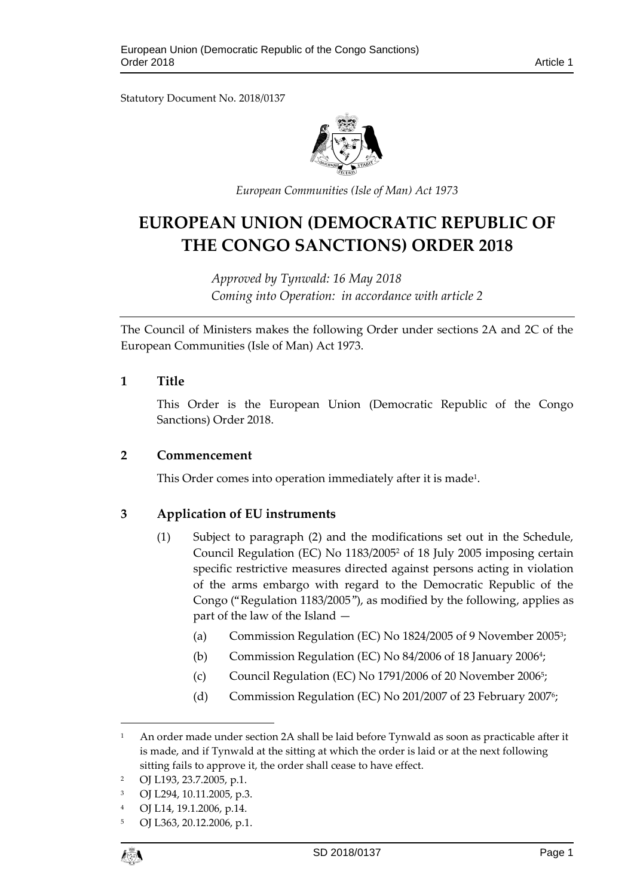Statutory Document No. 2018/0137



*European Communities (Isle of Man) Act 1973*

# **EUROPEAN UNION (DEMOCRATIC REPUBLIC OF THE CONGO SANCTIONS) ORDER 2018**

*Approved by Tynwald: 16 May 2018 Coming into Operation: in accordance with article 2*

The Council of Ministers makes the following Order under sections 2A and 2C of the European Communities (Isle of Man) Act 1973.

# **1 Title**

This Order is the European Union (Democratic Republic of the Congo Sanctions) Order 2018.

# **2 Commencement**

This Order comes into operation immediately after it is made $^{\rm 1}.$ 

# **3 Application of EU instruments**

- (1) Subject to paragraph (2) and the modifications set out in the Schedule, Council Regulation (EC) No 1183/2005<sup>2</sup> of 18 July 2005 imposing certain specific restrictive measures directed against persons acting in violation of the arms embargo with regard to the Democratic Republic of the Congo ("Regulation 1183/2005"), as modified by the following, applies as part of the law of the Island —
	- (a) Commission Regulation (EC) No 1824/2005 of 9 November 2005<sup>3</sup> ;
	- (b) Commission Regulation (EC) No 84/2006 of 18 January 2006<sup>4</sup>;
	- (c) Council Regulation (EC) No 1791/2006 of 20 November 2006<sup>5</sup> ;
	- (d) Commission Regulation (EC) No 201/2007 of 23 February 2007<sup>6</sup>;

$$
\ell_{\text{S}}^{\text{max}}
$$

1

<sup>&</sup>lt;sup>1</sup> An order made under section 2A shall be laid before Tynwald as soon as practicable after it is made, and if Tynwald at the sitting at which the order is laid or at the next following sitting fails to approve it, the order shall cease to have effect.

<sup>2</sup> OJ L193, 23.7.2005, p.1.

<sup>3</sup> OJ L294, 10.11.2005, p.3.

<sup>4</sup> OJ L14, 19.1.2006, p.14.

<sup>5</sup> OJ L363, 20.12.2006, p.1.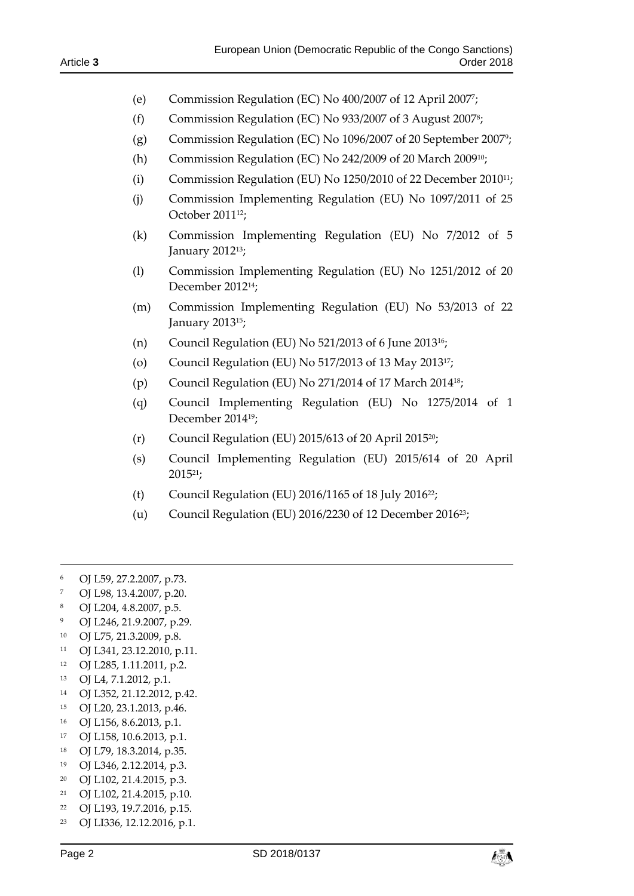- (e) Commission Regulation (EC) No 400/2007 of 12 April 2007<sup>7</sup> ;
- (f) Commission Regulation (EC) No 933/2007 of 3 August 2007<sup>8</sup> ;
- (g) Commission Regulation (EC) No 1096/2007 of 20 September 2007<sup>9</sup> ;
- (h) Commission Regulation (EC) No 242/2009 of 20 March 200910;
- (i) Commission Regulation (EU) No 1250/2010 of 22 December 201011;
- (j) Commission Implementing Regulation (EU) No 1097/2011 of 25 October 201112;
- (k) Commission Implementing Regulation (EU) No 7/2012 of 5 January 2012<sup>13</sup>;
- (l) Commission Implementing Regulation (EU) No 1251/2012 of 20 December 2012 14;
- (m) Commission Implementing Regulation (EU) No 53/2013 of 22 January 201315;
- (n) Council Regulation (EU) No  $521/2013$  of 6 June 2013<sup>16</sup>;
- (o) Council Regulation (EU) No 517/2013 of 13 May 201317;
- (p) Council Regulation (EU) No 271/2014 of 17 March 201418;
- (q) Council Implementing Regulation (EU) No 1275/2014 of 1 December 201419;
- (r) Council Regulation (EU) 2015/613 of 20 April 201520;
- (s) Council Implementing Regulation (EU) 2015/614 of 20 April 201521;
- (t) Council Regulation (EU)  $2016/1165$  of 18 July  $2016^{22}$ ;
- (u) Council Regulation (EU) 2016/2230 of 12 December 201623;
- <sup>6</sup> OJ L59, 27.2.2007, p.73.

-

- <sup>7</sup> OJ L98, 13.4.2007, p.20.
- <sup>8</sup> OJ L204, 4.8.2007, p.5.
- <sup>9</sup> OJ L246, 21.9.2007, p.29.
- <sup>10</sup> OJ L75, 21.3.2009, p.8.
- <sup>11</sup> OJ L341, 23.12.2010, p.11.
- <sup>12</sup> OJ L285, 1.11.2011, p.2.
- <sup>13</sup> OJ L4, 7.1.2012, p.1.
- <sup>14</sup> OJ L352, 21.12.2012, p.42.
- <sup>15</sup> OJ L20, 23.1.2013, p.46.
- <sup>16</sup> OJ L156, 8.6.2013, p.1.
- <sup>17</sup> OJ L158, 10.6.2013, p.1.
- <sup>18</sup> OJ L79, 18.3.2014, p.35.
- <sup>19</sup> OJ L346, 2.12.2014, p.3.
- <sup>20</sup> OJ L102, 21.4.2015, p.3.
- <sup>21</sup> OJ L102, 21.4.2015, p.10.
- <sup>22</sup> OJ L193, 19.7.2016, p.15.
- <sup>23</sup> OJ LI336, 12.12.2016, p.1.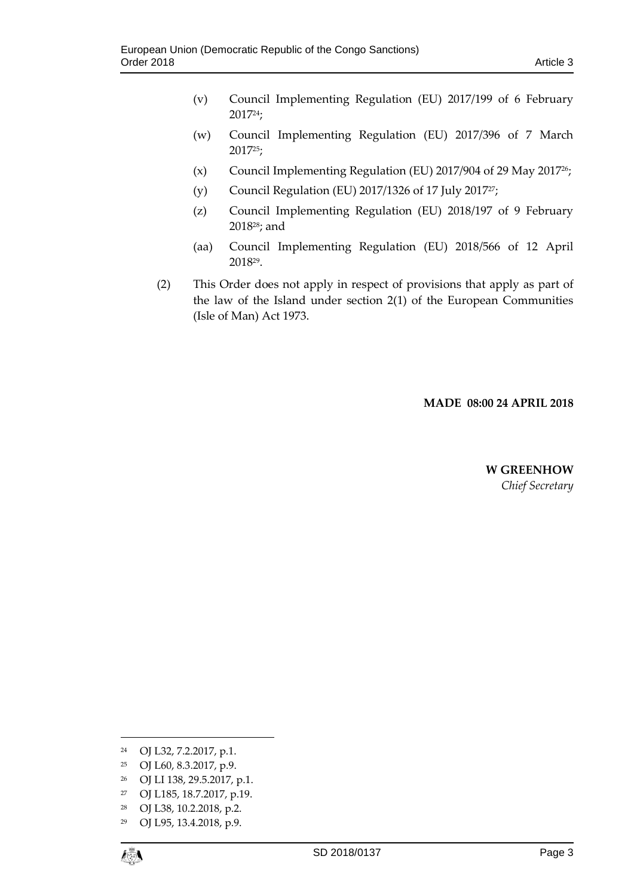- (v) Council Implementing Regulation (EU) 2017/199 of 6 February 201724;
- (w) Council Implementing Regulation (EU) 2017/396 of 7 March 201725;
- (x) Council Implementing Regulation (EU) 2017/904 of 29 May 201726;
- (y) Council Regulation (EU) 2017/1326 of 17 July 201727;
- (z) Council Implementing Regulation (EU) 2018/197 of 9 February 201828; and
- (aa) Council Implementing Regulation (EU) 2018/566 of 12 April 2018<sup>29</sup> .
- (2) This Order does not apply in respect of provisions that apply as part of the law of the Island under section 2(1) of the European Communities (Isle of Man) Act 1973.

# **MADE 08:00 24 APRIL 2018**

# **W GREENHOW** *Chief Secretary*

- <sup>25</sup> OJ L60, 8.3.2017, p.9.
- <sup>26</sup> OJ LI 138, 29.5.2017, p.1.
- <sup>27</sup> OJ L185, 18.7.2017, p.19.
- <sup>28</sup> OJ L38, 10.2.2018, p.2.
- <sup>29</sup> OJ L95, 13.4.2018, p.9.

 $\overline{a}$ 

<sup>24</sup> OJ L32, 7.2.2017, p.1.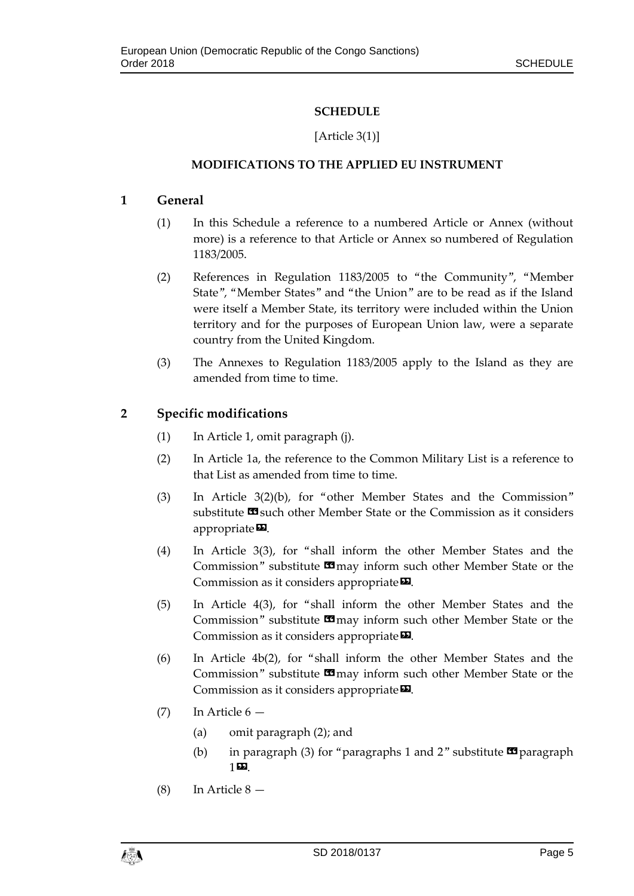# **SCHEDULE**

# [Article 3(1)]

# **MODIFICATIONS TO THE APPLIED EU INSTRUMENT**

# **1 General**

- (1) In this Schedule a reference to a numbered Article or Annex (without more) is a reference to that Article or Annex so numbered of Regulation 1183/2005.
- (2) References in Regulation 1183/2005 to "the Community", "Member State", "Member States" and "the Union" are to be read as if the Island were itself a Member State, its territory were included within the Union territory and for the purposes of European Union law, were a separate country from the United Kingdom.
- (3) The Annexes to Regulation 1183/2005 apply to the Island as they are amended from time to time.

# **2 Specific modifications**

- (1) In Article 1, omit paragraph (j).
- (2) In Article 1a, the reference to the Common Military List is a reference to that List as amended from time to time.
- (3) In Article 3(2)(b), for "other Member States and the Commission" substitute  $\blacksquare$  such other Member State or the Commission as it considers appropriate $\mathbf{D}$ .
- (4) In Article 3(3), for "shall inform the other Member States and the Commission" substitute  $\Box$  may inform such other Member State or the Commission as it considers appropriate  $\Sigma$ .
- (5) In Article 4(3), for "shall inform the other Member States and the Commission" substitute  $\Box$  may inform such other Member State or the Commission as it considers appropriate $\boldsymbol{\mathsf{\Xi}}$ .
- (6) In Article 4b(2), for "shall inform the other Member States and the Commission" substitute  $\blacksquare$  may inform such other Member State or the Commission as it considers appropriate<sup>D</sup>.
- $(7)$  In Article 6
	- (a) omit paragraph (2); and
	- (b) in paragraph (3) for "paragraphs 1 and 2" substitute  $\blacksquare$  paragraph 1».
- (8) In Article 8 —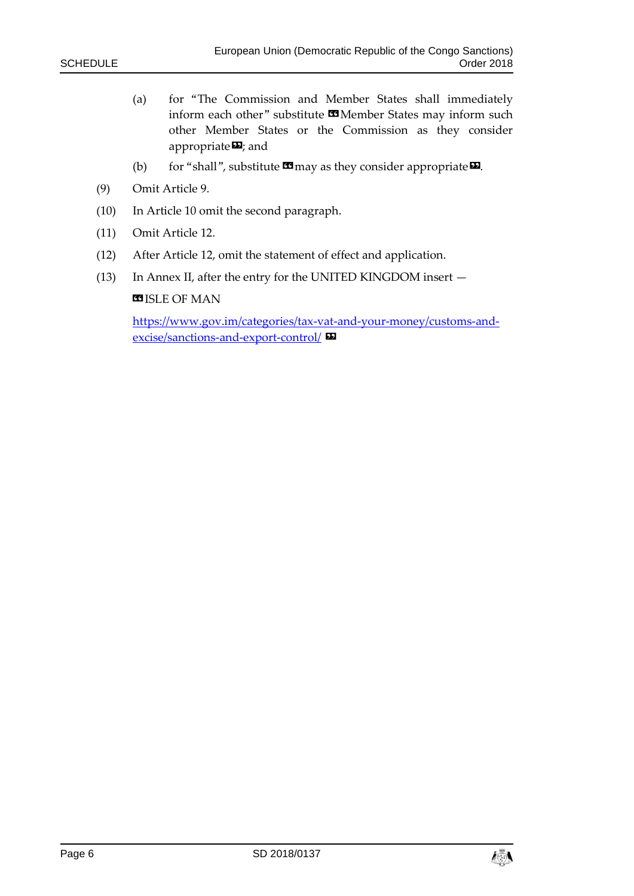- (a) for "The Commission and Member States shall immediately inform each other" substitute  $\blacksquare$  Member States may inform such other Member States or the Commission as they consider appropriate $\boldsymbol{\Sigma}$ ; and
- (b) for "shall", substitute  $\mathbf{C}$  may as they consider appropriate  $\mathbf{D}$ .
- (9) Omit Article 9.
- (10) In Article 10 omit the second paragraph.
- (11) Omit Article 12.
- (12) After Article 12, omit the statement of effect and application.
- (13) In Annex II, after the entry for the UNITED KINGDOM insert —

**B**ISLE OF MAN

[https://www.gov.im/categories/tax-vat-and-your-money/customs-and](https://www.gov.im/categories/tax-vat-and-your-money/customs-and-excise/sanctions-and-export-control/)[excise/sanctions-and-export-control/](https://www.gov.im/categories/tax-vat-and-your-money/customs-and-excise/sanctions-and-export-control/) »

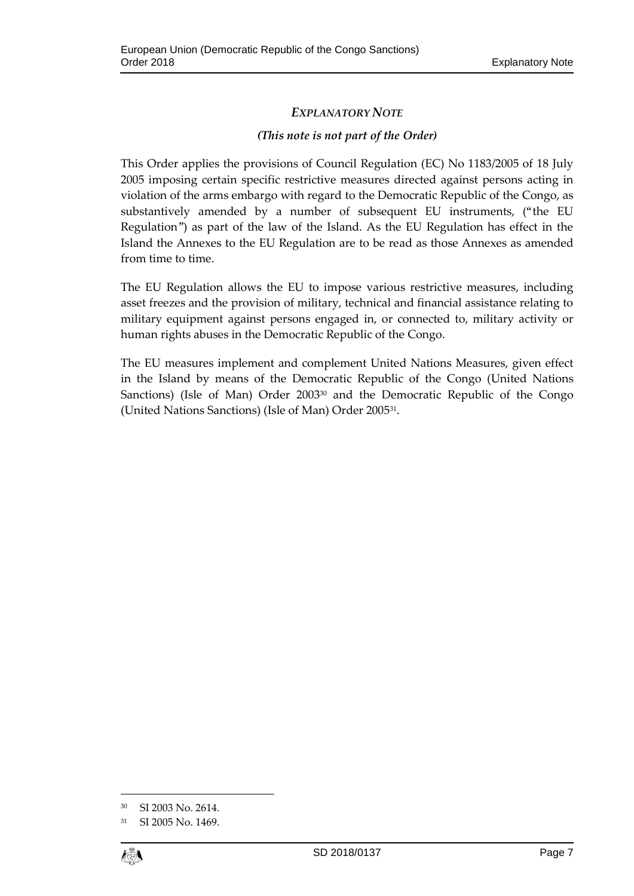# *EXPLANATORY NOTE*

# *(This note is not part of the Order)*

This Order applies the provisions of Council Regulation (EC) No 1183/2005 of 18 July 2005 imposing certain specific restrictive measures directed against persons acting in violation of the arms embargo with regard to the Democratic Republic of the Congo, as substantively amended by a number of subsequent EU instruments, ("the EU Regulation") as part of the law of the Island. As the EU Regulation has effect in the Island the Annexes to the EU Regulation are to be read as those Annexes as amended from time to time.

The EU Regulation allows the EU to impose various restrictive measures, including asset freezes and the provision of military, technical and financial assistance relating to military equipment against persons engaged in, or connected to, military activity or human rights abuses in the Democratic Republic of the Congo.

The EU measures implement and complement United Nations Measures, given effect in the Island by means of the Democratic Republic of the Congo (United Nations Sanctions) (Isle of Man) Order 2003<sup>30</sup> and the Democratic Republic of the Congo (United Nations Sanctions) (Isle of Man) Order 2005<sup>31</sup> .

<sup>31</sup> SI 2005 No. 1469.



 $\overline{a}$ 

<sup>30</sup> SI 2003 No. 2614.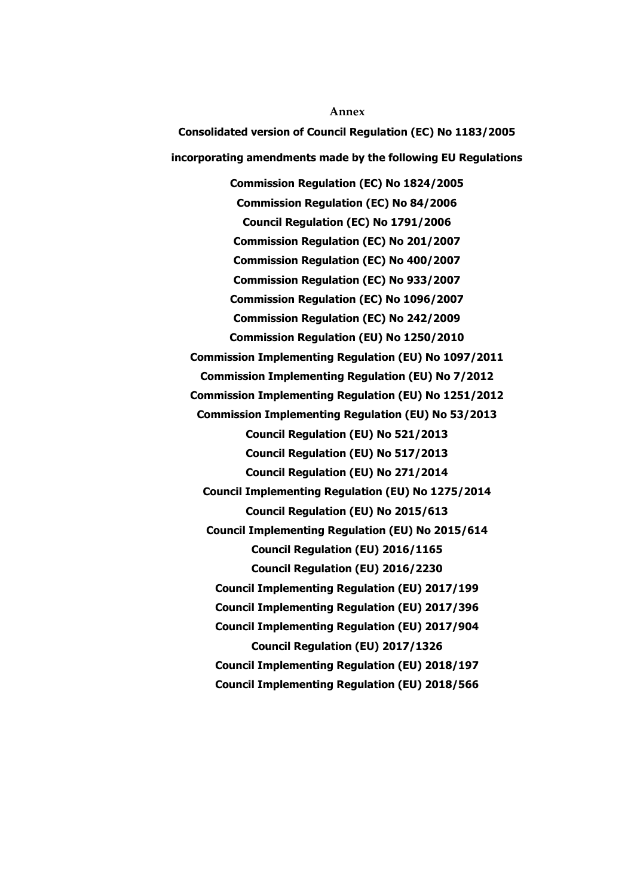**Annex Consolidated version of Council Regulation (EC) No 1183/2005 incorporating amendments made by the following EU Regulations Commission Regulation (EC) No 1824/2005 Commission Regulation (EC) No 84/2006 Council Regulation (EC) No 1791/2006 Commission Regulation (EC) No 201/2007 Commission Regulation (EC) No 400/2007 Commission Regulation (EC) No 933/2007 Commission Regulation (EC) No 1096/2007 Commission Regulation (EC) No 242/2009 Commission Regulation (EU) No 1250/2010 Commission Implementing Regulation (EU) No 1097/2011 Commission Implementing Regulation (EU) No 7/2012 Commission Implementing Regulation (EU) No 1251/2012 Commission Implementing Regulation (EU) No 53/2013 Council Regulation (EU) No 521/2013 Council Regulation (EU) No 517/2013 Council Regulation (EU) No 271/2014 Council Implementing Regulation (EU) No 1275/2014 Council Regulation (EU) No 2015/613 Council Implementing Regulation (EU) No 2015/614 Council Regulation (EU) 2016/1165 Council Regulation (EU) 2016/2230 Council Implementing Regulation (EU) 2017/199 Council Implementing Regulation (EU) 2017/396 Council Implementing Regulation (EU) 2017/904 Council Regulation (EU) 2017/1326 Council Implementing Regulation (EU) 2018/197 Council Implementing Regulation (EU) 2018/566**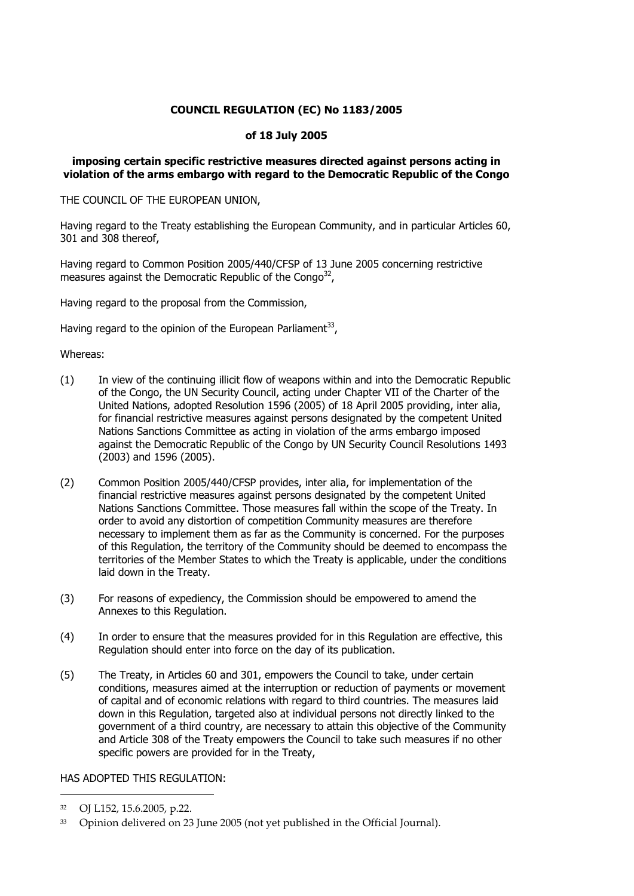# **COUNCIL REGULATION (EC) No 1183/2005**

### **of 18 July 2005**

### **imposing certain specific restrictive measures directed against persons acting in violation of the arms embargo with regard to the Democratic Republic of the Congo**

THE COUNCIL OF THE EUROPEAN UNION,

Having regard to the Treaty establishing the European Community, and in particular Articles 60, 301 and 308 thereof,

Having regard to Common Position 2005/440/CFSP of 13 June 2005 concerning restrictive measures against the Democratic Republic of the Congo<sup>32</sup>,

Having regard to the proposal from the Commission,

Having regard to the opinion of the European Parliament<sup>33</sup>,

#### Whereas:

- (1) In view of the continuing illicit flow of weapons within and into the Democratic Republic of the Congo, the UN Security Council, acting under Chapter VII of the Charter of the United Nations, adopted Resolution 1596 (2005) of 18 April 2005 providing, inter alia, for financial restrictive measures against persons designated by the competent United Nations Sanctions Committee as acting in violation of the arms embargo imposed against the Democratic Republic of the Congo by UN Security Council Resolutions 1493 (2003) and 1596 (2005).
- (2) Common Position 2005/440/CFSP provides, inter alia, for implementation of the financial restrictive measures against persons designated by the competent United Nations Sanctions Committee. Those measures fall within the scope of the Treaty. In order to avoid any distortion of competition Community measures are therefore necessary to implement them as far as the Community is concerned. For the purposes of this Regulation, the territory of the Community should be deemed to encompass the territories of the Member States to which the Treaty is applicable, under the conditions laid down in the Treaty.
- (3) For reasons of expediency, the Commission should be empowered to amend the Annexes to this Regulation.
- (4) In order to ensure that the measures provided for in this Regulation are effective, this Regulation should enter into force on the day of its publication.
- (5) The Treaty, in Articles 60 and 301, empowers the Council to take, under certain conditions, measures aimed at the interruption or reduction of payments or movement of capital and of economic relations with regard to third countries. The measures laid down in this Regulation, targeted also at individual persons not directly linked to the government of a third country, are necessary to attain this objective of the Community and Article 308 of the Treaty empowers the Council to take such measures if no other specific powers are provided for in the Treaty,

### HAS ADOPTED THIS REGULATION:

-

<sup>32</sup> OJ L152, 15.6.2005, p.22.

<sup>33</sup> Opinion delivered on 23 June 2005 (not yet published in the Official Journal).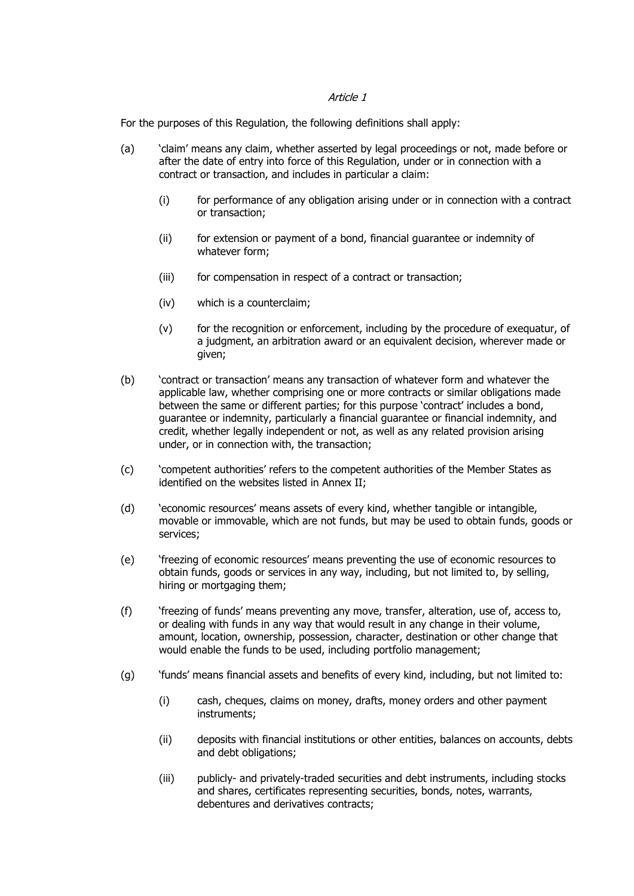#### Article 1

For the purposes of this Regulation, the following definitions shall apply:

- (a) 'claim' means any claim, whether asserted by legal proceedings or not, made before or after the date of entry into force of this Regulation, under or in connection with a contract or transaction, and includes in particular a claim:
	- (i) for performance of any obligation arising under or in connection with a contract or transaction;
	- (ii) for extension or payment of a bond, financial guarantee or indemnity of whatever form;
	- (iii) for compensation in respect of a contract or transaction;
	- (iv) which is a counterclaim;
	- (v) for the recognition or enforcement, including by the procedure of exequatur, of a judgment, an arbitration award or an equivalent decision, wherever made or given;
- (b) 'contract or transaction' means any transaction of whatever form and whatever the applicable law, whether comprising one or more contracts or similar obligations made between the same or different parties; for this purpose 'contract' includes a bond, guarantee or indemnity, particularly a financial guarantee or financial indemnity, and credit, whether legally independent or not, as well as any related provision arising under, or in connection with, the transaction;
- (c) 'competent authorities' refers to the competent authorities of the Member States as identified on the websites listed in Annex II;
- (d) 'economic resources' means assets of every kind, whether tangible or intangible, movable or immovable, which are not funds, but may be used to obtain funds, goods or services;
- (e) 'freezing of economic resources' means preventing the use of economic resources to obtain funds, goods or services in any way, including, but not limited to, by selling, hiring or mortgaging them;
- (f) 'freezing of funds' means preventing any move, transfer, alteration, use of, access to, or dealing with funds in any way that would result in any change in their volume, amount, location, ownership, possession, character, destination or other change that would enable the funds to be used, including portfolio management;
- (g) 'funds' means financial assets and benefits of every kind, including, but not limited to:
	- (i) cash, cheques, claims on money, drafts, money orders and other payment instruments;
	- (ii) deposits with financial institutions or other entities, balances on accounts, debts and debt obligations;
	- (iii) publicly- and privately-traded securities and debt instruments, including stocks and shares, certificates representing securities, bonds, notes, warrants, debentures and derivatives contracts;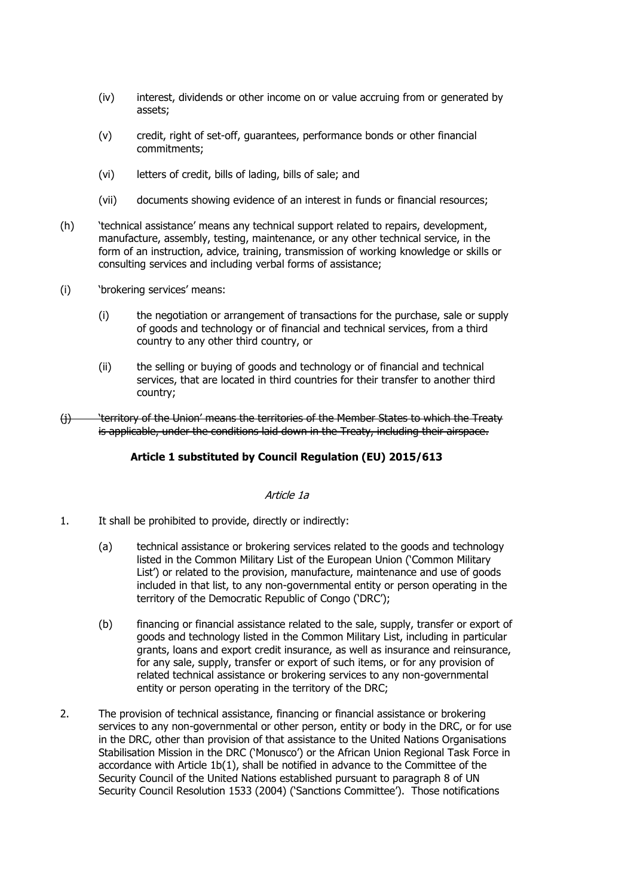- (iv) interest, dividends or other income on or value accruing from or generated by assets;
- (v) credit, right of set-off, guarantees, performance bonds or other financial commitments;
- (vi) letters of credit, bills of lading, bills of sale; and
- (vii) documents showing evidence of an interest in funds or financial resources;
- (h) 'technical assistance' means any technical support related to repairs, development, manufacture, assembly, testing, maintenance, or any other technical service, in the form of an instruction, advice, training, transmission of working knowledge or skills or consulting services and including verbal forms of assistance;
- (i) 'brokering services' means:
	- (i) the negotiation or arrangement of transactions for the purchase, sale or supply of goods and technology or of financial and technical services, from a third country to any other third country, or
	- (ii) the selling or buying of goods and technology or of financial and technical services, that are located in third countries for their transfer to another third country;
- (j) 'territory of the Union' means the territories of the Member States to which the Treaty is applicable, under the conditions laid down in the Treaty, including their airspace.

# **Article 1 substituted by Council Regulation (EU) 2015/613**

#### Article 1a

- 1. It shall be prohibited to provide, directly or indirectly:
	- (a) technical assistance or brokering services related to the goods and technology listed in the Common Military List of the European Union ('Common Military List') or related to the provision, manufacture, maintenance and use of goods included in that list, to any non-governmental entity or person operating in the territory of the Democratic Republic of Congo ('DRC');
	- (b) financing or financial assistance related to the sale, supply, transfer or export of goods and technology listed in the Common Military List, including in particular grants, loans and export credit insurance, as well as insurance and reinsurance, for any sale, supply, transfer or export of such items, or for any provision of related technical assistance or brokering services to any non-governmental entity or person operating in the territory of the DRC;
- 2. The provision of technical assistance, financing or financial assistance or brokering services to any non-governmental or other person, entity or body in the DRC, or for use in the DRC, other than provision of that assistance to the United Nations Organisations Stabilisation Mission in the DRC ('Monusco') or the African Union Regional Task Force in accordance with Article 1b(1), shall be notified in advance to the Committee of the Security Council of the United Nations established pursuant to paragraph 8 of UN Security Council Resolution 1533 (2004) ('Sanctions Committee'). Those notifications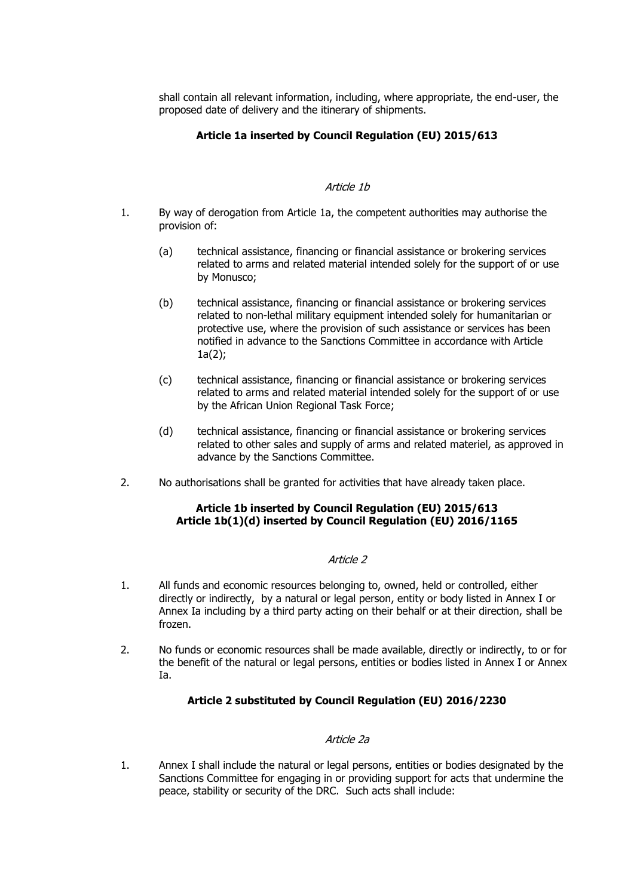shall contain all relevant information, including, where appropriate, the end-user, the proposed date of delivery and the itinerary of shipments.

# **Article 1a inserted by Council Regulation (EU) 2015/613**

### Article 1b

- 1. By way of derogation from Article 1a, the competent authorities may authorise the provision of:
	- (a) technical assistance, financing or financial assistance or brokering services related to arms and related material intended solely for the support of or use by Monusco;
	- (b) technical assistance, financing or financial assistance or brokering services related to non-lethal military equipment intended solely for humanitarian or protective use, where the provision of such assistance or services has been notified in advance to the Sanctions Committee in accordance with Article  $1a(2);$
	- (c) technical assistance, financing or financial assistance or brokering services related to arms and related material intended solely for the support of or use by the African Union Regional Task Force;
	- (d) technical assistance, financing or financial assistance or brokering services related to other sales and supply of arms and related materiel, as approved in advance by the Sanctions Committee.
- 2. No authorisations shall be granted for activities that have already taken place.

# **Article 1b inserted by Council Regulation (EU) 2015/613 Article 1b(1)(d) inserted by Council Regulation (EU) 2016/1165**

### Article 2

- 1. All funds and economic resources belonging to, owned, held or controlled, either directly or indirectly, by a natural or legal person, entity or body listed in Annex I or Annex Ia including by a third party acting on their behalf or at their direction, shall be frozen.
- 2. No funds or economic resources shall be made available, directly or indirectly, to or for the benefit of the natural or legal persons, entities or bodies listed in Annex I or Annex Ia.

# **Article 2 substituted by Council Regulation (EU) 2016/2230**

### Article 2a

1. Annex I shall include the natural or legal persons, entities or bodies designated by the Sanctions Committee for engaging in or providing support for acts that undermine the peace, stability or security of the DRC. Such acts shall include: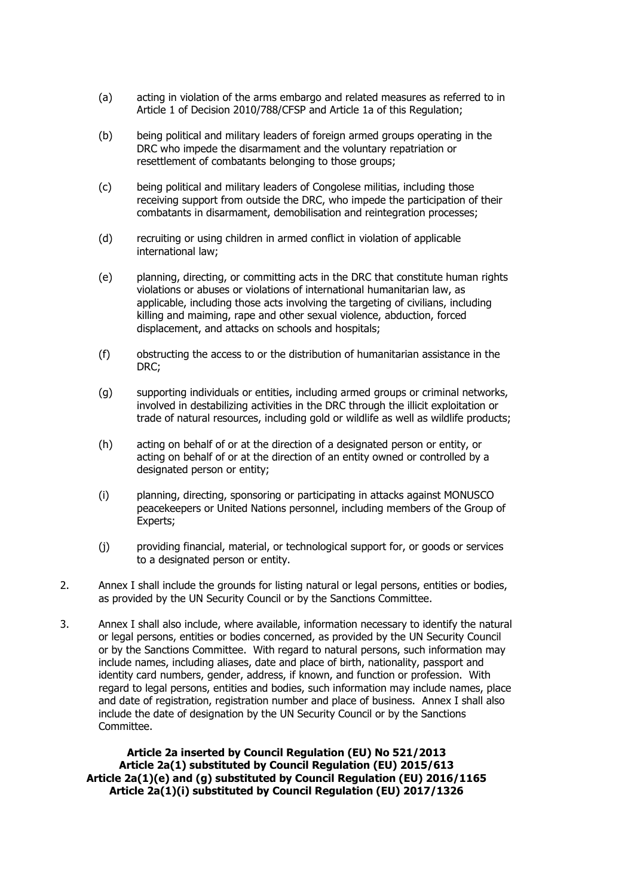- (a) acting in violation of the arms embargo and related measures as referred to in Article 1 of Decision 2010/788/CFSP and Article 1a of this Regulation;
- (b) being political and military leaders of foreign armed groups operating in the DRC who impede the disarmament and the voluntary repatriation or resettlement of combatants belonging to those groups;
- (c) being political and military leaders of Congolese militias, including those receiving support from outside the DRC, who impede the participation of their combatants in disarmament, demobilisation and reintegration processes;
- (d) recruiting or using children in armed conflict in violation of applicable international law;
- (e) planning, directing, or committing acts in the DRC that constitute human rights violations or abuses or violations of international humanitarian law, as applicable, including those acts involving the targeting of civilians, including killing and maiming, rape and other sexual violence, abduction, forced displacement, and attacks on schools and hospitals;
- (f) obstructing the access to or the distribution of humanitarian assistance in the DRC;
- (g) supporting individuals or entities, including armed groups or criminal networks, involved in destabilizing activities in the DRC through the illicit exploitation or trade of natural resources, including gold or wildlife as well as wildlife products;
- (h) acting on behalf of or at the direction of a designated person or entity, or acting on behalf of or at the direction of an entity owned or controlled by a designated person or entity;
- (i) planning, directing, sponsoring or participating in attacks against MONUSCO peacekeepers or United Nations personnel, including members of the Group of Experts;
- (j) providing financial, material, or technological support for, or goods or services to a designated person or entity.
- 2. Annex I shall include the grounds for listing natural or legal persons, entities or bodies, as provided by the UN Security Council or by the Sanctions Committee.
- 3. Annex I shall also include, where available, information necessary to identify the natural or legal persons, entities or bodies concerned, as provided by the UN Security Council or by the Sanctions Committee. With regard to natural persons, such information may include names, including aliases, date and place of birth, nationality, passport and identity card numbers, gender, address, if known, and function or profession. With regard to legal persons, entities and bodies, such information may include names, place and date of registration, registration number and place of business. Annex I shall also include the date of designation by the UN Security Council or by the Sanctions Committee.

**Article 2a inserted by Council Regulation (EU) No 521/2013 Article 2a(1) substituted by Council Regulation (EU) 2015/613 Article 2a(1)(e) and (g) substituted by Council Regulation (EU) 2016/1165 Article 2a(1)(i) substituted by Council Regulation (EU) 2017/1326**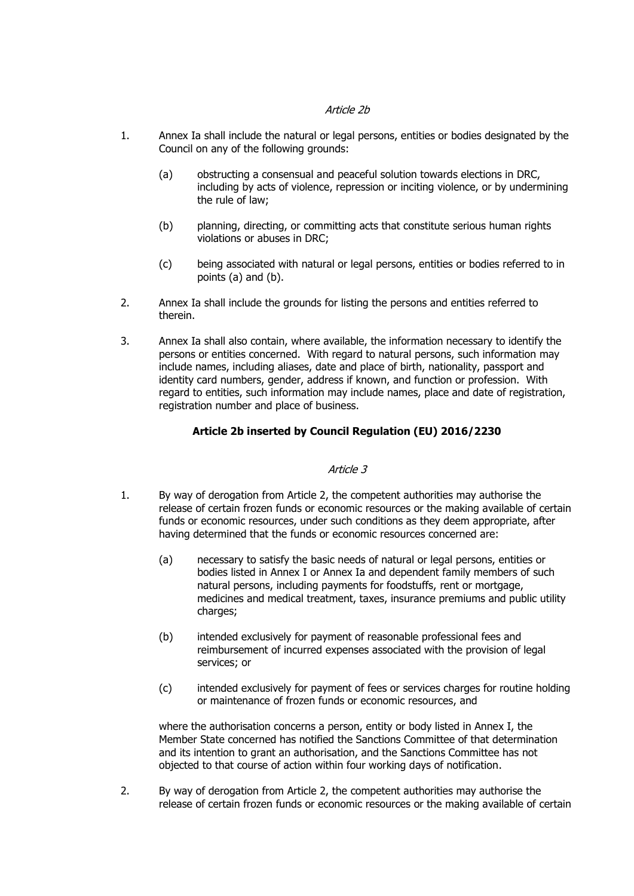### Article 2b

- 1. Annex Ia shall include the natural or legal persons, entities or bodies designated by the Council on any of the following grounds:
	- (a) obstructing a consensual and peaceful solution towards elections in DRC, including by acts of violence, repression or inciting violence, or by undermining the rule of law;
	- (b) planning, directing, or committing acts that constitute serious human rights violations or abuses in DRC;
	- (c) being associated with natural or legal persons, entities or bodies referred to in points (a) and (b).
- 2. Annex Ia shall include the grounds for listing the persons and entities referred to therein.
- 3. Annex Ia shall also contain, where available, the information necessary to identify the persons or entities concerned. With regard to natural persons, such information may include names, including aliases, date and place of birth, nationality, passport and identity card numbers, gender, address if known, and function or profession. With regard to entities, such information may include names, place and date of registration, registration number and place of business.

# **Article 2b inserted by Council Regulation (EU) 2016/2230**

### Article 3

- 1. By way of derogation from Article 2, the competent authorities may authorise the release of certain frozen funds or economic resources or the making available of certain funds or economic resources, under such conditions as they deem appropriate, after having determined that the funds or economic resources concerned are:
	- (a) necessary to satisfy the basic needs of natural or legal persons, entities or bodies listed in Annex I or Annex Ia and dependent family members of such natural persons, including payments for foodstuffs, rent or mortgage, medicines and medical treatment, taxes, insurance premiums and public utility charges;
	- (b) intended exclusively for payment of reasonable professional fees and reimbursement of incurred expenses associated with the provision of legal services; or
	- (c) intended exclusively for payment of fees or services charges for routine holding or maintenance of frozen funds or economic resources, and

where the authorisation concerns a person, entity or body listed in Annex I, the Member State concerned has notified the Sanctions Committee of that determination and its intention to grant an authorisation, and the Sanctions Committee has not objected to that course of action within four working days of notification.

2. By way of derogation from Article 2, the competent authorities may authorise the release of certain frozen funds or economic resources or the making available of certain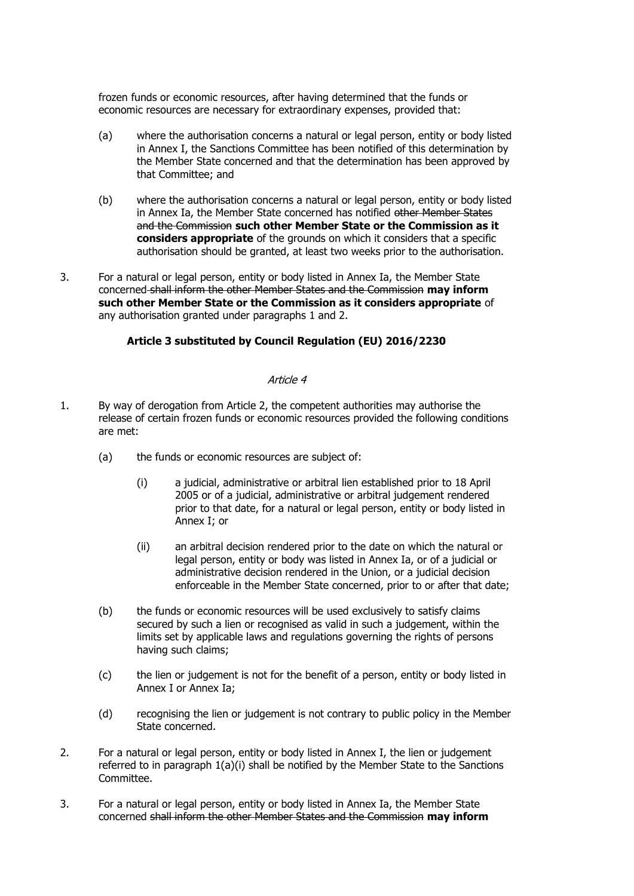frozen funds or economic resources, after having determined that the funds or economic resources are necessary for extraordinary expenses, provided that:

- (a) where the authorisation concerns a natural or legal person, entity or body listed in Annex I, the Sanctions Committee has been notified of this determination by the Member State concerned and that the determination has been approved by that Committee; and
- (b) where the authorisation concerns a natural or legal person, entity or body listed in Annex Ia, the Member State concerned has notified other Member States and the Commission **such other Member State or the Commission as it considers appropriate** of the grounds on which it considers that a specific authorisation should be granted, at least two weeks prior to the authorisation.
- 3. For a natural or legal person, entity or body listed in Annex Ia, the Member State concerned shall inform the other Member States and the Commission **may inform such other Member State or the Commission as it considers appropriate** of any authorisation granted under paragraphs 1 and 2.

# **Article 3 substituted by Council Regulation (EU) 2016/2230**

### Article 4

- 1. By way of derogation from Article 2, the competent authorities may authorise the release of certain frozen funds or economic resources provided the following conditions are met:
	- (a) the funds or economic resources are subject of:
		- (i) a judicial, administrative or arbitral lien established prior to 18 April 2005 or of a judicial, administrative or arbitral judgement rendered prior to that date, for a natural or legal person, entity or body listed in Annex I; or
		- (ii) an arbitral decision rendered prior to the date on which the natural or legal person, entity or body was listed in Annex Ia, or of a judicial or administrative decision rendered in the Union, or a judicial decision enforceable in the Member State concerned, prior to or after that date;
	- (b) the funds or economic resources will be used exclusively to satisfy claims secured by such a lien or recognised as valid in such a judgement, within the limits set by applicable laws and regulations governing the rights of persons having such claims;
	- (c) the lien or judgement is not for the benefit of a person, entity or body listed in Annex I or Annex Ia;
	- (d) recognising the lien or judgement is not contrary to public policy in the Member State concerned.
- 2. For a natural or legal person, entity or body listed in Annex I, the lien or judgement referred to in paragraph 1(a)(i) shall be notified by the Member State to the Sanctions Committee.
- 3. For a natural or legal person, entity or body listed in Annex Ia, the Member State concerned shall inform the other Member States and the Commission **may inform**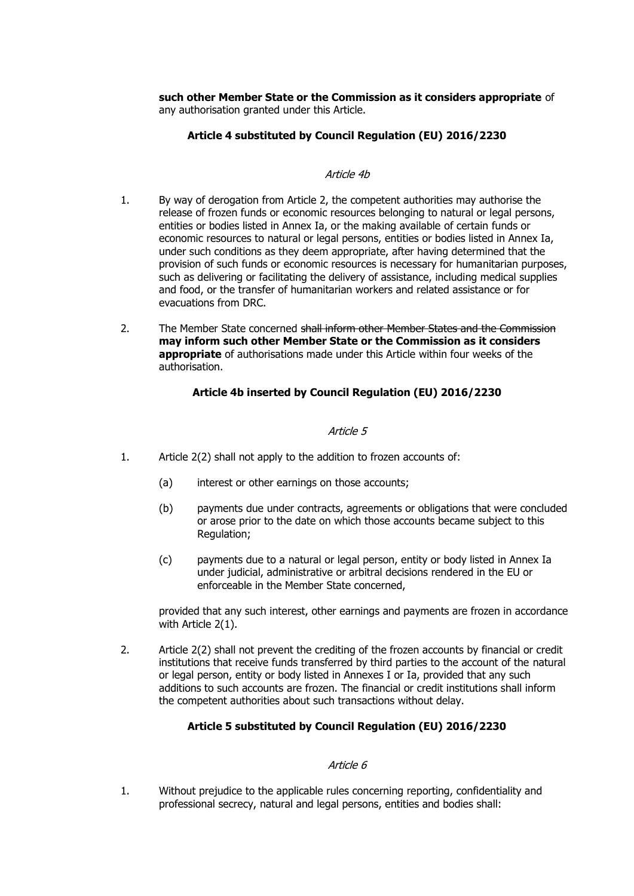**such other Member State or the Commission as it considers appropriate** of any authorisation granted under this Article.

### **Article 4 substituted by Council Regulation (EU) 2016/2230**

#### Article 4b

- 1. By way of derogation from Article 2, the competent authorities may authorise the release of frozen funds or economic resources belonging to natural or legal persons, entities or bodies listed in Annex Ia, or the making available of certain funds or economic resources to natural or legal persons, entities or bodies listed in Annex Ia, under such conditions as they deem appropriate, after having determined that the provision of such funds or economic resources is necessary for humanitarian purposes, such as delivering or facilitating the delivery of assistance, including medical supplies and food, or the transfer of humanitarian workers and related assistance or for evacuations from DRC.
- 2. The Member State concerned shall inform other Member States and the Commission **may inform such other Member State or the Commission as it considers appropriate** of authorisations made under this Article within four weeks of the authorisation.

### **Article 4b inserted by Council Regulation (EU) 2016/2230**

### Article 5

- 1. Article 2(2) shall not apply to the addition to frozen accounts of:
	- (a) interest or other earnings on those accounts;
	- (b) payments due under contracts, agreements or obligations that were concluded or arose prior to the date on which those accounts became subject to this Regulation;
	- (c) payments due to a natural or legal person, entity or body listed in Annex Ia under judicial, administrative or arbitral decisions rendered in the EU or enforceable in the Member State concerned,

provided that any such interest, other earnings and payments are frozen in accordance with Article 2(1).

2. Article 2(2) shall not prevent the crediting of the frozen accounts by financial or credit institutions that receive funds transferred by third parties to the account of the natural or legal person, entity or body listed in Annexes I or Ia, provided that any such additions to such accounts are frozen. The financial or credit institutions shall inform the competent authorities about such transactions without delay.

### **Article 5 substituted by Council Regulation (EU) 2016/2230**

### Article 6

1. Without prejudice to the applicable rules concerning reporting, confidentiality and professional secrecy, natural and legal persons, entities and bodies shall: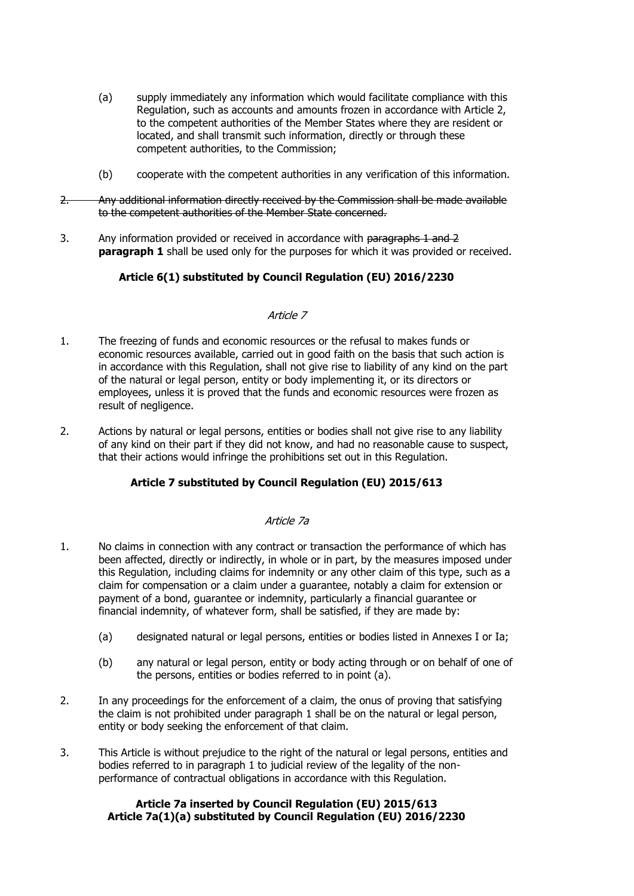- (a) supply immediately any information which would facilitate compliance with this Regulation, such as accounts and amounts frozen in accordance with Article 2, to the competent authorities of the Member States where they are resident or located, and shall transmit such information, directly or through these competent authorities, to the Commission;
- (b) cooperate with the competent authorities in any verification of this information.
- 2. Any additional information directly received by the Commission shall be made available to the competent authorities of the Member State concerned.
- 3. Any information provided or received in accordance with paragraphs 1 and 2 **paragraph 1** shall be used only for the purposes for which it was provided or received.

# **Article 6(1) substituted by Council Regulation (EU) 2016/2230**

### Article 7

- 1. The freezing of funds and economic resources or the refusal to makes funds or economic resources available, carried out in good faith on the basis that such action is in accordance with this Regulation, shall not give rise to liability of any kind on the part of the natural or legal person, entity or body implementing it, or its directors or employees, unless it is proved that the funds and economic resources were frozen as result of negligence.
- 2. Actions by natural or legal persons, entities or bodies shall not give rise to any liability of any kind on their part if they did not know, and had no reasonable cause to suspect, that their actions would infringe the prohibitions set out in this Regulation.

# **Article 7 substituted by Council Regulation (EU) 2015/613**

### Article 7a

- 1. No claims in connection with any contract or transaction the performance of which has been affected, directly or indirectly, in whole or in part, by the measures imposed under this Regulation, including claims for indemnity or any other claim of this type, such as a claim for compensation or a claim under a guarantee, notably a claim for extension or payment of a bond, guarantee or indemnity, particularly a financial guarantee or financial indemnity, of whatever form, shall be satisfied, if they are made by:
	- (a) designated natural or legal persons, entities or bodies listed in Annexes I or Ia;
	- (b) any natural or legal person, entity or body acting through or on behalf of one of the persons, entities or bodies referred to in point (a).
- 2. In any proceedings for the enforcement of a claim, the onus of proving that satisfying the claim is not prohibited under paragraph 1 shall be on the natural or legal person, entity or body seeking the enforcement of that claim.
- 3. This Article is without prejudice to the right of the natural or legal persons, entities and bodies referred to in paragraph 1 to judicial review of the legality of the nonperformance of contractual obligations in accordance with this Regulation.

# **Article 7a inserted by Council Regulation (EU) 2015/613 Article 7a(1)(a) substituted by Council Regulation (EU) 2016/2230**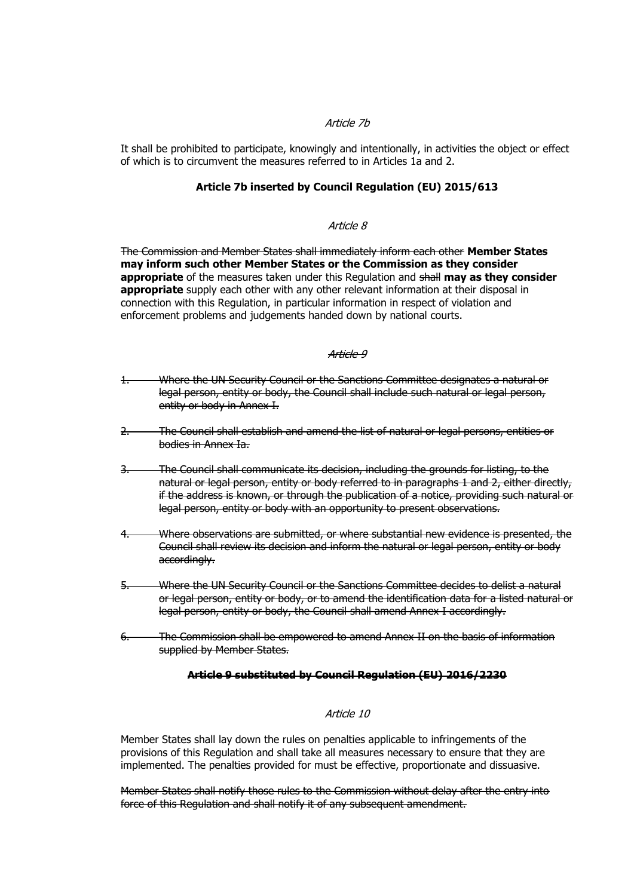# Article 7b

It shall be prohibited to participate, knowingly and intentionally, in activities the object or effect of which is to circumvent the measures referred to in Articles 1a and 2.

### **Article 7b inserted by Council Regulation (EU) 2015/613**

#### Article 8

The Commission and Member States shall immediately inform each other **Member States may inform such other Member States or the Commission as they consider appropriate** of the measures taken under this Regulation and shall **may as they consider appropriate** supply each other with any other relevant information at their disposal in connection with this Regulation, in particular information in respect of violation and enforcement problems and judgements handed down by national courts.

#### Article 9

- 1. Where the UN Security Council or the Sanctions Committee designates a natural or legal person, entity or body, the Council shall include such natural or legal person, entity or body in Annex I.
- 2. The Council shall establish and amend the list of natural or legal persons, entities or bodies in Annex Ia.
- 3. The Council shall communicate its decision, including the grounds for listing, to the natural or legal person, entity or body referred to in paragraphs 1 and 2, either directly, if the address is known, or through the publication of a notice, providing such natural or legal person, entity or body with an opportunity to present observations.
- 4. Where observations are submitted, or where substantial new evidence is presented, the Council shall review its decision and inform the natural or legal person, entity or body accordingly.
- 5. Where the UN Security Council or the Sanctions Committee decides to delist a natural or legal person, entity or body, or to amend the identification data for a listed natural or legal person, entity or body, the Council shall amend Annex I accordingly.
- 6. The Commission shall be empowered to amend Annex II on the basis of information supplied by Member States.

#### **Article 9 substituted by Council Regulation (EU) 2016/2230**

#### Article 10

Member States shall lay down the rules on penalties applicable to infringements of the provisions of this Regulation and shall take all measures necessary to ensure that they are implemented. The penalties provided for must be effective, proportionate and dissuasive.

Member States shall notify those rules to the Commission without delay after the entry into force of this Regulation and shall notify it of any subsequent amendment.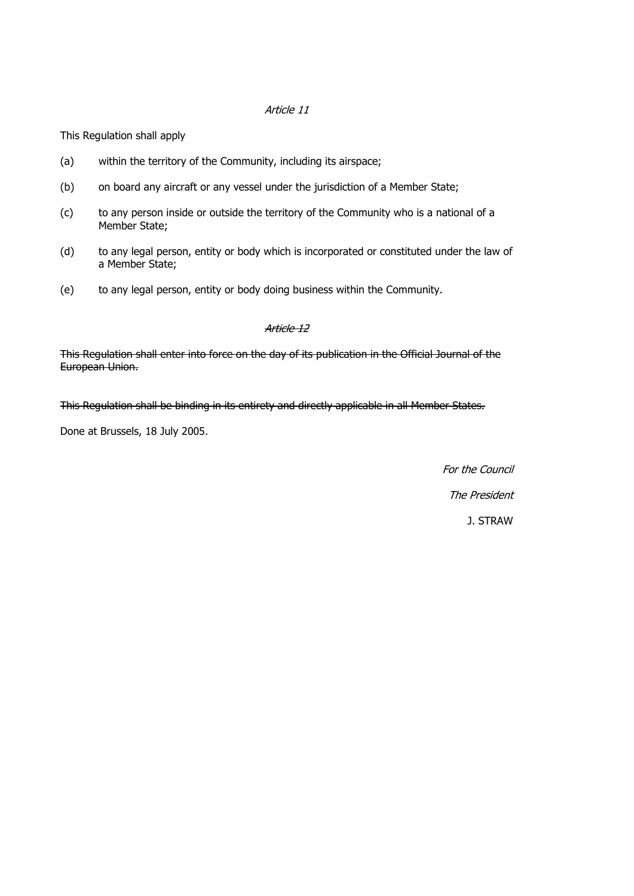### Article 11

This Regulation shall apply

- (a) within the territory of the Community, including its airspace;
- (b) on board any aircraft or any vessel under the jurisdiction of a Member State;
- (c) to any person inside or outside the territory of the Community who is a national of a Member State;
- (d) to any legal person, entity or body which is incorporated or constituted under the law of a Member State;
- (e) to any legal person, entity or body doing business within the Community.

#### Article 12

This Regulation shall enter into force on the day of its publication in the Official Journal of the European Union.

This Regulation shall be binding in its entirety and directly applicable in all Member States.

Done at Brussels, 18 July 2005.

For the Council The President J. STRAW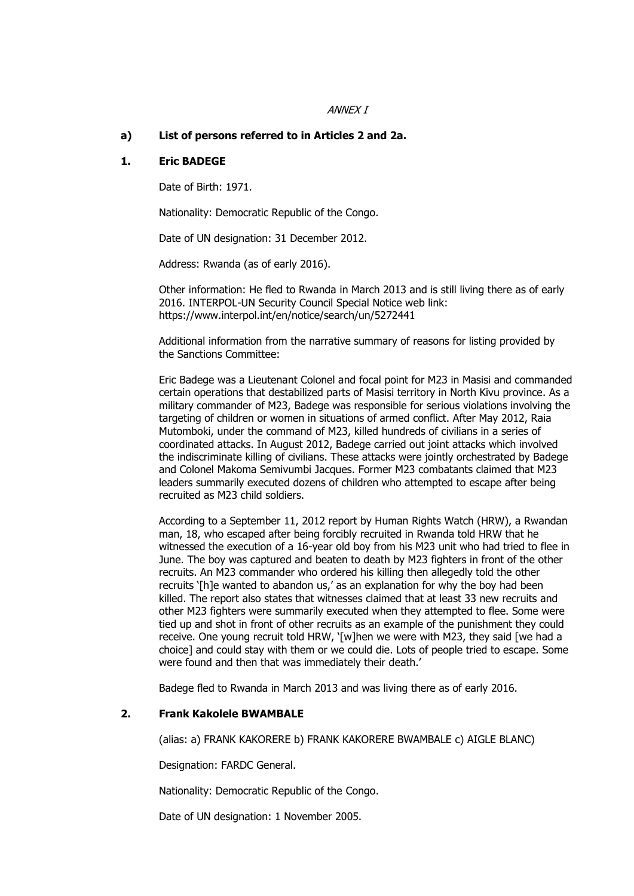#### ANNEX I

#### **a) List of persons referred to in Articles 2 and 2a.**

#### **1. Eric BADEGE**

Date of Birth: 1971.

Nationality: Democratic Republic of the Congo.

Date of UN designation: 31 December 2012.

Address: Rwanda (as of early 2016).

Other information: He fled to Rwanda in March 2013 and is still living there as of early 2016. INTERPOL-UN Security Council Special Notice web link: https://www.interpol.int/en/notice/search/un/5272441

Additional information from the narrative summary of reasons for listing provided by the Sanctions Committee:

Eric Badege was a Lieutenant Colonel and focal point for M23 in Masisi and commanded certain operations that destabilized parts of Masisi territory in North Kivu province. As a military commander of M23, Badege was responsible for serious violations involving the targeting of children or women in situations of armed conflict. After May 2012, Raia Mutomboki, under the command of M23, killed hundreds of civilians in a series of coordinated attacks. In August 2012, Badege carried out joint attacks which involved the indiscriminate killing of civilians. These attacks were jointly orchestrated by Badege and Colonel Makoma Semivumbi Jacques. Former M23 combatants claimed that M23 leaders summarily executed dozens of children who attempted to escape after being recruited as M23 child soldiers.

According to a September 11, 2012 report by Human Rights Watch (HRW), a Rwandan man, 18, who escaped after being forcibly recruited in Rwanda told HRW that he witnessed the execution of a 16-year old boy from his M23 unit who had tried to flee in June. The boy was captured and beaten to death by M23 fighters in front of the other recruits. An M23 commander who ordered his killing then allegedly told the other recruits '[h]e wanted to abandon us,' as an explanation for why the boy had been killed. The report also states that witnesses claimed that at least 33 new recruits and other M23 fighters were summarily executed when they attempted to flee. Some were tied up and shot in front of other recruits as an example of the punishment they could receive. One young recruit told HRW, '[w]hen we were with M23, they said [we had a choice] and could stay with them or we could die. Lots of people tried to escape. Some were found and then that was immediately their death.'

Badege fled to Rwanda in March 2013 and was living there as of early 2016.

#### **2. Frank Kakolele BWAMBALE**

(alias: a) FRANK KAKORERE b) FRANK KAKORERE BWAMBALE c) AIGLE BLANC)

Designation: FARDC General.

Nationality: Democratic Republic of the Congo.

Date of UN designation: 1 November 2005.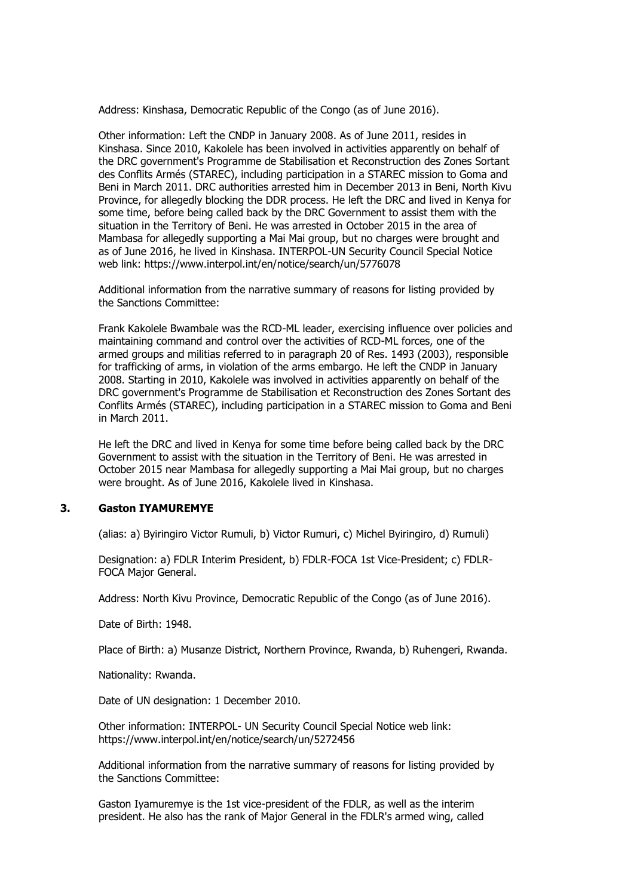Address: Kinshasa, Democratic Republic of the Congo (as of June 2016).

Other information: Left the CNDP in January 2008. As of June 2011, resides in Kinshasa. Since 2010, Kakolele has been involved in activities apparently on behalf of the DRC government's Programme de Stabilisation et Reconstruction des Zones Sortant des Conflits Armés (STAREC), including participation in a STAREC mission to Goma and Beni in March 2011. DRC authorities arrested him in December 2013 in Beni, North Kivu Province, for allegedly blocking the DDR process. He left the DRC and lived in Kenya for some time, before being called back by the DRC Government to assist them with the situation in the Territory of Beni. He was arrested in October 2015 in the area of Mambasa for allegedly supporting a Mai Mai group, but no charges were brought and as of June 2016, he lived in Kinshasa. INTERPOL-UN Security Council Special Notice web link: https://www.interpol.int/en/notice/search/un/5776078

Additional information from the narrative summary of reasons for listing provided by the Sanctions Committee:

Frank Kakolele Bwambale was the RCD-ML leader, exercising influence over policies and maintaining command and control over the activities of RCD-ML forces, one of the armed groups and militias referred to in paragraph 20 of Res. 1493 (2003), responsible for trafficking of arms, in violation of the arms embargo. He left the CNDP in January 2008. Starting in 2010, Kakolele was involved in activities apparently on behalf of the DRC government's Programme de Stabilisation et Reconstruction des Zones Sortant des Conflits Armés (STAREC), including participation in a STAREC mission to Goma and Beni in March 2011.

He left the DRC and lived in Kenya for some time before being called back by the DRC Government to assist with the situation in the Territory of Beni. He was arrested in October 2015 near Mambasa for allegedly supporting a Mai Mai group, but no charges were brought. As of June 2016, Kakolele lived in Kinshasa.

### **3. Gaston IYAMUREMYE**

(alias: a) Byiringiro Victor Rumuli, b) Victor Rumuri, c) Michel Byiringiro, d) Rumuli)

Designation: a) FDLR Interim President, b) FDLR-FOCA 1st Vice-President; c) FDLR-FOCA Major General.

Address: North Kivu Province, Democratic Republic of the Congo (as of June 2016).

Date of Birth: 1948.

Place of Birth: a) Musanze District, Northern Province, Rwanda, b) Ruhengeri, Rwanda.

Nationality: Rwanda.

Date of UN designation: 1 December 2010.

Other information: INTERPOL- UN Security Council Special Notice web link: https://www.interpol.int/en/notice/search/un/5272456

Additional information from the narrative summary of reasons for listing provided by the Sanctions Committee:

Gaston Iyamuremye is the 1st vice-president of the FDLR, as well as the interim president. He also has the rank of Major General in the FDLR's armed wing, called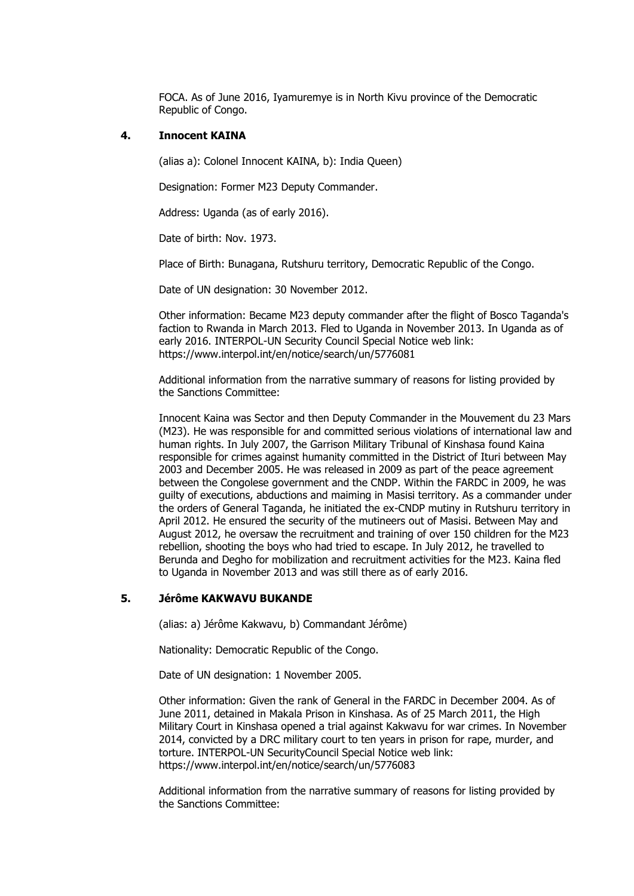FOCA. As of June 2016, Iyamuremye is in North Kivu province of the Democratic Republic of Congo.

### **4. Innocent KAINA**

(alias a): Colonel Innocent KAINA, b): India Queen)

Designation: Former M23 Deputy Commander.

Address: Uganda (as of early 2016).

Date of birth: Nov. 1973.

Place of Birth: Bunagana, Rutshuru territory, Democratic Republic of the Congo.

Date of UN designation: 30 November 2012.

Other information: Became M23 deputy commander after the flight of Bosco Taganda's faction to Rwanda in March 2013. Fled to Uganda in November 2013. In Uganda as of early 2016. INTERPOL-UN Security Council Special Notice web link: https://www.interpol.int/en/notice/search/un/5776081

Additional information from the narrative summary of reasons for listing provided by the Sanctions Committee:

Innocent Kaina was Sector and then Deputy Commander in the Mouvement du 23 Mars (M23). He was responsible for and committed serious violations of international law and human rights. In July 2007, the Garrison Military Tribunal of Kinshasa found Kaina responsible for crimes against humanity committed in the District of Ituri between May 2003 and December 2005. He was released in 2009 as part of the peace agreement between the Congolese government and the CNDP. Within the FARDC in 2009, he was guilty of executions, abductions and maiming in Masisi territory. As a commander under the orders of General Taganda, he initiated the ex-CNDP mutiny in Rutshuru territory in April 2012. He ensured the security of the mutineers out of Masisi. Between May and August 2012, he oversaw the recruitment and training of over 150 children for the M23 rebellion, shooting the boys who had tried to escape. In July 2012, he travelled to Berunda and Degho for mobilization and recruitment activities for the M23. Kaina fled to Uganda in November 2013 and was still there as of early 2016.

# **5. Jérôme KAKWAVU BUKANDE**

(alias: a) Jérôme Kakwavu, b) Commandant Jérôme)

Nationality: Democratic Republic of the Congo.

Date of UN designation: 1 November 2005.

Other information: Given the rank of General in the FARDC in December 2004. As of June 2011, detained in Makala Prison in Kinshasa. As of 25 March 2011, the High Military Court in Kinshasa opened a trial against Kakwavu for war crimes. In November 2014, convicted by a DRC military court to ten years in prison for rape, murder, and torture. INTERPOL-UN SecurityCouncil Special Notice web link: https://www.interpol.int/en/notice/search/un/5776083

Additional information from the narrative summary of reasons for listing provided by the Sanctions Committee: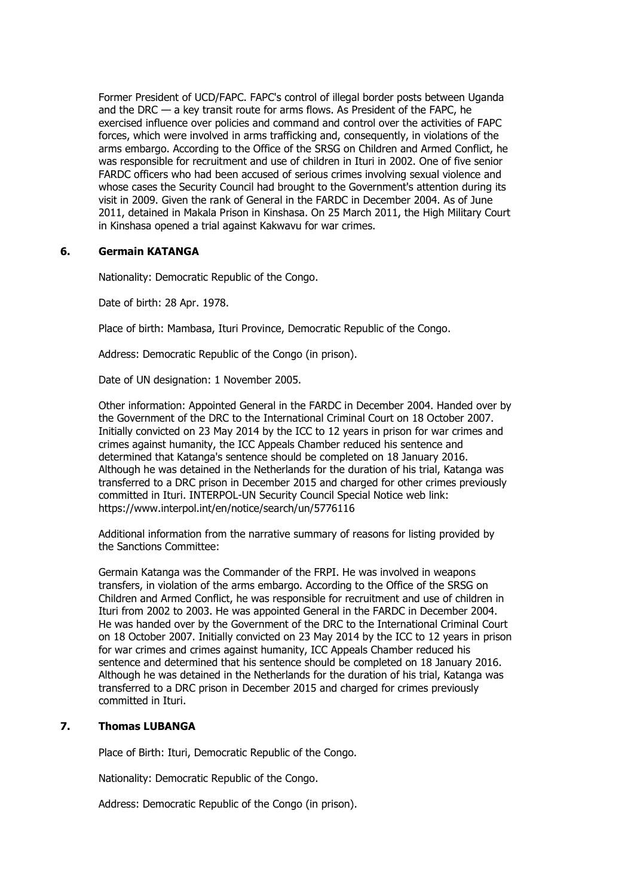Former President of UCD/FAPC. FAPC's control of illegal border posts between Uganda and the DRC — a key transit route for arms flows. As President of the FAPC, he exercised influence over policies and command and control over the activities of FAPC forces, which were involved in arms trafficking and, consequently, in violations of the arms embargo. According to the Office of the SRSG on Children and Armed Conflict, he was responsible for recruitment and use of children in Ituri in 2002. One of five senior FARDC officers who had been accused of serious crimes involving sexual violence and whose cases the Security Council had brought to the Government's attention during its visit in 2009. Given the rank of General in the FARDC in December 2004. As of June 2011, detained in Makala Prison in Kinshasa. On 25 March 2011, the High Military Court in Kinshasa opened a trial against Kakwavu for war crimes.

# **6. Germain KATANGA**

Nationality: Democratic Republic of the Congo.

Date of birth: 28 Apr. 1978.

Place of birth: Mambasa, Ituri Province, Democratic Republic of the Congo.

Address: Democratic Republic of the Congo (in prison).

Date of UN designation: 1 November 2005.

Other information: Appointed General in the FARDC in December 2004. Handed over by the Government of the DRC to the International Criminal Court on 18 October 2007. Initially convicted on 23 May 2014 by the ICC to 12 years in prison for war crimes and crimes against humanity, the ICC Appeals Chamber reduced his sentence and determined that Katanga's sentence should be completed on 18 January 2016. Although he was detained in the Netherlands for the duration of his trial, Katanga was transferred to a DRC prison in December 2015 and charged for other crimes previously committed in Ituri. INTERPOL-UN Security Council Special Notice web link: https://www.interpol.int/en/notice/search/un/5776116

Additional information from the narrative summary of reasons for listing provided by the Sanctions Committee:

Germain Katanga was the Commander of the FRPI. He was involved in weapons transfers, in violation of the arms embargo. According to the Office of the SRSG on Children and Armed Conflict, he was responsible for recruitment and use of children in Ituri from 2002 to 2003. He was appointed General in the FARDC in December 2004. He was handed over by the Government of the DRC to the International Criminal Court on 18 October 2007. Initially convicted on 23 May 2014 by the ICC to 12 years in prison for war crimes and crimes against humanity, ICC Appeals Chamber reduced his sentence and determined that his sentence should be completed on 18 January 2016. Although he was detained in the Netherlands for the duration of his trial, Katanga was transferred to a DRC prison in December 2015 and charged for crimes previously committed in Ituri.

### **7. Thomas LUBANGA**

Place of Birth: Ituri, Democratic Republic of the Congo.

Nationality: Democratic Republic of the Congo.

Address: Democratic Republic of the Congo (in prison).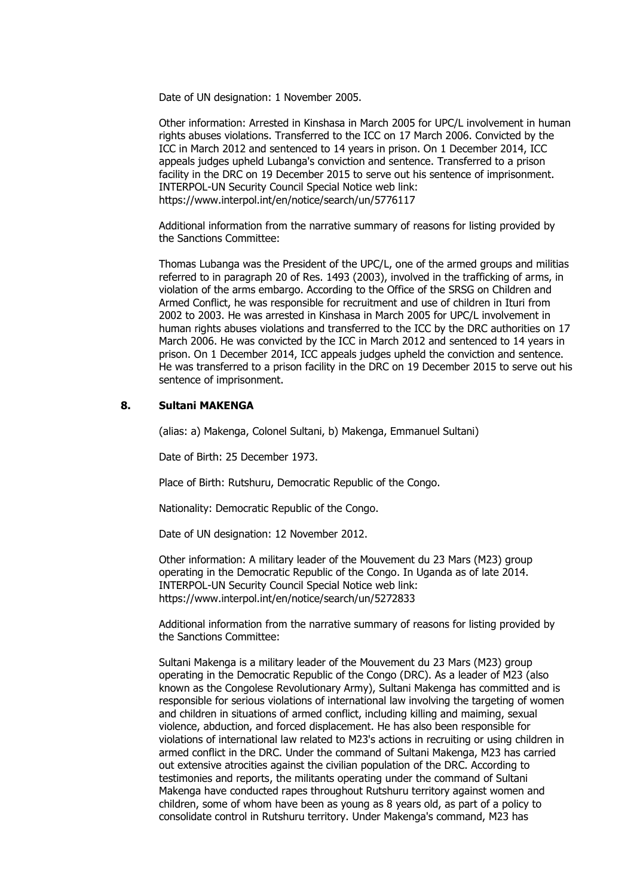Date of UN designation: 1 November 2005.

Other information: Arrested in Kinshasa in March 2005 for UPC/L involvement in human rights abuses violations. Transferred to the ICC on 17 March 2006. Convicted by the ICC in March 2012 and sentenced to 14 years in prison. On 1 December 2014, ICC appeals judges upheld Lubanga's conviction and sentence. Transferred to a prison facility in the DRC on 19 December 2015 to serve out his sentence of imprisonment. INTERPOL-UN Security Council Special Notice web link: https://www.interpol.int/en/notice/search/un/5776117

Additional information from the narrative summary of reasons for listing provided by the Sanctions Committee:

Thomas Lubanga was the President of the UPC/L, one of the armed groups and militias referred to in paragraph 20 of Res. 1493 (2003), involved in the trafficking of arms, in violation of the arms embargo. According to the Office of the SRSG on Children and Armed Conflict, he was responsible for recruitment and use of children in Ituri from 2002 to 2003. He was arrested in Kinshasa in March 2005 for UPC/L involvement in human rights abuses violations and transferred to the ICC by the DRC authorities on 17 March 2006. He was convicted by the ICC in March 2012 and sentenced to 14 years in prison. On 1 December 2014, ICC appeals judges upheld the conviction and sentence. He was transferred to a prison facility in the DRC on 19 December 2015 to serve out his sentence of imprisonment.

#### **8. Sultani MAKENGA**

(alias: a) Makenga, Colonel Sultani, b) Makenga, Emmanuel Sultani)

Date of Birth: 25 December 1973.

Place of Birth: Rutshuru, Democratic Republic of the Congo.

Nationality: Democratic Republic of the Congo.

Date of UN designation: 12 November 2012.

Other information: A military leader of the Mouvement du 23 Mars (M23) group operating in the Democratic Republic of the Congo. In Uganda as of late 2014. INTERPOL-UN Security Council Special Notice web link: https://www.interpol.int/en/notice/search/un/5272833

Additional information from the narrative summary of reasons for listing provided by the Sanctions Committee:

Sultani Makenga is a military leader of the Mouvement du 23 Mars (M23) group operating in the Democratic Republic of the Congo (DRC). As a leader of M23 (also known as the Congolese Revolutionary Army), Sultani Makenga has committed and is responsible for serious violations of international law involving the targeting of women and children in situations of armed conflict, including killing and maiming, sexual violence, abduction, and forced displacement. He has also been responsible for violations of international law related to M23's actions in recruiting or using children in armed conflict in the DRC. Under the command of Sultani Makenga, M23 has carried out extensive atrocities against the civilian population of the DRC. According to testimonies and reports, the militants operating under the command of Sultani Makenga have conducted rapes throughout Rutshuru territory against women and children, some of whom have been as young as 8 years old, as part of a policy to consolidate control in Rutshuru territory. Under Makenga's command, M23 has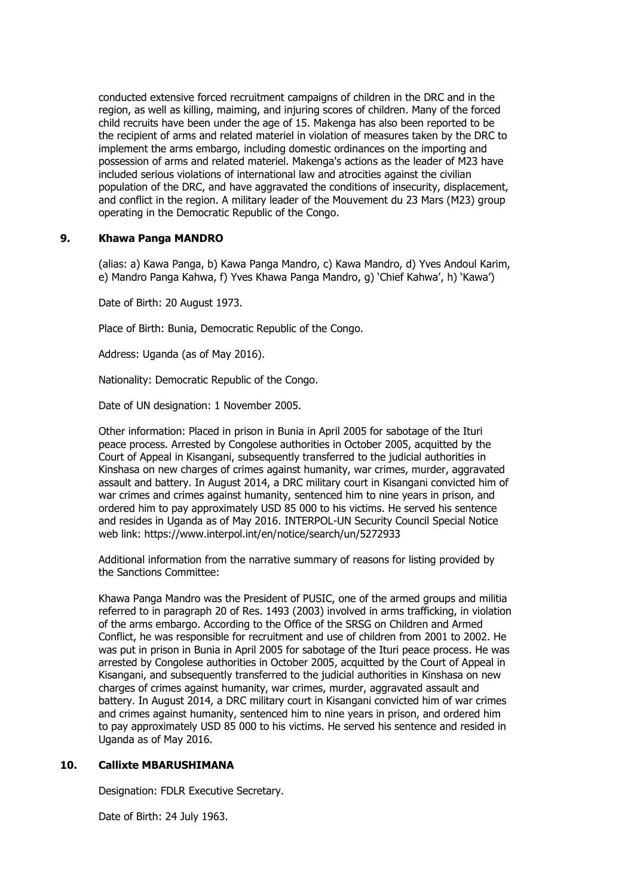conducted extensive forced recruitment campaigns of children in the DRC and in the region, as well as killing, maiming, and injuring scores of children. Many of the forced child recruits have been under the age of 15. Makenga has also been reported to be the recipient of arms and related materiel in violation of measures taken by the DRC to implement the arms embargo, including domestic ordinances on the importing and possession of arms and related materiel. Makenga's actions as the leader of M23 have included serious violations of international law and atrocities against the civilian population of the DRC, and have aggravated the conditions of insecurity, displacement, and conflict in the region. A military leader of the Mouvement du 23 Mars (M23) group operating in the Democratic Republic of the Congo.

# **9. Khawa Panga MANDRO**

(alias: a) Kawa Panga, b) Kawa Panga Mandro, c) Kawa Mandro, d) Yves Andoul Karim, e) Mandro Panga Kahwa, f) Yves Khawa Panga Mandro, g) 'Chief Kahwa', h) 'Kawa')

Date of Birth: 20 August 1973.

Place of Birth: Bunia, Democratic Republic of the Congo.

Address: Uganda (as of May 2016).

Nationality: Democratic Republic of the Congo.

Date of UN designation: 1 November 2005.

Other information: Placed in prison in Bunia in April 2005 for sabotage of the Ituri peace process. Arrested by Congolese authorities in October 2005, acquitted by the Court of Appeal in Kisangani, subsequently transferred to the judicial authorities in Kinshasa on new charges of crimes against humanity, war crimes, murder, aggravated assault and battery. In August 2014, a DRC military court in Kisangani convicted him of war crimes and crimes against humanity, sentenced him to nine years in prison, and ordered him to pay approximately USD 85 000 to his victims. He served his sentence and resides in Uganda as of May 2016. INTERPOL-UN Security Council Special Notice web link: https://www.interpol.int/en/notice/search/un/5272933

Additional information from the narrative summary of reasons for listing provided by the Sanctions Committee:

Khawa Panga Mandro was the President of PUSIC, one of the armed groups and militia referred to in paragraph 20 of Res. 1493 (2003) involved in arms trafficking, in violation of the arms embargo. According to the Office of the SRSG on Children and Armed Conflict, he was responsible for recruitment and use of children from 2001 to 2002. He was put in prison in Bunia in April 2005 for sabotage of the Ituri peace process. He was arrested by Congolese authorities in October 2005, acquitted by the Court of Appeal in Kisangani, and subsequently transferred to the judicial authorities in Kinshasa on new charges of crimes against humanity, war crimes, murder, aggravated assault and battery. In August 2014, a DRC military court in Kisangani convicted him of war crimes and crimes against humanity, sentenced him to nine years in prison, and ordered him to pay approximately USD 85 000 to his victims. He served his sentence and resided in Uganda as of May 2016.

#### **10. Callixte MBARUSHIMANA**

Designation: FDLR Executive Secretary.

Date of Birth: 24 July 1963.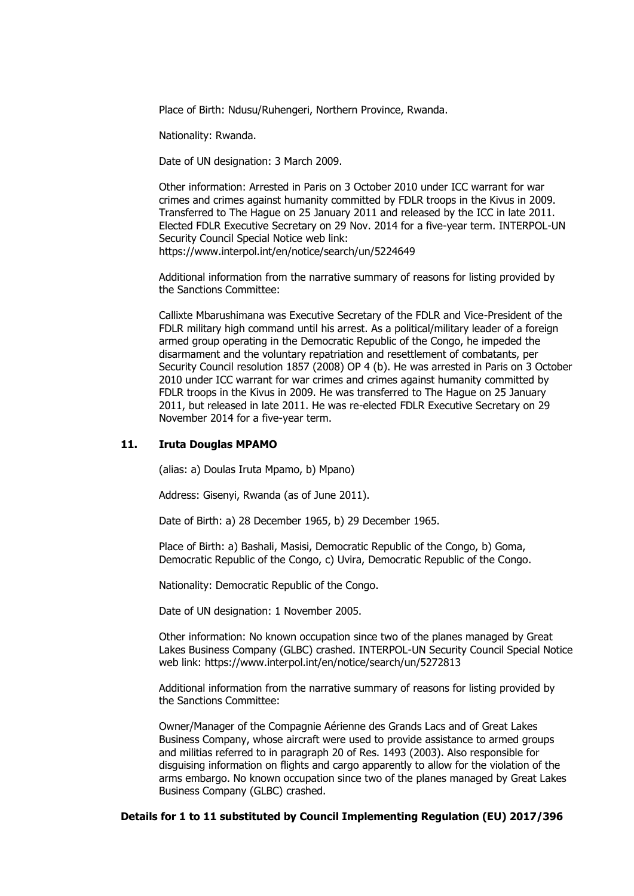Place of Birth: Ndusu/Ruhengeri, Northern Province, Rwanda.

Nationality: Rwanda.

Date of UN designation: 3 March 2009.

Other information: Arrested in Paris on 3 October 2010 under ICC warrant for war crimes and crimes against humanity committed by FDLR troops in the Kivus in 2009. Transferred to The Hague on 25 January 2011 and released by the ICC in late 2011. Elected FDLR Executive Secretary on 29 Nov. 2014 for a five-year term. INTERPOL-UN Security Council Special Notice web link: https://www.interpol.int/en/notice/search/un/5224649

Additional information from the narrative summary of reasons for listing provided by the Sanctions Committee:

Callixte Mbarushimana was Executive Secretary of the FDLR and Vice-President of the FDLR military high command until his arrest. As a political/military leader of a foreign armed group operating in the Democratic Republic of the Congo, he impeded the disarmament and the voluntary repatriation and resettlement of combatants, per Security Council resolution 1857 (2008) OP 4 (b). He was arrested in Paris on 3 October 2010 under ICC warrant for war crimes and crimes against humanity committed by FDLR troops in the Kivus in 2009. He was transferred to The Hague on 25 January 2011, but released in late 2011. He was re-elected FDLR Executive Secretary on 29 November 2014 for a five-year term.

#### **11. Iruta Douglas MPAMO**

(alias: a) Doulas Iruta Mpamo, b) Mpano)

Address: Gisenyi, Rwanda (as of June 2011).

Date of Birth: a) 28 December 1965, b) 29 December 1965.

Place of Birth: a) Bashali, Masisi, Democratic Republic of the Congo, b) Goma, Democratic Republic of the Congo, c) Uvira, Democratic Republic of the Congo.

Nationality: Democratic Republic of the Congo.

Date of UN designation: 1 November 2005.

Other information: No known occupation since two of the planes managed by Great Lakes Business Company (GLBC) crashed. INTERPOL-UN Security Council Special Notice web link: https://www.interpol.int/en/notice/search/un/5272813

Additional information from the narrative summary of reasons for listing provided by the Sanctions Committee:

Owner/Manager of the Compagnie Aérienne des Grands Lacs and of Great Lakes Business Company, whose aircraft were used to provide assistance to armed groups and militias referred to in paragraph 20 of Res. 1493 (2003). Also responsible for disguising information on flights and cargo apparently to allow for the violation of the arms embargo. No known occupation since two of the planes managed by Great Lakes Business Company (GLBC) crashed.

#### **Details for 1 to 11 substituted by Council Implementing Regulation (EU) 2017/396**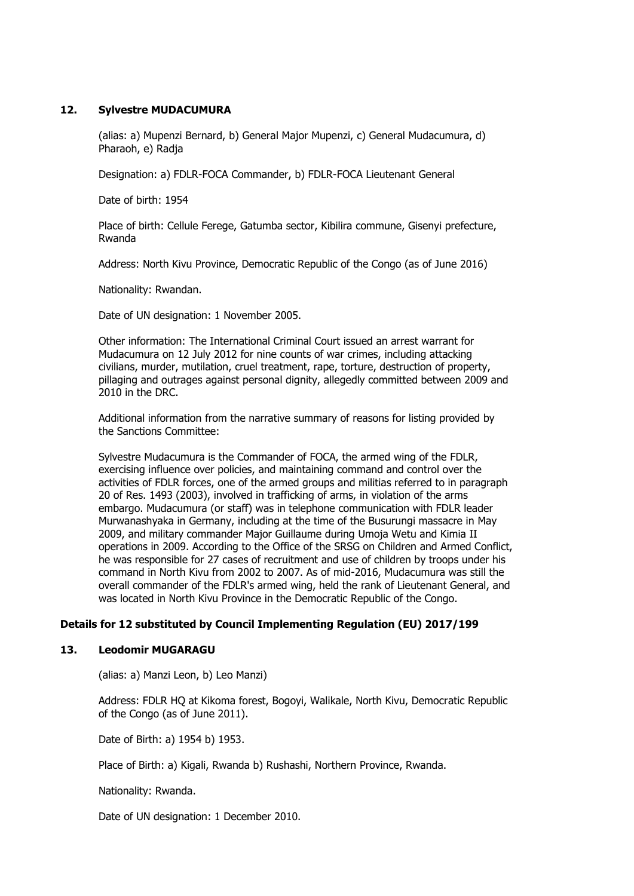### **12. Sylvestre MUDACUMURA**

(alias: a) Mupenzi Bernard, b) General Major Mupenzi, c) General Mudacumura, d) Pharaoh, e) Radja

Designation: a) FDLR-FOCA Commander, b) FDLR-FOCA Lieutenant General

Date of birth: 1954

Place of birth: Cellule Ferege, Gatumba sector, Kibilira commune, Gisenyi prefecture, Rwanda

Address: North Kivu Province, Democratic Republic of the Congo (as of June 2016)

Nationality: Rwandan.

Date of UN designation: 1 November 2005.

Other information: The International Criminal Court issued an arrest warrant for Mudacumura on 12 July 2012 for nine counts of war crimes, including attacking civilians, murder, mutilation, cruel treatment, rape, torture, destruction of property, pillaging and outrages against personal dignity, allegedly committed between 2009 and 2010 in the DRC.

Additional information from the narrative summary of reasons for listing provided by the Sanctions Committee:

Sylvestre Mudacumura is the Commander of FOCA, the armed wing of the FDLR, exercising influence over policies, and maintaining command and control over the activities of FDLR forces, one of the armed groups and militias referred to in paragraph 20 of Res. 1493 (2003), involved in trafficking of arms, in violation of the arms embargo. Mudacumura (or staff) was in telephone communication with FDLR leader Murwanashyaka in Germany, including at the time of the Busurungi massacre in May 2009, and military commander Major Guillaume during Umoja Wetu and Kimia II operations in 2009. According to the Office of the SRSG on Children and Armed Conflict, he was responsible for 27 cases of recruitment and use of children by troops under his command in North Kivu from 2002 to 2007. As of mid-2016, Mudacumura was still the overall commander of the FDLR's armed wing, held the rank of Lieutenant General, and was located in North Kivu Province in the Democratic Republic of the Congo.

### **Details for 12 substituted by Council Implementing Regulation (EU) 2017/199**

### **13. Leodomir MUGARAGU**

(alias: a) Manzi Leon, b) Leo Manzi)

Address: FDLR HQ at Kikoma forest, Bogoyi, Walikale, North Kivu, Democratic Republic of the Congo (as of June 2011).

Date of Birth: a) 1954 b) 1953.

Place of Birth: a) Kigali, Rwanda b) Rushashi, Northern Province, Rwanda.

Nationality: Rwanda.

Date of UN designation: 1 December 2010.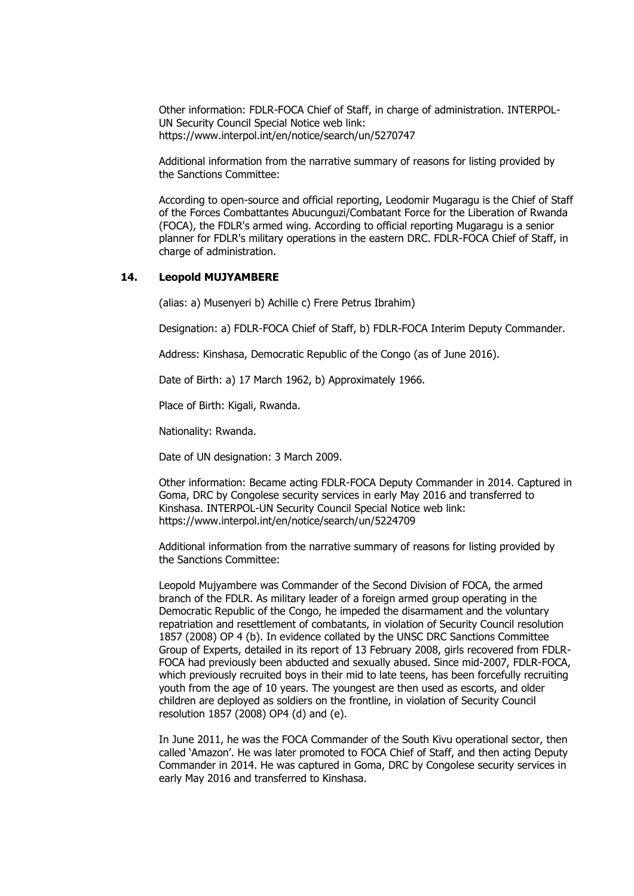Other information: FDLR-FOCA Chief of Staff, in charge of administration. INTERPOL-UN Security Council Special Notice web link: https://www.interpol.int/en/notice/search/un/5270747

Additional information from the narrative summary of reasons for listing provided by the Sanctions Committee:

According to open-source and official reporting, Leodomir Mugaragu is the Chief of Staff of the Forces Combattantes Abucunguzi/Combatant Force for the Liberation of Rwanda (FOCA), the FDLR's armed wing. According to official reporting Mugaragu is a senior planner for FDLR's military operations in the eastern DRC. FDLR-FOCA Chief of Staff, in charge of administration.

### **14. Leopold MUJYAMBERE**

(alias: a) Musenyeri b) Achille c) Frere Petrus Ibrahim)

Designation: a) FDLR-FOCA Chief of Staff, b) FDLR-FOCA Interim Deputy Commander.

Address: Kinshasa, Democratic Republic of the Congo (as of June 2016).

Date of Birth: a) 17 March 1962, b) Approximately 1966.

Place of Birth: Kigali, Rwanda.

Nationality: Rwanda.

Date of UN designation: 3 March 2009.

Other information: Became acting FDLR-FOCA Deputy Commander in 2014. Captured in Goma, DRC by Congolese security services in early May 2016 and transferred to Kinshasa. INTERPOL-UN Security Council Special Notice web link: https://www.interpol.int/en/notice/search/un/5224709

Additional information from the narrative summary of reasons for listing provided by the Sanctions Committee:

Leopold Mujyambere was Commander of the Second Division of FOCA, the armed branch of the FDLR. As military leader of a foreign armed group operating in the Democratic Republic of the Congo, he impeded the disarmament and the voluntary repatriation and resettlement of combatants, in violation of Security Council resolution 1857 (2008) OP 4 (b). In evidence collated by the UNSC DRC Sanctions Committee Group of Experts, detailed in its report of 13 February 2008, girls recovered from FDLR-FOCA had previously been abducted and sexually abused. Since mid-2007, FDLR-FOCA, which previously recruited boys in their mid to late teens, has been forcefully recruiting youth from the age of 10 years. The youngest are then used as escorts, and older children are deployed as soldiers on the frontline, in violation of Security Council resolution 1857 (2008) OP4 (d) and (e).

In June 2011, he was the FOCA Commander of the South Kivu operational sector, then called 'Amazon'. He was later promoted to FOCA Chief of Staff, and then acting Deputy Commander in 2014. He was captured in Goma, DRC by Congolese security services in early May 2016 and transferred to Kinshasa.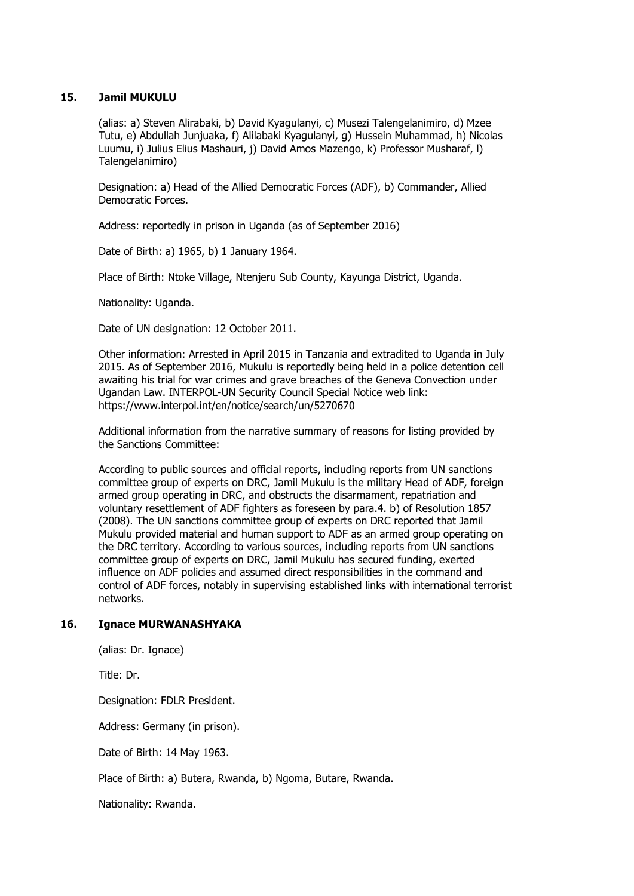### **15. Jamil MUKULU**

(alias: a) Steven Alirabaki, b) David Kyagulanyi, c) Musezi Talengelanimiro, d) Mzee Tutu, e) Abdullah Junjuaka, f) Alilabaki Kyagulanyi, g) Hussein Muhammad, h) Nicolas Luumu, i) Julius Elius Mashauri, j) David Amos Mazengo, k) Professor Musharaf, l) Talengelanimiro)

Designation: a) Head of the Allied Democratic Forces (ADF), b) Commander, Allied Democratic Forces.

Address: reportedly in prison in Uganda (as of September 2016)

Date of Birth: a) 1965, b) 1 January 1964.

Place of Birth: Ntoke Village, Ntenjeru Sub County, Kayunga District, Uganda.

Nationality: Uganda.

Date of UN designation: 12 October 2011.

Other information: Arrested in April 2015 in Tanzania and extradited to Uganda in July 2015. As of September 2016, Mukulu is reportedly being held in a police detention cell awaiting his trial for war crimes and grave breaches of the Geneva Convection under Ugandan Law. INTERPOL-UN Security Council Special Notice web link: https://www.interpol.int/en/notice/search/un/5270670

Additional information from the narrative summary of reasons for listing provided by the Sanctions Committee:

According to public sources and official reports, including reports from UN sanctions committee group of experts on DRC, Jamil Mukulu is the military Head of ADF, foreign armed group operating in DRC, and obstructs the disarmament, repatriation and voluntary resettlement of ADF fighters as foreseen by para.4. b) of Resolution 1857 (2008). The UN sanctions committee group of experts on DRC reported that Jamil Mukulu provided material and human support to ADF as an armed group operating on the DRC territory. According to various sources, including reports from UN sanctions committee group of experts on DRC, Jamil Mukulu has secured funding, exerted influence on ADF policies and assumed direct responsibilities in the command and control of ADF forces, notably in supervising established links with international terrorist networks.

### **16. Ignace MURWANASHYAKA**

(alias: Dr. Ignace)

Title: Dr.

Designation: FDLR President.

Address: Germany (in prison).

Date of Birth: 14 May 1963.

Place of Birth: a) Butera, Rwanda, b) Ngoma, Butare, Rwanda.

Nationality: Rwanda.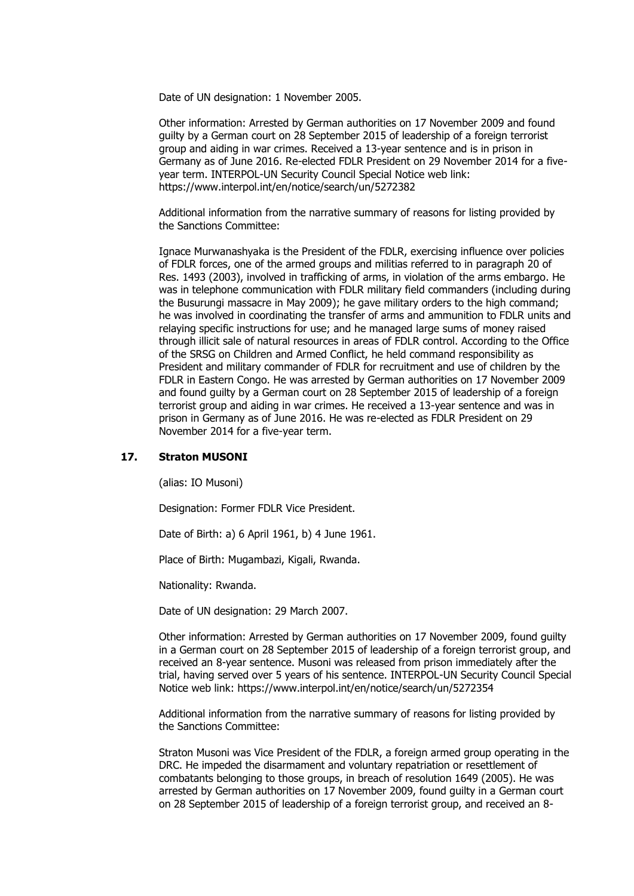Date of UN designation: 1 November 2005.

Other information: Arrested by German authorities on 17 November 2009 and found guilty by a German court on 28 September 2015 of leadership of a foreign terrorist group and aiding in war crimes. Received a 13-year sentence and is in prison in Germany as of June 2016. Re-elected FDLR President on 29 November 2014 for a fiveyear term. INTERPOL-UN Security Council Special Notice web link: https://www.interpol.int/en/notice/search/un/5272382

Additional information from the narrative summary of reasons for listing provided by the Sanctions Committee:

Ignace Murwanashyaka is the President of the FDLR, exercising influence over policies of FDLR forces, one of the armed groups and militias referred to in paragraph 20 of Res. 1493 (2003), involved in trafficking of arms, in violation of the arms embargo. He was in telephone communication with FDLR military field commanders (including during the Busurungi massacre in May 2009); he gave military orders to the high command; he was involved in coordinating the transfer of arms and ammunition to FDLR units and relaying specific instructions for use; and he managed large sums of money raised through illicit sale of natural resources in areas of FDLR control. According to the Office of the SRSG on Children and Armed Conflict, he held command responsibility as President and military commander of FDLR for recruitment and use of children by the FDLR in Eastern Congo. He was arrested by German authorities on 17 November 2009 and found guilty by a German court on 28 September 2015 of leadership of a foreign terrorist group and aiding in war crimes. He received a 13-year sentence and was in prison in Germany as of June 2016. He was re-elected as FDLR President on 29 November 2014 for a five-year term.

#### **17. Straton MUSONI**

(alias: IO Musoni)

Designation: Former FDLR Vice President.

Date of Birth: a) 6 April 1961, b) 4 June 1961.

Place of Birth: Mugambazi, Kigali, Rwanda.

Nationality: Rwanda.

Date of UN designation: 29 March 2007.

Other information: Arrested by German authorities on 17 November 2009, found guilty in a German court on 28 September 2015 of leadership of a foreign terrorist group, and received an 8-year sentence. Musoni was released from prison immediately after the trial, having served over 5 years of his sentence. INTERPOL-UN Security Council Special Notice web link: https://www.interpol.int/en/notice/search/un/5272354

Additional information from the narrative summary of reasons for listing provided by the Sanctions Committee:

Straton Musoni was Vice President of the FDLR, a foreign armed group operating in the DRC. He impeded the disarmament and voluntary repatriation or resettlement of combatants belonging to those groups, in breach of resolution 1649 (2005). He was arrested by German authorities on 17 November 2009, found guilty in a German court on 28 September 2015 of leadership of a foreign terrorist group, and received an 8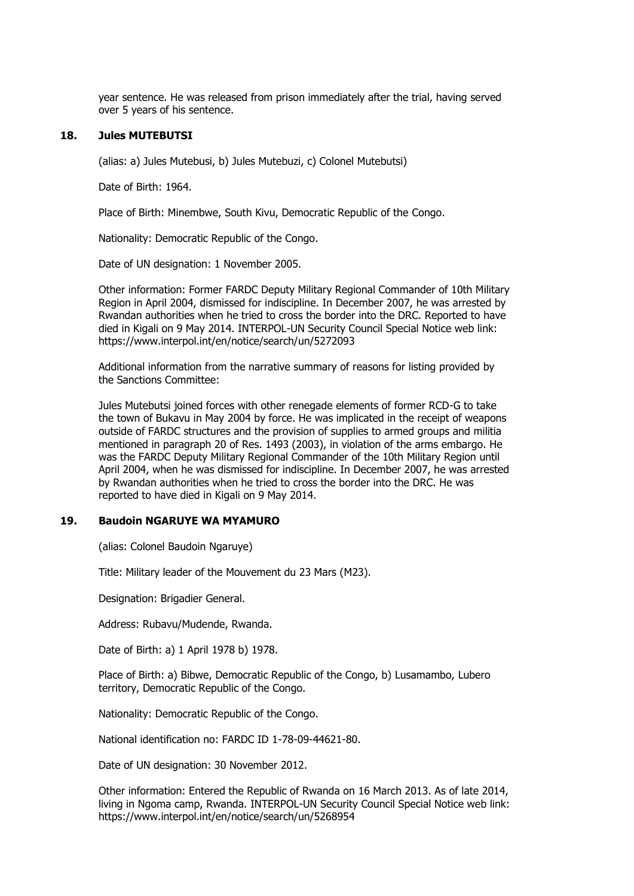year sentence. He was released from prison immediately after the trial, having served over 5 years of his sentence.

#### **18. Jules MUTEBUTSI**

(alias: a) Jules Mutebusi, b) Jules Mutebuzi, c) Colonel Mutebutsi)

Date of Birth: 1964.

Place of Birth: Minembwe, South Kivu, Democratic Republic of the Congo.

Nationality: Democratic Republic of the Congo.

Date of UN designation: 1 November 2005.

Other information: Former FARDC Deputy Military Regional Commander of 10th Military Region in April 2004, dismissed for indiscipline. In December 2007, he was arrested by Rwandan authorities when he tried to cross the border into the DRC. Reported to have died in Kigali on 9 May 2014. INTERPOL-UN Security Council Special Notice web link: https://www.interpol.int/en/notice/search/un/5272093

Additional information from the narrative summary of reasons for listing provided by the Sanctions Committee:

Jules Mutebutsi joined forces with other renegade elements of former RCD-G to take the town of Bukavu in May 2004 by force. He was implicated in the receipt of weapons outside of FARDC structures and the provision of supplies to armed groups and militia mentioned in paragraph 20 of Res. 1493 (2003), in violation of the arms embargo. He was the FARDC Deputy Military Regional Commander of the 10th Military Region until April 2004, when he was dismissed for indiscipline. In December 2007, he was arrested by Rwandan authorities when he tried to cross the border into the DRC. He was reported to have died in Kigali on 9 May 2014.

#### **19. Baudoin NGARUYE WA MYAMURO**

(alias: Colonel Baudoin Ngaruye)

Title: Military leader of the Mouvement du 23 Mars (M23).

Designation: Brigadier General.

Address: Rubavu/Mudende, Rwanda.

Date of Birth: a) 1 April 1978 b) 1978.

Place of Birth: a) Bibwe, Democratic Republic of the Congo, b) Lusamambo, Lubero territory, Democratic Republic of the Congo.

Nationality: Democratic Republic of the Congo.

National identification no: FARDC ID 1-78-09-44621-80.

Date of UN designation: 30 November 2012.

Other information: Entered the Republic of Rwanda on 16 March 2013. As of late 2014, living in Ngoma camp, Rwanda. INTERPOL-UN Security Council Special Notice web link: https://www.interpol.int/en/notice/search/un/5268954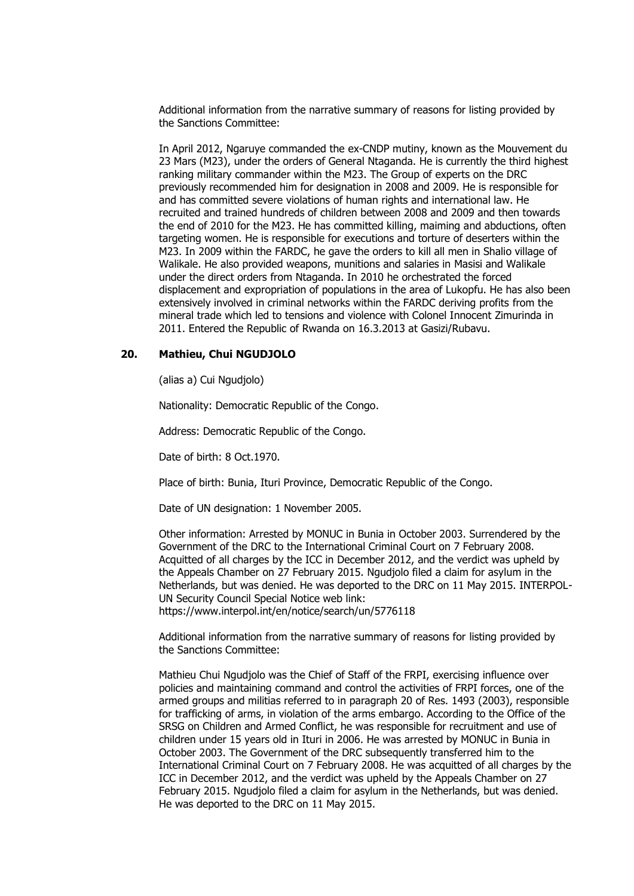In April 2012, Ngaruye commanded the ex-CNDP mutiny, known as the Mouvement du 23 Mars (M23), under the orders of General Ntaganda. He is currently the third highest ranking military commander within the M23. The Group of experts on the DRC previously recommended him for designation in 2008 and 2009. He is responsible for and has committed severe violations of human rights and international law. He recruited and trained hundreds of children between 2008 and 2009 and then towards the end of 2010 for the M23. He has committed killing, maiming and abductions, often targeting women. He is responsible for executions and torture of deserters within the M23. In 2009 within the FARDC, he gave the orders to kill all men in Shalio village of Walikale. He also provided weapons, munitions and salaries in Masisi and Walikale under the direct orders from Ntaganda. In 2010 he orchestrated the forced displacement and expropriation of populations in the area of Lukopfu. He has also been extensively involved in criminal networks within the FARDC deriving profits from the mineral trade which led to tensions and violence with Colonel Innocent Zimurinda in 2011. Entered the Republic of Rwanda on 16.3.2013 at Gasizi/Rubavu.

#### **20. Mathieu, Chui NGUDJOLO**

(alias a) Cui Ngudjolo)

Nationality: Democratic Republic of the Congo.

Address: Democratic Republic of the Congo.

Date of birth: 8 Oct.1970.

Place of birth: Bunia, Ituri Province, Democratic Republic of the Congo.

Date of UN designation: 1 November 2005.

Other information: Arrested by MONUC in Bunia in October 2003. Surrendered by the Government of the DRC to the International Criminal Court on 7 February 2008. Acquitted of all charges by the ICC in December 2012, and the verdict was upheld by the Appeals Chamber on 27 February 2015. Ngudjolo filed a claim for asylum in the Netherlands, but was denied. He was deported to the DRC on 11 May 2015. INTERPOL-UN Security Council Special Notice web link: https://www.interpol.int/en/notice/search/un/5776118

Additional information from the narrative summary of reasons for listing provided by the Sanctions Committee:

Mathieu Chui Ngudjolo was the Chief of Staff of the FRPI, exercising influence over policies and maintaining command and control the activities of FRPI forces, one of the armed groups and militias referred to in paragraph 20 of Res. 1493 (2003), responsible for trafficking of arms, in violation of the arms embargo. According to the Office of the SRSG on Children and Armed Conflict, he was responsible for recruitment and use of children under 15 years old in Ituri in 2006. He was arrested by MONUC in Bunia in October 2003. The Government of the DRC subsequently transferred him to the International Criminal Court on 7 February 2008. He was acquitted of all charges by the ICC in December 2012, and the verdict was upheld by the Appeals Chamber on 27 February 2015. Ngudjolo filed a claim for asylum in the Netherlands, but was denied. He was deported to the DRC on 11 May 2015.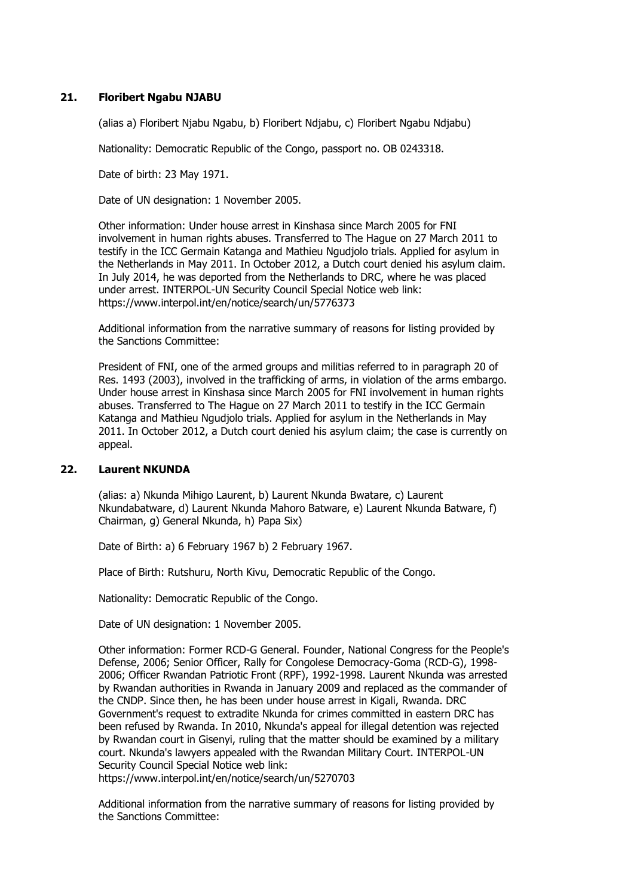### **21. Floribert Ngabu NJABU**

(alias a) Floribert Njabu Ngabu, b) Floribert Ndjabu, c) Floribert Ngabu Ndjabu)

Nationality: Democratic Republic of the Congo, passport no. OB 0243318.

Date of birth: 23 May 1971.

Date of UN designation: 1 November 2005.

Other information: Under house arrest in Kinshasa since March 2005 for FNI involvement in human rights abuses. Transferred to The Hague on 27 March 2011 to testify in the ICC Germain Katanga and Mathieu Ngudjolo trials. Applied for asylum in the Netherlands in May 2011. In October 2012, a Dutch court denied his asylum claim. In July 2014, he was deported from the Netherlands to DRC, where he was placed under arrest. INTERPOL-UN Security Council Special Notice web link: https://www.interpol.int/en/notice/search/un/5776373

Additional information from the narrative summary of reasons for listing provided by the Sanctions Committee:

President of FNI, one of the armed groups and militias referred to in paragraph 20 of Res. 1493 (2003), involved in the trafficking of arms, in violation of the arms embargo. Under house arrest in Kinshasa since March 2005 for FNI involvement in human rights abuses. Transferred to The Hague on 27 March 2011 to testify in the ICC Germain Katanga and Mathieu Ngudjolo trials. Applied for asylum in the Netherlands in May 2011. In October 2012, a Dutch court denied his asylum claim; the case is currently on appeal.

#### **22. Laurent NKUNDA**

(alias: a) Nkunda Mihigo Laurent, b) Laurent Nkunda Bwatare, c) Laurent Nkundabatware, d) Laurent Nkunda Mahoro Batware, e) Laurent Nkunda Batware, f) Chairman, g) General Nkunda, h) Papa Six)

Date of Birth: a) 6 February 1967 b) 2 February 1967.

Place of Birth: Rutshuru, North Kivu, Democratic Republic of the Congo.

Nationality: Democratic Republic of the Congo.

Date of UN designation: 1 November 2005.

Other information: Former RCD-G General. Founder, National Congress for the People's Defense, 2006; Senior Officer, Rally for Congolese Democracy-Goma (RCD-G), 1998- 2006; Officer Rwandan Patriotic Front (RPF), 1992-1998. Laurent Nkunda was arrested by Rwandan authorities in Rwanda in January 2009 and replaced as the commander of the CNDP. Since then, he has been under house arrest in Kigali, Rwanda. DRC Government's request to extradite Nkunda for crimes committed in eastern DRC has been refused by Rwanda. In 2010, Nkunda's appeal for illegal detention was rejected by Rwandan court in Gisenyi, ruling that the matter should be examined by a military court. Nkunda's lawyers appealed with the Rwandan Military Court. INTERPOL-UN Security Council Special Notice web link:

https://www.interpol.int/en/notice/search/un/5270703

Additional information from the narrative summary of reasons for listing provided by the Sanctions Committee: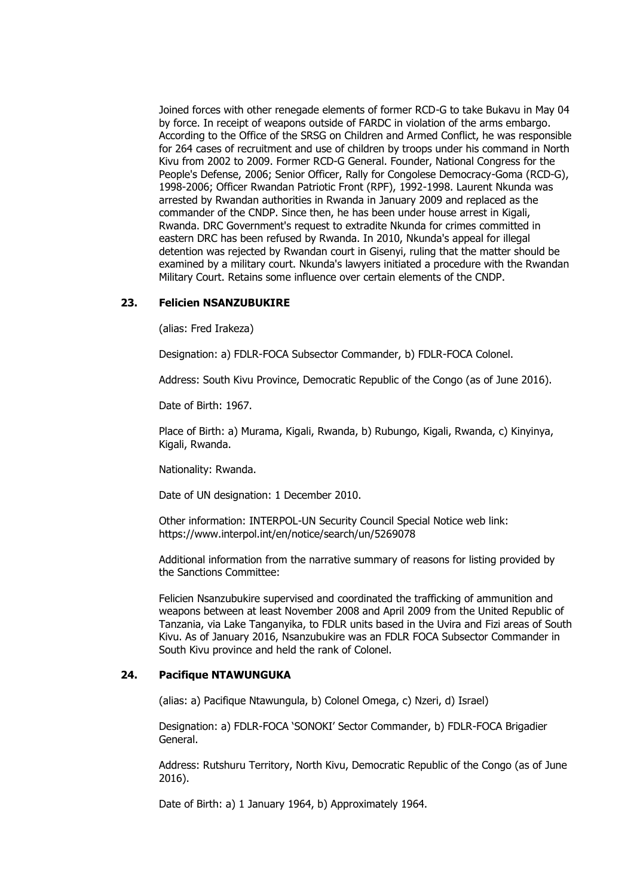Joined forces with other renegade elements of former RCD-G to take Bukavu in May 04 by force. In receipt of weapons outside of FARDC in violation of the arms embargo. According to the Office of the SRSG on Children and Armed Conflict, he was responsible for 264 cases of recruitment and use of children by troops under his command in North Kivu from 2002 to 2009. Former RCD-G General. Founder, National Congress for the People's Defense, 2006; Senior Officer, Rally for Congolese Democracy-Goma (RCD-G), 1998-2006; Officer Rwandan Patriotic Front (RPF), 1992-1998. Laurent Nkunda was arrested by Rwandan authorities in Rwanda in January 2009 and replaced as the commander of the CNDP. Since then, he has been under house arrest in Kigali, Rwanda. DRC Government's request to extradite Nkunda for crimes committed in eastern DRC has been refused by Rwanda. In 2010, Nkunda's appeal for illegal detention was rejected by Rwandan court in Gisenyi, ruling that the matter should be examined by a military court. Nkunda's lawyers initiated a procedure with the Rwandan Military Court. Retains some influence over certain elements of the CNDP.

#### **23. Felicien NSANZUBUKIRE**

(alias: Fred Irakeza)

Designation: a) FDLR-FOCA Subsector Commander, b) FDLR-FOCA Colonel.

Address: South Kivu Province, Democratic Republic of the Congo (as of June 2016).

Date of Birth: 1967.

Place of Birth: a) Murama, Kigali, Rwanda, b) Rubungo, Kigali, Rwanda, c) Kinyinya, Kigali, Rwanda.

Nationality: Rwanda.

Date of UN designation: 1 December 2010.

Other information: INTERPOL-UN Security Council Special Notice web link: https://www.interpol.int/en/notice/search/un/5269078

Additional information from the narrative summary of reasons for listing provided by the Sanctions Committee:

Felicien Nsanzubukire supervised and coordinated the trafficking of ammunition and weapons between at least November 2008 and April 2009 from the United Republic of Tanzania, via Lake Tanganyika, to FDLR units based in the Uvira and Fizi areas of South Kivu. As of January 2016, Nsanzubukire was an FDLR FOCA Subsector Commander in South Kivu province and held the rank of Colonel.

#### **24. Pacifique NTAWUNGUKA**

(alias: a) Pacifique Ntawungula, b) Colonel Omega, c) Nzeri, d) Israel)

Designation: a) FDLR-FOCA 'SONOKI' Sector Commander, b) FDLR-FOCA Brigadier General.

Address: Rutshuru Territory, North Kivu, Democratic Republic of the Congo (as of June 2016).

Date of Birth: a) 1 January 1964, b) Approximately 1964.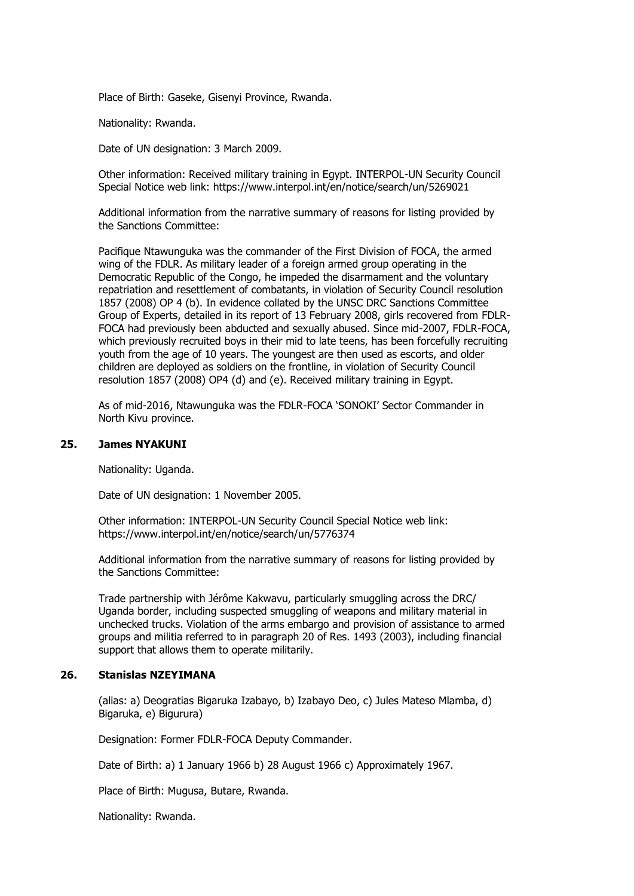Place of Birth: Gaseke, Gisenyi Province, Rwanda.

Nationality: Rwanda.

Date of UN designation: 3 March 2009.

Other information: Received military training in Egypt. INTERPOL-UN Security Council Special Notice web link: https://www.interpol.int/en/notice/search/un/5269021

Additional information from the narrative summary of reasons for listing provided by the Sanctions Committee:

Pacifique Ntawunguka was the commander of the First Division of FOCA, the armed wing of the FDLR. As military leader of a foreign armed group operating in the Democratic Republic of the Congo, he impeded the disarmament and the voluntary repatriation and resettlement of combatants, in violation of Security Council resolution 1857 (2008) OP 4 (b). In evidence collated by the UNSC DRC Sanctions Committee Group of Experts, detailed in its report of 13 February 2008, girls recovered from FDLR-FOCA had previously been abducted and sexually abused. Since mid-2007, FDLR-FOCA, which previously recruited boys in their mid to late teens, has been forcefully recruiting youth from the age of 10 years. The youngest are then used as escorts, and older children are deployed as soldiers on the frontline, in violation of Security Council resolution 1857 (2008) OP4 (d) and (e). Received military training in Egypt.

As of mid-2016, Ntawunguka was the FDLR-FOCA 'SONOKI' Sector Commander in North Kivu province.

#### **25. James NYAKUNI**

Nationality: Uganda.

Date of UN designation: 1 November 2005.

Other information: INTERPOL-UN Security Council Special Notice web link: https://www.interpol.int/en/notice/search/un/5776374

Additional information from the narrative summary of reasons for listing provided by the Sanctions Committee:

Trade partnership with Jérôme Kakwavu, particularly smuggling across the DRC/ Uganda border, including suspected smuggling of weapons and military material in unchecked trucks. Violation of the arms embargo and provision of assistance to armed groups and militia referred to in paragraph 20 of Res. 1493 (2003), including financial support that allows them to operate militarily.

### **26. Stanislas NZEYIMANA**

(alias: a) Deogratias Bigaruka Izabayo, b) Izabayo Deo, c) Jules Mateso Mlamba, d) Bigaruka, e) Bigurura)

Designation: Former FDLR-FOCA Deputy Commander.

Date of Birth: a) 1 January 1966 b) 28 August 1966 c) Approximately 1967.

Place of Birth: Mugusa, Butare, Rwanda.

Nationality: Rwanda.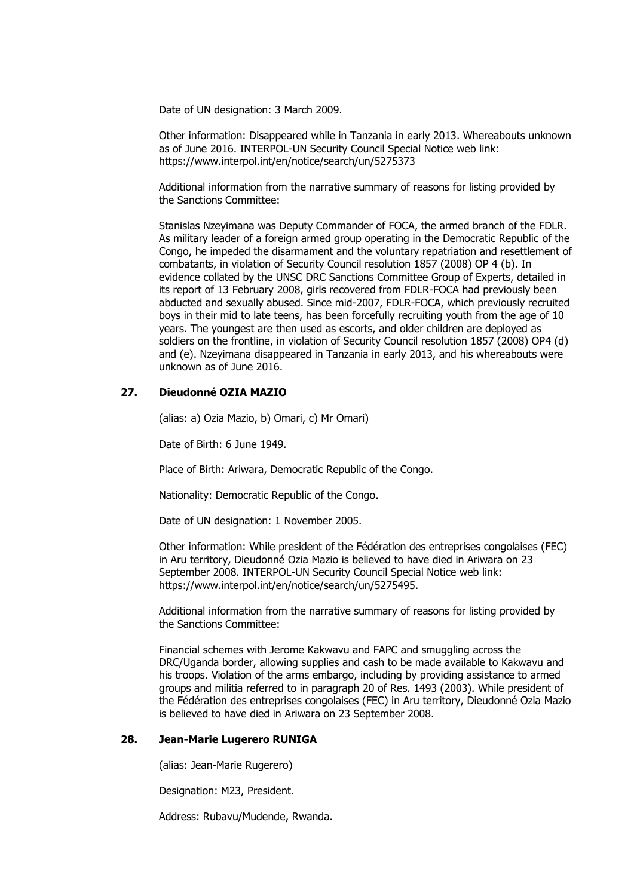Date of UN designation: 3 March 2009.

Other information: Disappeared while in Tanzania in early 2013. Whereabouts unknown as of June 2016. INTERPOL-UN Security Council Special Notice web link: https://www.interpol.int/en/notice/search/un/5275373

Additional information from the narrative summary of reasons for listing provided by the Sanctions Committee:

Stanislas Nzeyimana was Deputy Commander of FOCA, the armed branch of the FDLR. As military leader of a foreign armed group operating in the Democratic Republic of the Congo, he impeded the disarmament and the voluntary repatriation and resettlement of combatants, in violation of Security Council resolution 1857 (2008) OP 4 (b). In evidence collated by the UNSC DRC Sanctions Committee Group of Experts, detailed in its report of 13 February 2008, girls recovered from FDLR-FOCA had previously been abducted and sexually abused. Since mid-2007, FDLR-FOCA, which previously recruited boys in their mid to late teens, has been forcefully recruiting youth from the age of 10 years. The youngest are then used as escorts, and older children are deployed as soldiers on the frontline, in violation of Security Council resolution 1857 (2008) OP4 (d) and (e). Nzeyimana disappeared in Tanzania in early 2013, and his whereabouts were unknown as of June 2016.

### **27. Dieudonné OZIA MAZIO**

(alias: a) Ozia Mazio, b) Omari, c) Mr Omari)

Date of Birth: 6 June 1949.

Place of Birth: Ariwara, Democratic Republic of the Congo.

Nationality: Democratic Republic of the Congo.

Date of UN designation: 1 November 2005.

Other information: While president of the Fédération des entreprises congolaises (FEC) in Aru territory, Dieudonné Ozia Mazio is believed to have died in Ariwara on 23 September 2008. INTERPOL-UN Security Council Special Notice web link: https://www.interpol.int/en/notice/search/un/5275495.

Additional information from the narrative summary of reasons for listing provided by the Sanctions Committee:

Financial schemes with Jerome Kakwavu and FAPC and smuggling across the DRC/Uganda border, allowing supplies and cash to be made available to Kakwavu and his troops. Violation of the arms embargo, including by providing assistance to armed groups and militia referred to in paragraph 20 of Res. 1493 (2003). While president of the Fédération des entreprises congolaises (FEC) in Aru territory, Dieudonné Ozia Mazio is believed to have died in Ariwara on 23 September 2008.

### **28. Jean-Marie Lugerero RUNIGA**

(alias: Jean-Marie Rugerero)

Designation: M23, President.

Address: Rubavu/Mudende, Rwanda.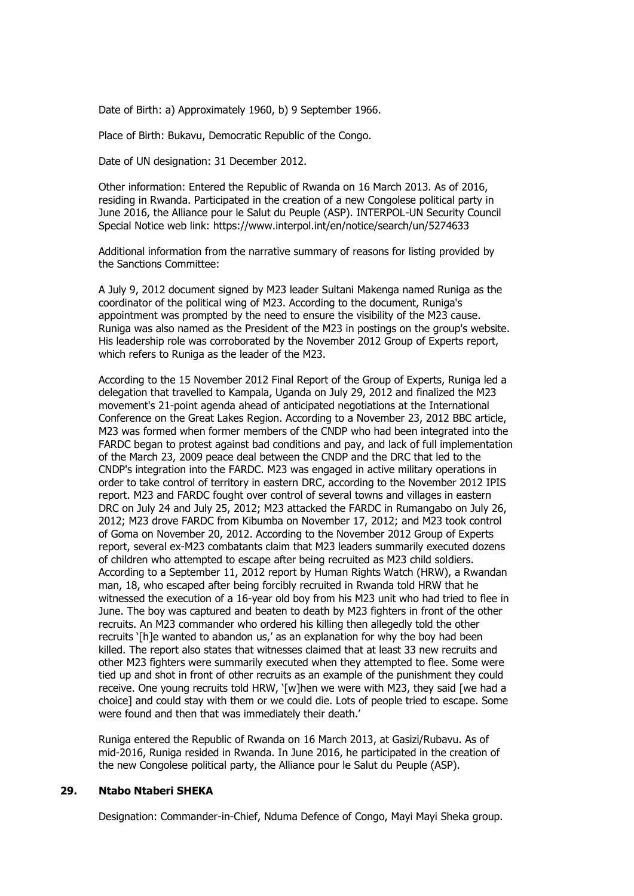Date of Birth: a) Approximately 1960, b) 9 September 1966.

Place of Birth: Bukavu, Democratic Republic of the Congo.

Date of UN designation: 31 December 2012.

Other information: Entered the Republic of Rwanda on 16 March 2013. As of 2016, residing in Rwanda. Participated in the creation of a new Congolese political party in June 2016, the Alliance pour le Salut du Peuple (ASP). INTERPOL-UN Security Council Special Notice web link: https://www.interpol.int/en/notice/search/un/5274633

Additional information from the narrative summary of reasons for listing provided by the Sanctions Committee:

A July 9, 2012 document signed by M23 leader Sultani Makenga named Runiga as the coordinator of the political wing of M23. According to the document, Runiga's appointment was prompted by the need to ensure the visibility of the M23 cause. Runiga was also named as the President of the M23 in postings on the group's website. His leadership role was corroborated by the November 2012 Group of Experts report, which refers to Runiga as the leader of the M23.

According to the 15 November 2012 Final Report of the Group of Experts, Runiga led a delegation that travelled to Kampala, Uganda on July 29, 2012 and finalized the M23 movement's 21-point agenda ahead of anticipated negotiations at the International Conference on the Great Lakes Region. According to a November 23, 2012 BBC article, M23 was formed when former members of the CNDP who had been integrated into the FARDC began to protest against bad conditions and pay, and lack of full implementation of the March 23, 2009 peace deal between the CNDP and the DRC that led to the CNDP's integration into the FARDC. M23 was engaged in active military operations in order to take control of territory in eastern DRC, according to the November 2012 IPIS report. M23 and FARDC fought over control of several towns and villages in eastern DRC on July 24 and July 25, 2012; M23 attacked the FARDC in Rumangabo on July 26, 2012; M23 drove FARDC from Kibumba on November 17, 2012; and M23 took control of Goma on November 20, 2012. According to the November 2012 Group of Experts report, several ex-M23 combatants claim that M23 leaders summarily executed dozens of children who attempted to escape after being recruited as M23 child soldiers. According to a September 11, 2012 report by Human Rights Watch (HRW), a Rwandan man, 18, who escaped after being forcibly recruited in Rwanda told HRW that he witnessed the execution of a 16-year old boy from his M23 unit who had tried to flee in June. The boy was captured and beaten to death by M23 fighters in front of the other recruits. An M23 commander who ordered his killing then allegedly told the other recruits '[h]e wanted to abandon us,' as an explanation for why the boy had been killed. The report also states that witnesses claimed that at least 33 new recruits and other M23 fighters were summarily executed when they attempted to flee. Some were tied up and shot in front of other recruits as an example of the punishment they could receive. One young recruits told HRW, '[w]hen we were with M23, they said [we had a choice] and could stay with them or we could die. Lots of people tried to escape. Some were found and then that was immediately their death.'

Runiga entered the Republic of Rwanda on 16 March 2013, at Gasizi/Rubavu. As of mid-2016, Runiga resided in Rwanda. In June 2016, he participated in the creation of the new Congolese political party, the Alliance pour le Salut du Peuple (ASP).

#### **29. Ntabo Ntaberi SHEKA**

Designation: Commander-in-Chief, Nduma Defence of Congo, Mayi Mayi Sheka group.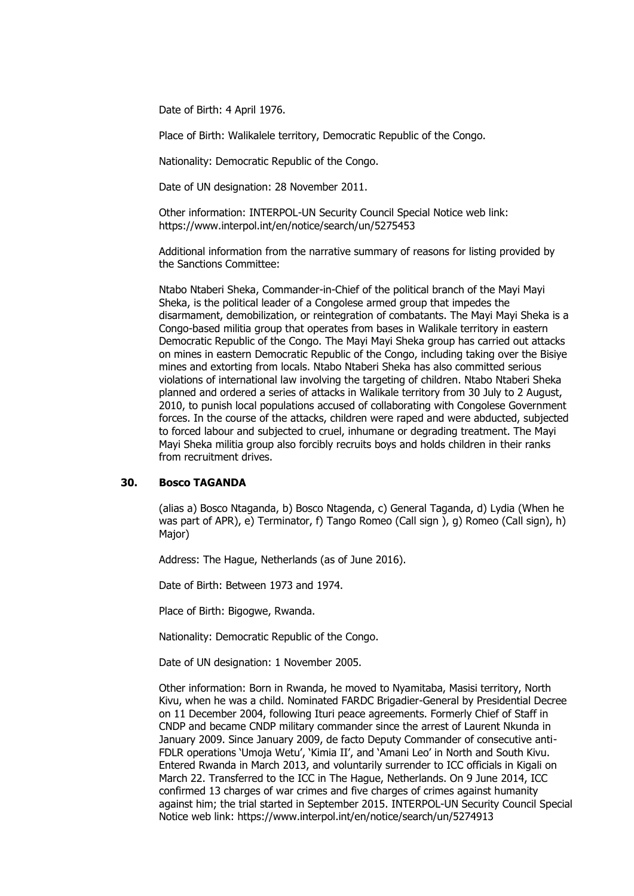Date of Birth: 4 April 1976.

Place of Birth: Walikalele territory, Democratic Republic of the Congo.

Nationality: Democratic Republic of the Congo.

Date of UN designation: 28 November 2011.

Other information: INTERPOL-UN Security Council Special Notice web link: https://www.interpol.int/en/notice/search/un/5275453

Additional information from the narrative summary of reasons for listing provided by the Sanctions Committee:

Ntabo Ntaberi Sheka, Commander-in-Chief of the political branch of the Mayi Mayi Sheka, is the political leader of a Congolese armed group that impedes the disarmament, demobilization, or reintegration of combatants. The Mayi Mayi Sheka is a Congo-based militia group that operates from bases in Walikale territory in eastern Democratic Republic of the Congo. The Mayi Mayi Sheka group has carried out attacks on mines in eastern Democratic Republic of the Congo, including taking over the Bisiye mines and extorting from locals. Ntabo Ntaberi Sheka has also committed serious violations of international law involving the targeting of children. Ntabo Ntaberi Sheka planned and ordered a series of attacks in Walikale territory from 30 July to 2 August, 2010, to punish local populations accused of collaborating with Congolese Government forces. In the course of the attacks, children were raped and were abducted, subjected to forced labour and subjected to cruel, inhumane or degrading treatment. The Mayi Mayi Sheka militia group also forcibly recruits boys and holds children in their ranks from recruitment drives.

### **30. Bosco TAGANDA**

(alias a) Bosco Ntaganda, b) Bosco Ntagenda, c) General Taganda, d) Lydia (When he was part of APR), e) Terminator, f) Tango Romeo (Call sign), g) Romeo (Call sign), h) Major)

Address: The Hague, Netherlands (as of June 2016).

Date of Birth: Between 1973 and 1974.

Place of Birth: Bigogwe, Rwanda.

Nationality: Democratic Republic of the Congo.

Date of UN designation: 1 November 2005.

Other information: Born in Rwanda, he moved to Nyamitaba, Masisi territory, North Kivu, when he was a child. Nominated FARDC Brigadier-General by Presidential Decree on 11 December 2004, following Ituri peace agreements. Formerly Chief of Staff in CNDP and became CNDP military commander since the arrest of Laurent Nkunda in January 2009. Since January 2009, de facto Deputy Commander of consecutive anti-FDLR operations 'Umoja Wetu', 'Kimia II', and 'Amani Leo' in North and South Kivu. Entered Rwanda in March 2013, and voluntarily surrender to ICC officials in Kigali on March 22. Transferred to the ICC in The Hague, Netherlands. On 9 June 2014, ICC confirmed 13 charges of war crimes and five charges of crimes against humanity against him; the trial started in September 2015. INTERPOL-UN Security Council Special Notice web link: https://www.interpol.int/en/notice/search/un/5274913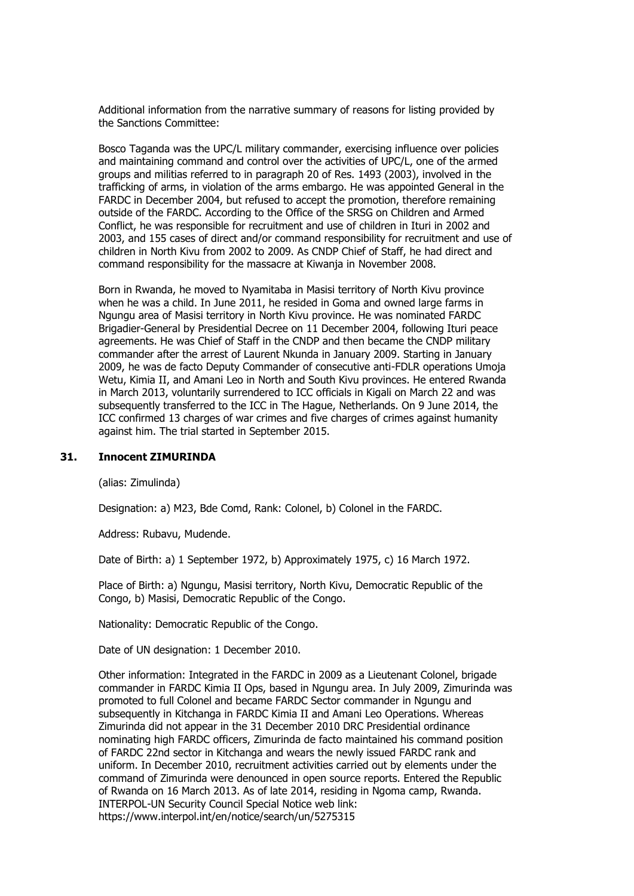Bosco Taganda was the UPC/L military commander, exercising influence over policies and maintaining command and control over the activities of UPC/L, one of the armed groups and militias referred to in paragraph 20 of Res. 1493 (2003), involved in the trafficking of arms, in violation of the arms embargo. He was appointed General in the FARDC in December 2004, but refused to accept the promotion, therefore remaining outside of the FARDC. According to the Office of the SRSG on Children and Armed Conflict, he was responsible for recruitment and use of children in Ituri in 2002 and 2003, and 155 cases of direct and/or command responsibility for recruitment and use of children in North Kivu from 2002 to 2009. As CNDP Chief of Staff, he had direct and command responsibility for the massacre at Kiwanja in November 2008.

Born in Rwanda, he moved to Nyamitaba in Masisi territory of North Kivu province when he was a child. In June 2011, he resided in Goma and owned large farms in Ngungu area of Masisi territory in North Kivu province. He was nominated FARDC Brigadier-General by Presidential Decree on 11 December 2004, following Ituri peace agreements. He was Chief of Staff in the CNDP and then became the CNDP military commander after the arrest of Laurent Nkunda in January 2009. Starting in January 2009, he was de facto Deputy Commander of consecutive anti-FDLR operations Umoja Wetu, Kimia II, and Amani Leo in North and South Kivu provinces. He entered Rwanda in March 2013, voluntarily surrendered to ICC officials in Kigali on March 22 and was subsequently transferred to the ICC in The Hague, Netherlands. On 9 June 2014, the ICC confirmed 13 charges of war crimes and five charges of crimes against humanity against him. The trial started in September 2015.

#### **31. Innocent ZIMURINDA**

(alias: Zimulinda)

Designation: a) M23, Bde Comd, Rank: Colonel, b) Colonel in the FARDC.

Address: Rubavu, Mudende.

Date of Birth: a) 1 September 1972, b) Approximately 1975, c) 16 March 1972.

Place of Birth: a) Ngungu, Masisi territory, North Kivu, Democratic Republic of the Congo, b) Masisi, Democratic Republic of the Congo.

Nationality: Democratic Republic of the Congo.

Date of UN designation: 1 December 2010.

Other information: Integrated in the FARDC in 2009 as a Lieutenant Colonel, brigade commander in FARDC Kimia II Ops, based in Ngungu area. In July 2009, Zimurinda was promoted to full Colonel and became FARDC Sector commander in Ngungu and subsequently in Kitchanga in FARDC Kimia II and Amani Leo Operations. Whereas Zimurinda did not appear in the 31 December 2010 DRC Presidential ordinance nominating high FARDC officers, Zimurinda de facto maintained his command position of FARDC 22nd sector in Kitchanga and wears the newly issued FARDC rank and uniform. In December 2010, recruitment activities carried out by elements under the command of Zimurinda were denounced in open source reports. Entered the Republic of Rwanda on 16 March 2013. As of late 2014, residing in Ngoma camp, Rwanda. INTERPOL-UN Security Council Special Notice web link: https://www.interpol.int/en/notice/search/un/5275315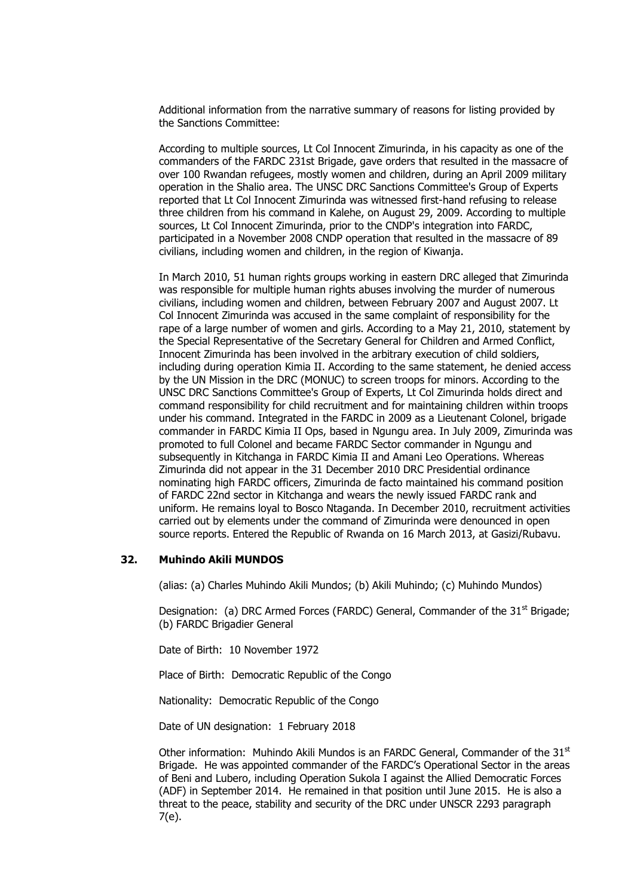According to multiple sources, Lt Col Innocent Zimurinda, in his capacity as one of the commanders of the FARDC 231st Brigade, gave orders that resulted in the massacre of over 100 Rwandan refugees, mostly women and children, during an April 2009 military operation in the Shalio area. The UNSC DRC Sanctions Committee's Group of Experts reported that Lt Col Innocent Zimurinda was witnessed first-hand refusing to release three children from his command in Kalehe, on August 29, 2009. According to multiple sources, Lt Col Innocent Zimurinda, prior to the CNDP's integration into FARDC, participated in a November 2008 CNDP operation that resulted in the massacre of 89 civilians, including women and children, in the region of Kiwanja.

In March 2010, 51 human rights groups working in eastern DRC alleged that Zimurinda was responsible for multiple human rights abuses involving the murder of numerous civilians, including women and children, between February 2007 and August 2007. Lt Col Innocent Zimurinda was accused in the same complaint of responsibility for the rape of a large number of women and girls. According to a May 21, 2010, statement by the Special Representative of the Secretary General for Children and Armed Conflict, Innocent Zimurinda has been involved in the arbitrary execution of child soldiers, including during operation Kimia II. According to the same statement, he denied access by the UN Mission in the DRC (MONUC) to screen troops for minors. According to the UNSC DRC Sanctions Committee's Group of Experts, Lt Col Zimurinda holds direct and command responsibility for child recruitment and for maintaining children within troops under his command. Integrated in the FARDC in 2009 as a Lieutenant Colonel, brigade commander in FARDC Kimia II Ops, based in Ngungu area. In July 2009, Zimurinda was promoted to full Colonel and became FARDC Sector commander in Ngungu and subsequently in Kitchanga in FARDC Kimia II and Amani Leo Operations. Whereas Zimurinda did not appear in the 31 December 2010 DRC Presidential ordinance nominating high FARDC officers, Zimurinda de facto maintained his command position of FARDC 22nd sector in Kitchanga and wears the newly issued FARDC rank and uniform. He remains loyal to Bosco Ntaganda. In December 2010, recruitment activities carried out by elements under the command of Zimurinda were denounced in open source reports. Entered the Republic of Rwanda on 16 March 2013, at Gasizi/Rubavu.

# **32. Muhindo Akili MUNDOS**

(alias: (a) Charles Muhindo Akili Mundos; (b) Akili Muhindo; (c) Muhindo Mundos)

Designation: (a) DRC Armed Forces (FARDC) General, Commander of the  $31<sup>st</sup>$  Brigade; (b) FARDC Brigadier General

Date of Birth: 10 November 1972

Place of Birth: Democratic Republic of the Congo

Nationality: Democratic Republic of the Congo

Date of UN designation: 1 February 2018

Other information: Muhindo Akili Mundos is an FARDC General, Commander of the  $31<sup>st</sup>$ Brigade. He was appointed commander of the FARDC's Operational Sector in the areas of Beni and Lubero, including Operation Sukola I against the Allied Democratic Forces (ADF) in September 2014. He remained in that position until June 2015. He is also a threat to the peace, stability and security of the DRC under UNSCR 2293 paragraph 7(e).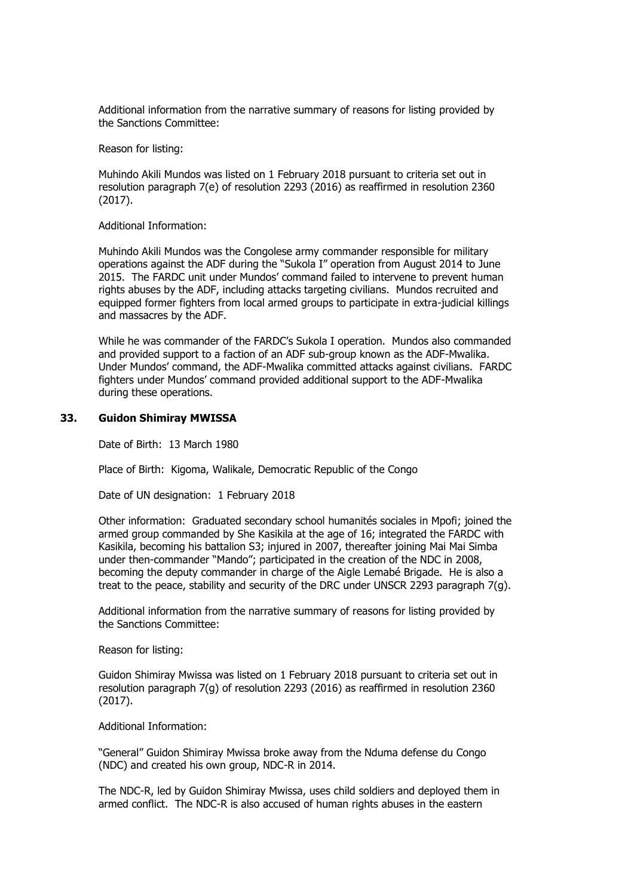#### Reason for listing:

Muhindo Akili Mundos was listed on 1 February 2018 pursuant to criteria set out in resolution paragraph 7(e) of resolution 2293 (2016) as reaffirmed in resolution 2360 (2017).

#### Additional Information:

Muhindo Akili Mundos was the Congolese army commander responsible for military operations against the ADF during the "Sukola I" operation from August 2014 to June 2015. The FARDC unit under Mundos' command failed to intervene to prevent human rights abuses by the ADF, including attacks targeting civilians. Mundos recruited and equipped former fighters from local armed groups to participate in extra-judicial killings and massacres by the ADF.

While he was commander of the FARDC's Sukola I operation. Mundos also commanded and provided support to a faction of an ADF sub-group known as the ADF-Mwalika. Under Mundos' command, the ADF-Mwalika committed attacks against civilians. FARDC fighters under Mundos' command provided additional support to the ADF-Mwalika during these operations.

#### **33. Guidon Shimiray MWISSA**

Date of Birth: 13 March 1980

Place of Birth: Kigoma, Walikale, Democratic Republic of the Congo

Date of UN designation: 1 February 2018

Other information: Graduated secondary school humanités sociales in Mpofi; joined the armed group commanded by She Kasikila at the age of 16; integrated the FARDC with Kasikila, becoming his battalion S3; injured in 2007, thereafter joining Mai Mai Simba under then-commander "Mando"; participated in the creation of the NDC in 2008, becoming the deputy commander in charge of the Aigle Lemabé Brigade. He is also a treat to the peace, stability and security of the DRC under UNSCR 2293 paragraph  $7(q)$ .

Additional information from the narrative summary of reasons for listing provided by the Sanctions Committee:

#### Reason for listing:

Guidon Shimiray Mwissa was listed on 1 February 2018 pursuant to criteria set out in resolution paragraph 7(g) of resolution 2293 (2016) as reaffirmed in resolution 2360 (2017).

#### Additional Information:

"General" Guidon Shimiray Mwissa broke away from the Nduma defense du Congo (NDC) and created his own group, NDC-R in 2014.

The NDC-R, led by Guidon Shimiray Mwissa, uses child soldiers and deployed them in armed conflict. The NDC-R is also accused of human rights abuses in the eastern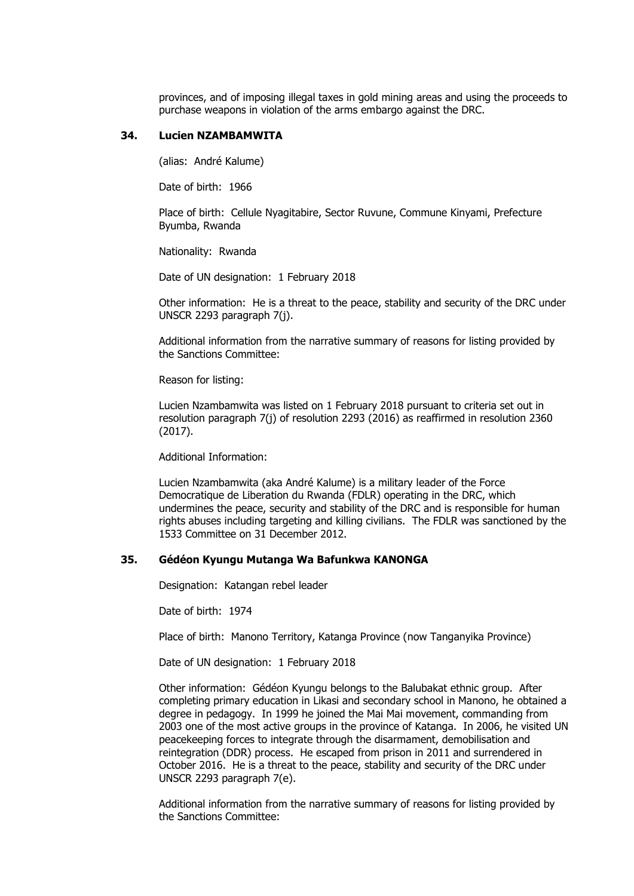provinces, and of imposing illegal taxes in gold mining areas and using the proceeds to purchase weapons in violation of the arms embargo against the DRC.

#### **34. Lucien NZAMBAMWITA**

(alias: André Kalume)

Date of birth: 1966

Place of birth: Cellule Nyagitabire, Sector Ruvune, Commune Kinyami, Prefecture Byumba, Rwanda

Nationality: Rwanda

Date of UN designation: 1 February 2018

Other information: He is a threat to the peace, stability and security of the DRC under UNSCR 2293 paragraph 7(j).

Additional information from the narrative summary of reasons for listing provided by the Sanctions Committee:

Reason for listing:

Lucien Nzambamwita was listed on 1 February 2018 pursuant to criteria set out in resolution paragraph 7(j) of resolution 2293 (2016) as reaffirmed in resolution 2360 (2017).

Additional Information:

Lucien Nzambamwita (aka André Kalume) is a military leader of the Force Democratique de Liberation du Rwanda (FDLR) operating in the DRC, which undermines the peace, security and stability of the DRC and is responsible for human rights abuses including targeting and killing civilians. The FDLR was sanctioned by the 1533 Committee on 31 December 2012.

#### **35. Gédéon Kyungu Mutanga Wa Bafunkwa KANONGA**

Designation: Katangan rebel leader

Date of birth: 1974

Place of birth: Manono Territory, Katanga Province (now Tanganyika Province)

Date of UN designation: 1 February 2018

Other information: Gédéon Kyungu belongs to the Balubakat ethnic group. After completing primary education in Likasi and secondary school in Manono, he obtained a degree in pedagogy. In 1999 he joined the Mai Mai movement, commanding from 2003 one of the most active groups in the province of Katanga. In 2006, he visited UN peacekeeping forces to integrate through the disarmament, demobilisation and reintegration (DDR) process. He escaped from prison in 2011 and surrendered in October 2016. He is a threat to the peace, stability and security of the DRC under UNSCR 2293 paragraph 7(e).

Additional information from the narrative summary of reasons for listing provided by the Sanctions Committee: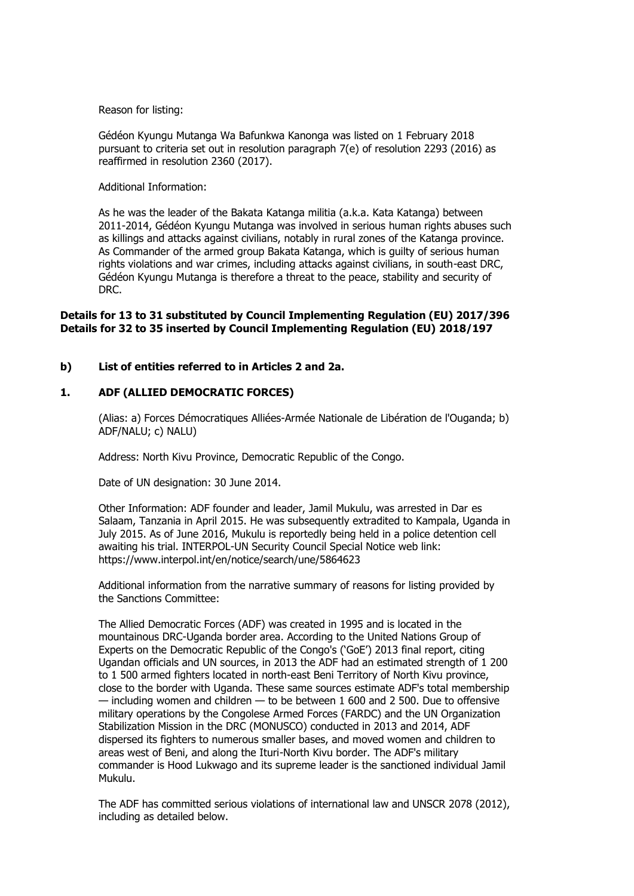Reason for listing:

Gédéon Kyungu Mutanga Wa Bafunkwa Kanonga was listed on 1 February 2018 pursuant to criteria set out in resolution paragraph 7(e) of resolution 2293 (2016) as reaffirmed in resolution 2360 (2017).

#### Additional Information:

As he was the leader of the Bakata Katanga militia (a.k.a. Kata Katanga) between 2011-2014, Gédéon Kyungu Mutanga was involved in serious human rights abuses such as killings and attacks against civilians, notably in rural zones of the Katanga province. As Commander of the armed group Bakata Katanga, which is guilty of serious human rights violations and war crimes, including attacks against civilians, in south-east DRC, Gédéon Kyungu Mutanga is therefore a threat to the peace, stability and security of DRC.

### **Details for 13 to 31 substituted by Council Implementing Regulation (EU) 2017/396 Details for 32 to 35 inserted by Council Implementing Regulation (EU) 2018/197**

### **b) List of entities referred to in Articles 2 and 2a.**

# **1. ADF (ALLIED DEMOCRATIC FORCES)**

(Alias: a) Forces Démocratiques Alliées-Armée Nationale de Libération de l'Ouganda; b) ADF/NALU; c) NALU)

Address: North Kivu Province, Democratic Republic of the Congo.

Date of UN designation: 30 June 2014.

Other Information: ADF founder and leader, Jamil Mukulu, was arrested in Dar es Salaam, Tanzania in April 2015. He was subsequently extradited to Kampala, Uganda in July 2015. As of June 2016, Mukulu is reportedly being held in a police detention cell awaiting his trial. INTERPOL-UN Security Council Special Notice web link: https://www.interpol.int/en/notice/search/une/5864623

Additional information from the narrative summary of reasons for listing provided by the Sanctions Committee:

The Allied Democratic Forces (ADF) was created in 1995 and is located in the mountainous DRC-Uganda border area. According to the United Nations Group of Experts on the Democratic Republic of the Congo's ('GoE') 2013 final report, citing Ugandan officials and UN sources, in 2013 the ADF had an estimated strength of 1 200 to 1 500 armed fighters located in north-east Beni Territory of North Kivu province, close to the border with Uganda. These same sources estimate ADF's total membership — including women and children — to be between 1 600 and 2 500. Due to offensive military operations by the Congolese Armed Forces (FARDC) and the UN Organization Stabilization Mission in the DRC (MONUSCO) conducted in 2013 and 2014, ADF dispersed its fighters to numerous smaller bases, and moved women and children to areas west of Beni, and along the Ituri-North Kivu border. The ADF's military commander is Hood Lukwago and its supreme leader is the sanctioned individual Jamil Mukulu.

The ADF has committed serious violations of international law and UNSCR 2078 (2012), including as detailed below.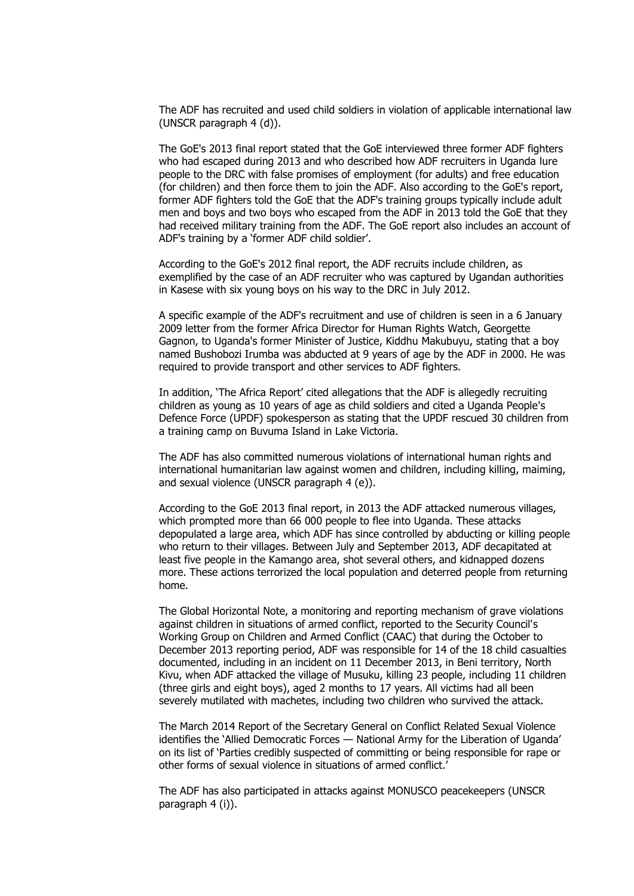The ADF has recruited and used child soldiers in violation of applicable international law (UNSCR paragraph 4 (d)).

The GoE's 2013 final report stated that the GoE interviewed three former ADF fighters who had escaped during 2013 and who described how ADF recruiters in Uganda lure people to the DRC with false promises of employment (for adults) and free education (for children) and then force them to join the ADF. Also according to the GoE's report, former ADF fighters told the GoE that the ADF's training groups typically include adult men and boys and two boys who escaped from the ADF in 2013 told the GoE that they had received military training from the ADF. The GoE report also includes an account of ADF's training by a 'former ADF child soldier'.

According to the GoE's 2012 final report, the ADF recruits include children, as exemplified by the case of an ADF recruiter who was captured by Ugandan authorities in Kasese with six young boys on his way to the DRC in July 2012.

A specific example of the ADF's recruitment and use of children is seen in a 6 January 2009 letter from the former Africa Director for Human Rights Watch, Georgette Gagnon, to Uganda's former Minister of Justice, Kiddhu Makubuyu, stating that a boy named Bushobozi Irumba was abducted at 9 years of age by the ADF in 2000. He was required to provide transport and other services to ADF fighters.

In addition, 'The Africa Report' cited allegations that the ADF is allegedly recruiting children as young as 10 years of age as child soldiers and cited a Uganda People's Defence Force (UPDF) spokesperson as stating that the UPDF rescued 30 children from a training camp on Buvuma Island in Lake Victoria.

The ADF has also committed numerous violations of international human rights and international humanitarian law against women and children, including killing, maiming, and sexual violence (UNSCR paragraph 4 (e)).

According to the GoE 2013 final report, in 2013 the ADF attacked numerous villages, which prompted more than 66 000 people to flee into Uganda. These attacks depopulated a large area, which ADF has since controlled by abducting or killing people who return to their villages. Between July and September 2013, ADF decapitated at least five people in the Kamango area, shot several others, and kidnapped dozens more. These actions terrorized the local population and deterred people from returning home.

The Global Horizontal Note, a monitoring and reporting mechanism of grave violations against children in situations of armed conflict, reported to the Security Council's Working Group on Children and Armed Conflict (CAAC) that during the October to December 2013 reporting period, ADF was responsible for 14 of the 18 child casualties documented, including in an incident on 11 December 2013, in Beni territory, North Kivu, when ADF attacked the village of Musuku, killing 23 people, including 11 children (three girls and eight boys), aged 2 months to 17 years. All victims had all been severely mutilated with machetes, including two children who survived the attack.

The March 2014 Report of the Secretary General on Conflict Related Sexual Violence identifies the 'Allied Democratic Forces — National Army for the Liberation of Uganda' on its list of 'Parties credibly suspected of committing or being responsible for rape or other forms of sexual violence in situations of armed conflict.'

The ADF has also participated in attacks against MONUSCO peacekeepers (UNSCR paragraph 4 (i)).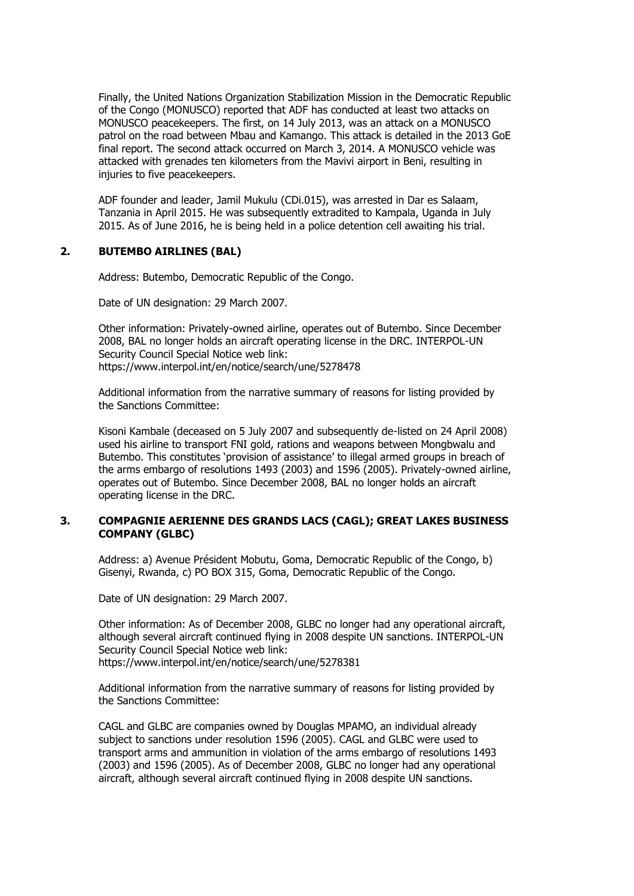Finally, the United Nations Organization Stabilization Mission in the Democratic Republic of the Congo (MONUSCO) reported that ADF has conducted at least two attacks on MONUSCO peacekeepers. The first, on 14 July 2013, was an attack on a MONUSCO patrol on the road between Mbau and Kamango. This attack is detailed in the 2013 GoE final report. The second attack occurred on March 3, 2014. A MONUSCO vehicle was attacked with grenades ten kilometers from the Mavivi airport in Beni, resulting in injuries to five peacekeepers.

ADF founder and leader, Jamil Mukulu (CDi.015), was arrested in Dar es Salaam, Tanzania in April 2015. He was subsequently extradited to Kampala, Uganda in July 2015. As of June 2016, he is being held in a police detention cell awaiting his trial.

### **2. BUTEMBO AIRLINES (BAL)**

Address: Butembo, Democratic Republic of the Congo.

Date of UN designation: 29 March 2007.

Other information: Privately-owned airline, operates out of Butembo. Since December 2008, BAL no longer holds an aircraft operating license in the DRC. INTERPOL-UN Security Council Special Notice web link: https://www.interpol.int/en/notice/search/une/5278478

Additional information from the narrative summary of reasons for listing provided by the Sanctions Committee:

Kisoni Kambale (deceased on 5 July 2007 and subsequently de-listed on 24 April 2008) used his airline to transport FNI gold, rations and weapons between Mongbwalu and Butembo. This constitutes 'provision of assistance' to illegal armed groups in breach of the arms embargo of resolutions 1493 (2003) and 1596 (2005). Privately-owned airline, operates out of Butembo. Since December 2008, BAL no longer holds an aircraft operating license in the DRC.

### **3. COMPAGNIE AERIENNE DES GRANDS LACS (CAGL); GREAT LAKES BUSINESS COMPANY (GLBC)**

Address: a) Avenue Président Mobutu, Goma, Democratic Republic of the Congo, b) Gisenyi, Rwanda, c) PO BOX 315, Goma, Democratic Republic of the Congo.

Date of UN designation: 29 March 2007.

Other information: As of December 2008, GLBC no longer had any operational aircraft, although several aircraft continued flying in 2008 despite UN sanctions. INTERPOL-UN Security Council Special Notice web link: https://www.interpol.int/en/notice/search/une/5278381

Additional information from the narrative summary of reasons for listing provided by the Sanctions Committee:

CAGL and GLBC are companies owned by Douglas MPAMO, an individual already subject to sanctions under resolution 1596 (2005). CAGL and GLBC were used to transport arms and ammunition in violation of the arms embargo of resolutions 1493 (2003) and 1596 (2005). As of December 2008, GLBC no longer had any operational aircraft, although several aircraft continued flying in 2008 despite UN sanctions.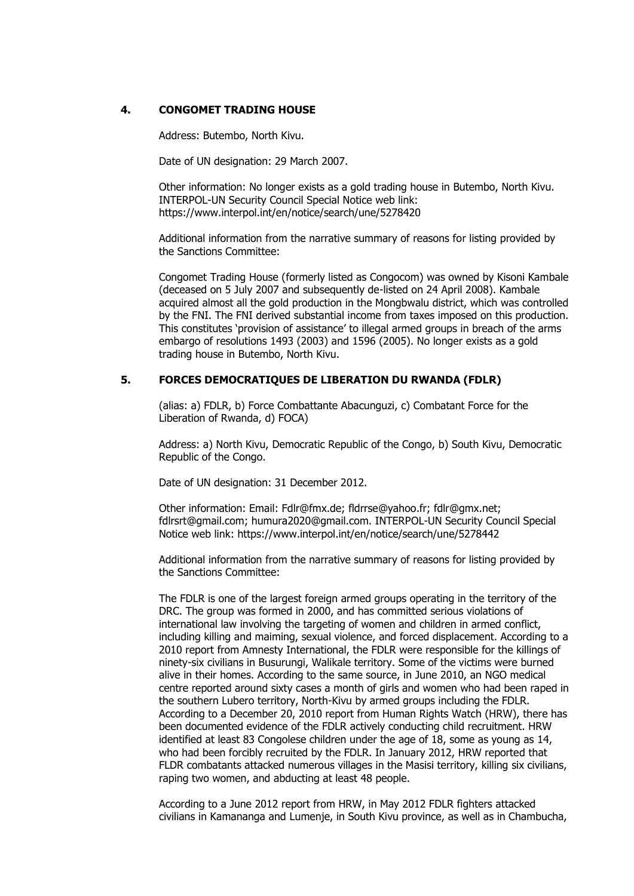# **4. CONGOMET TRADING HOUSE**

Address: Butembo, North Kivu.

Date of UN designation: 29 March 2007.

Other information: No longer exists as a gold trading house in Butembo, North Kivu. INTERPOL-UN Security Council Special Notice web link: https://www.interpol.int/en/notice/search/une/5278420

Additional information from the narrative summary of reasons for listing provided by the Sanctions Committee:

Congomet Trading House (formerly listed as Congocom) was owned by Kisoni Kambale (deceased on 5 July 2007 and subsequently de-listed on 24 April 2008). Kambale acquired almost all the gold production in the Mongbwalu district, which was controlled by the FNI. The FNI derived substantial income from taxes imposed on this production. This constitutes 'provision of assistance' to illegal armed groups in breach of the arms embargo of resolutions 1493 (2003) and 1596 (2005). No longer exists as a gold trading house in Butembo, North Kivu.

# **5. FORCES DEMOCRATIQUES DE LIBERATION DU RWANDA (FDLR)**

(alias: a) FDLR, b) Force Combattante Abacunguzi, c) Combatant Force for the Liberation of Rwanda, d) FOCA)

Address: a) North Kivu, Democratic Republic of the Congo, b) South Kivu, Democratic Republic of the Congo.

Date of UN designation: 31 December 2012.

Other information: Email: Fdlr@fmx.de; fldrrse@yahoo.fr; fdlr@gmx.net; fdlrsrt@gmail.com; humura2020@gmail.com. INTERPOL-UN Security Council Special Notice web link: https://www.interpol.int/en/notice/search/une/5278442

Additional information from the narrative summary of reasons for listing provided by the Sanctions Committee:

The FDLR is one of the largest foreign armed groups operating in the territory of the DRC. The group was formed in 2000, and has committed serious violations of international law involving the targeting of women and children in armed conflict, including killing and maiming, sexual violence, and forced displacement. According to a 2010 report from Amnesty International, the FDLR were responsible for the killings of ninety-six civilians in Busurungi, Walikale territory. Some of the victims were burned alive in their homes. According to the same source, in June 2010, an NGO medical centre reported around sixty cases a month of girls and women who had been raped in the southern Lubero territory, North-Kivu by armed groups including the FDLR. According to a December 20, 2010 report from Human Rights Watch (HRW), there has been documented evidence of the FDLR actively conducting child recruitment. HRW identified at least 83 Congolese children under the age of 18, some as young as 14, who had been forcibly recruited by the FDLR. In January 2012, HRW reported that FLDR combatants attacked numerous villages in the Masisi territory, killing six civilians, raping two women, and abducting at least 48 people.

According to a June 2012 report from HRW, in May 2012 FDLR fighters attacked civilians in Kamananga and Lumenje, in South Kivu province, as well as in Chambucha,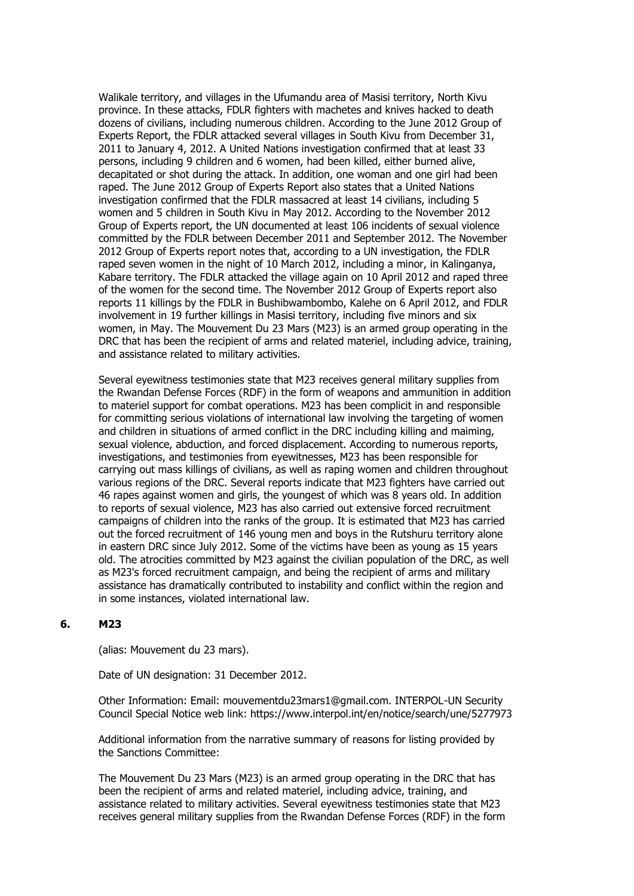Walikale territory, and villages in the Ufumandu area of Masisi territory, North Kivu province. In these attacks, FDLR fighters with machetes and knives hacked to death dozens of civilians, including numerous children. According to the June 2012 Group of Experts Report, the FDLR attacked several villages in South Kivu from December 31, 2011 to January 4, 2012. A United Nations investigation confirmed that at least 33 persons, including 9 children and 6 women, had been killed, either burned alive, decapitated or shot during the attack. In addition, one woman and one girl had been raped. The June 2012 Group of Experts Report also states that a United Nations investigation confirmed that the FDLR massacred at least 14 civilians, including 5 women and 5 children in South Kivu in May 2012. According to the November 2012 Group of Experts report, the UN documented at least 106 incidents of sexual violence committed by the FDLR between December 2011 and September 2012. The November 2012 Group of Experts report notes that, according to a UN investigation, the FDLR raped seven women in the night of 10 March 2012, including a minor, in Kalinganya, Kabare territory. The FDLR attacked the village again on 10 April 2012 and raped three of the women for the second time. The November 2012 Group of Experts report also reports 11 killings by the FDLR in Bushibwambombo, Kalehe on 6 April 2012, and FDLR involvement in 19 further killings in Masisi territory, including five minors and six women, in May. The Mouvement Du 23 Mars (M23) is an armed group operating in the DRC that has been the recipient of arms and related materiel, including advice, training, and assistance related to military activities.

Several eyewitness testimonies state that M23 receives general military supplies from the Rwandan Defense Forces (RDF) in the form of weapons and ammunition in addition to materiel support for combat operations. M23 has been complicit in and responsible for committing serious violations of international law involving the targeting of women and children in situations of armed conflict in the DRC including killing and maiming, sexual violence, abduction, and forced displacement. According to numerous reports, investigations, and testimonies from eyewitnesses, M23 has been responsible for carrying out mass killings of civilians, as well as raping women and children throughout various regions of the DRC. Several reports indicate that M23 fighters have carried out 46 rapes against women and girls, the youngest of which was 8 years old. In addition to reports of sexual violence, M23 has also carried out extensive forced recruitment campaigns of children into the ranks of the group. It is estimated that M23 has carried out the forced recruitment of 146 young men and boys in the Rutshuru territory alone in eastern DRC since July 2012. Some of the victims have been as young as 15 years old. The atrocities committed by M23 against the civilian population of the DRC, as well as M23's forced recruitment campaign, and being the recipient of arms and military assistance has dramatically contributed to instability and conflict within the region and in some instances, violated international law.

### **6. M23**

(alias: Mouvement du 23 mars).

Date of UN designation: 31 December 2012.

Other Information: Email: mouvementdu23mars1@gmail.com. INTERPOL-UN Security Council Special Notice web link: https://www.interpol.int/en/notice/search/une/5277973

Additional information from the narrative summary of reasons for listing provided by the Sanctions Committee:

The Mouvement Du 23 Mars (M23) is an armed group operating in the DRC that has been the recipient of arms and related materiel, including advice, training, and assistance related to military activities. Several eyewitness testimonies state that M23 receives general military supplies from the Rwandan Defense Forces (RDF) in the form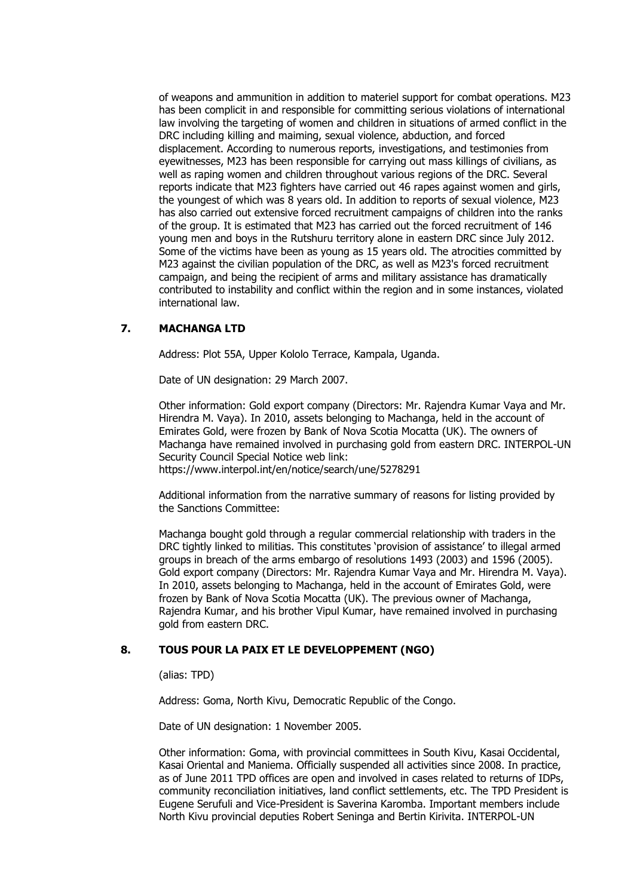of weapons and ammunition in addition to materiel support for combat operations. M23 has been complicit in and responsible for committing serious violations of international law involving the targeting of women and children in situations of armed conflict in the DRC including killing and maiming, sexual violence, abduction, and forced displacement. According to numerous reports, investigations, and testimonies from eyewitnesses, M23 has been responsible for carrying out mass killings of civilians, as well as raping women and children throughout various regions of the DRC. Several reports indicate that M23 fighters have carried out 46 rapes against women and girls, the youngest of which was 8 years old. In addition to reports of sexual violence, M23 has also carried out extensive forced recruitment campaigns of children into the ranks of the group. It is estimated that M23 has carried out the forced recruitment of 146 young men and boys in the Rutshuru territory alone in eastern DRC since July 2012. Some of the victims have been as young as 15 years old. The atrocities committed by M23 against the civilian population of the DRC, as well as M23's forced recruitment campaign, and being the recipient of arms and military assistance has dramatically contributed to instability and conflict within the region and in some instances, violated international law.

# **7. MACHANGA LTD**

Address: Plot 55A, Upper Kololo Terrace, Kampala, Uganda.

Date of UN designation: 29 March 2007.

Other information: Gold export company (Directors: Mr. Rajendra Kumar Vaya and Mr. Hirendra M. Vaya). In 2010, assets belonging to Machanga, held in the account of Emirates Gold, were frozen by Bank of Nova Scotia Mocatta (UK). The owners of Machanga have remained involved in purchasing gold from eastern DRC. INTERPOL-UN Security Council Special Notice web link: https://www.interpol.int/en/notice/search/une/5278291

Additional information from the narrative summary of reasons for listing provided by the Sanctions Committee:

Machanga bought gold through a regular commercial relationship with traders in the DRC tightly linked to militias. This constitutes 'provision of assistance' to illegal armed groups in breach of the arms embargo of resolutions 1493 (2003) and 1596 (2005). Gold export company (Directors: Mr. Rajendra Kumar Vaya and Mr. Hirendra M. Vaya). In 2010, assets belonging to Machanga, held in the account of Emirates Gold, were frozen by Bank of Nova Scotia Mocatta (UK). The previous owner of Machanga, Rajendra Kumar, and his brother Vipul Kumar, have remained involved in purchasing gold from eastern DRC.

### **8. TOUS POUR LA PAIX ET LE DEVELOPPEMENT (NGO)**

(alias: TPD)

Address: Goma, North Kivu, Democratic Republic of the Congo.

Date of UN designation: 1 November 2005.

Other information: Goma, with provincial committees in South Kivu, Kasai Occidental, Kasai Oriental and Maniema. Officially suspended all activities since 2008. In practice, as of June 2011 TPD offices are open and involved in cases related to returns of IDPs, community reconciliation initiatives, land conflict settlements, etc. The TPD President is Eugene Serufuli and Vice-President is Saverina Karomba. Important members include North Kivu provincial deputies Robert Seninga and Bertin Kirivita. INTERPOL-UN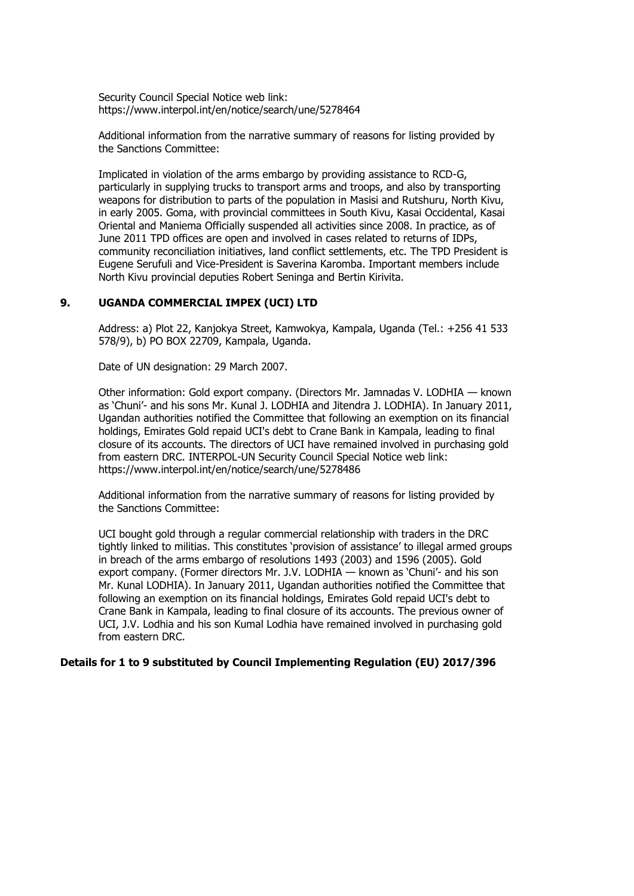Security Council Special Notice web link: https://www.interpol.int/en/notice/search/une/5278464

Additional information from the narrative summary of reasons for listing provided by the Sanctions Committee:

Implicated in violation of the arms embargo by providing assistance to RCD-G, particularly in supplying trucks to transport arms and troops, and also by transporting weapons for distribution to parts of the population in Masisi and Rutshuru, North Kivu, in early 2005. Goma, with provincial committees in South Kivu, Kasai Occidental, Kasai Oriental and Maniema Officially suspended all activities since 2008. In practice, as of June 2011 TPD offices are open and involved in cases related to returns of IDPs, community reconciliation initiatives, land conflict settlements, etc. The TPD President is Eugene Serufuli and Vice-President is Saverina Karomba. Important members include North Kivu provincial deputies Robert Seninga and Bertin Kirivita.

### **9. UGANDA COMMERCIAL IMPEX (UCI) LTD**

Address: a) Plot 22, Kanjokya Street, Kamwokya, Kampala, Uganda (Tel.: +256 41 533 578/9), b) PO BOX 22709, Kampala, Uganda.

Date of UN designation: 29 March 2007.

Other information: Gold export company. (Directors Mr. Jamnadas V. LODHIA — known as 'Chuni'- and his sons Mr. Kunal J. LODHIA and Jitendra J. LODHIA). In January 2011, Ugandan authorities notified the Committee that following an exemption on its financial holdings, Emirates Gold repaid UCI's debt to Crane Bank in Kampala, leading to final closure of its accounts. The directors of UCI have remained involved in purchasing gold from eastern DRC. INTERPOL-UN Security Council Special Notice web link: https://www.interpol.int/en/notice/search/une/5278486

Additional information from the narrative summary of reasons for listing provided by the Sanctions Committee:

UCI bought gold through a regular commercial relationship with traders in the DRC tightly linked to militias. This constitutes 'provision of assistance' to illegal armed groups in breach of the arms embargo of resolutions 1493 (2003) and 1596 (2005). Gold export company. (Former directors Mr. J.V. LODHIA — known as 'Chuni'- and his son Mr. Kunal LODHIA). In January 2011, Ugandan authorities notified the Committee that following an exemption on its financial holdings, Emirates Gold repaid UCI's debt to Crane Bank in Kampala, leading to final closure of its accounts. The previous owner of UCI, J.V. Lodhia and his son Kumal Lodhia have remained involved in purchasing gold from eastern DRC.

#### **Details for 1 to 9 substituted by Council Implementing Regulation (EU) 2017/396**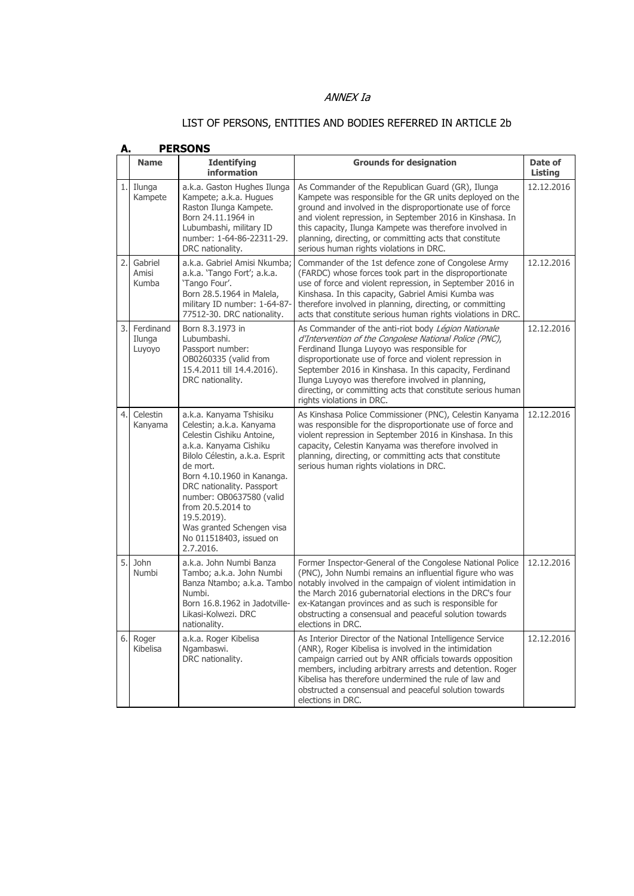# ANNEX Ia

# LIST OF PERSONS, ENTITIES AND BODIES REFERRED IN ARTICLE 2b

| А. | <b>PERSONS</b>                   |                                                                                                                                                                                                                                                                                                                                                          |                                                                                                                                                                                                                                                                                                                                                                                                                                     |                           |  |
|----|----------------------------------|----------------------------------------------------------------------------------------------------------------------------------------------------------------------------------------------------------------------------------------------------------------------------------------------------------------------------------------------------------|-------------------------------------------------------------------------------------------------------------------------------------------------------------------------------------------------------------------------------------------------------------------------------------------------------------------------------------------------------------------------------------------------------------------------------------|---------------------------|--|
|    | <b>Name</b>                      | <b>Identifying</b><br>information                                                                                                                                                                                                                                                                                                                        | <b>Grounds for designation</b>                                                                                                                                                                                                                                                                                                                                                                                                      | Date of<br><b>Listing</b> |  |
|    | 1. Ilunga<br>Kampete             | a.k.a. Gaston Hughes Ilunga<br>Kampete; a.k.a. Hugues<br>Raston Ilunga Kampete.<br>Born 24.11.1964 in<br>Lubumbashi, military ID<br>number: 1-64-86-22311-29.<br>DRC nationality.                                                                                                                                                                        | As Commander of the Republican Guard (GR), Ilunga<br>Kampete was responsible for the GR units deployed on the<br>ground and involved in the disproportionate use of force<br>and violent repression, in September 2016 in Kinshasa. In<br>this capacity, Ilunga Kampete was therefore involved in<br>planning, directing, or committing acts that constitute<br>serious human rights violations in DRC.                             | 12.12.2016                |  |
|    | 2. Gabriel<br>Amisi<br>Kumba     | a.k.a. Gabriel Amisi Nkumba:<br>a.k.a. 'Tango Fort'; a.k.a.<br>'Tango Four'.<br>Born 28.5.1964 in Malela,<br>military ID number: 1-64-87-<br>77512-30. DRC nationality.                                                                                                                                                                                  | Commander of the 1st defence zone of Congolese Army<br>(FARDC) whose forces took part in the disproportionate<br>use of force and violent repression, in September 2016 in<br>Kinshasa. In this capacity, Gabriel Amisi Kumba was<br>therefore involved in planning, directing, or committing<br>acts that constitute serious human rights violations in DRC.                                                                       | 12.12.2016                |  |
|    | 3. Ferdinand<br>Ilunga<br>Luyoyo | Born 8.3.1973 in<br>Lubumbashi.<br>Passport number:<br>OB0260335 (valid from<br>15.4.2011 till 14.4.2016).<br>DRC nationality.                                                                                                                                                                                                                           | As Commander of the anti-riot body Légion Nationale<br>d'Intervention of the Congolese National Police (PNC),<br>Ferdinand Ilunga Luyoyo was responsible for<br>disproportionate use of force and violent repression in<br>September 2016 in Kinshasa. In this capacity, Ferdinand<br>Ilunga Luyoyo was therefore involved in planning,<br>directing, or committing acts that constitute serious human<br>rights violations in DRC. | 12.12.2016                |  |
| 4. | Celestin<br>Kanyama              | a.k.a. Kanyama Tshisiku<br>Celestin; a.k.a. Kanyama<br>Celestin Cishiku Antoine,<br>a.k.a. Kanyama Cishiku<br>Bilolo Célestin, a.k.a. Esprit<br>de mort.<br>Born 4.10.1960 in Kananga.<br>DRC nationality. Passport<br>number: OB0637580 (valid<br>from 20.5.2014 to<br>19.5.2019).<br>Was granted Schengen visa<br>No 011518403, issued on<br>2.7.2016. | As Kinshasa Police Commissioner (PNC), Celestin Kanyama<br>was responsible for the disproportionate use of force and<br>violent repression in September 2016 in Kinshasa. In this<br>capacity, Celestin Kanyama was therefore involved in<br>planning, directing, or committing acts that constitute<br>serious human rights violations in DRC.                                                                                     | 12.12.2016                |  |
|    | 5. John<br>Numbi                 | a.k.a. John Numbi Banza<br>Tambo: a.k.a. John Numbi<br>Banza Ntambo; a.k.a. Tambo<br>Numbi.<br>Born 16.8.1962 in Jadotville-<br>Likasi-Kolwezi, DRC<br>nationality.                                                                                                                                                                                      | Former Inspector-General of the Congolese National Police<br>(PNC), John Numbi remains an influential figure who was<br>notably involved in the campaign of violent intimidation in<br>the March 2016 gubernatorial elections in the DRC's four<br>ex-Katangan provinces and as such is responsible for<br>obstructing a consensual and peaceful solution towards<br>elections in DRC.                                              | 12.12.2016                |  |
|    | 6. Roger<br>Kibelisa             | a.k.a. Roger Kibelisa<br>Ngambaswi.<br>DRC nationality.                                                                                                                                                                                                                                                                                                  | As Interior Director of the National Intelligence Service<br>(ANR), Roger Kibelisa is involved in the intimidation<br>campaign carried out by ANR officials towards opposition<br>members, including arbitrary arrests and detention. Roger<br>Kibelisa has therefore undermined the rule of law and<br>obstructed a consensual and peaceful solution towards<br>elections in DRC.                                                  | 12.12.2016                |  |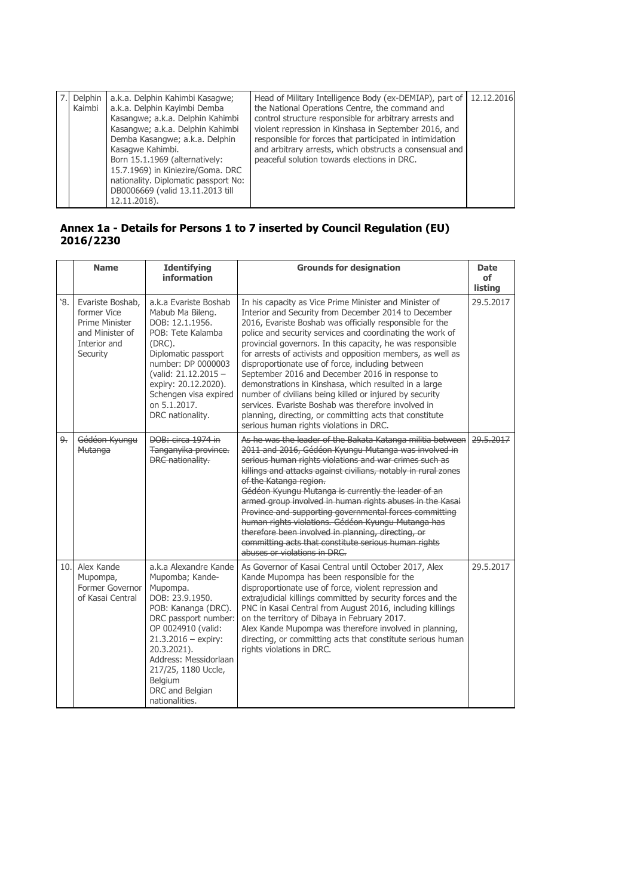| Delphin<br>Kaimbi | a.k.a. Delphin Kahimbi Kasagwe;<br>a.k.a. Delphin Kayimbi Demba<br>Kasangwe; a.k.a. Delphin Kahimbi<br>Kasangwe; a.k.a. Delphin Kahimbi<br>Demba Kasangwe; a.k.a. Delphin<br>Kasagwe Kahimbi.<br>Born 15.1.1969 (alternatively:<br>15.7.1969) in Kiniezire/Goma. DRC<br>nationality. Diplomatic passport No:<br>DB0006669 (valid 13.11.2013 till<br>12.11.2018). | Head of Military Intelligence Body (ex-DEMIAP), part of<br>the National Operations Centre, the command and<br>control structure responsible for arbitrary arrests and<br>violent repression in Kinshasa in September 2016, and<br>responsible for forces that participated in intimidation<br>and arbitrary arrests, which obstructs a consensual and<br>peaceful solution towards elections in DRC. | 12.12.2016 |
|-------------------|------------------------------------------------------------------------------------------------------------------------------------------------------------------------------------------------------------------------------------------------------------------------------------------------------------------------------------------------------------------|------------------------------------------------------------------------------------------------------------------------------------------------------------------------------------------------------------------------------------------------------------------------------------------------------------------------------------------------------------------------------------------------------|------------|

# **Annex 1a - Details for Persons 1 to 7 inserted by Council Regulation (EU) 2016/2230**

|     | <b>Name</b>                                                                                      | <b>Identifying</b><br>information                                                                                                                                                                                                                                                    | <b>Grounds for designation</b>                                                                                                                                                                                                                                                                                                                                                                                                                                                                                                                                                                                                                                                                                                                               | <b>Date</b><br>оf<br>listing |
|-----|--------------------------------------------------------------------------------------------------|--------------------------------------------------------------------------------------------------------------------------------------------------------------------------------------------------------------------------------------------------------------------------------------|--------------------------------------------------------------------------------------------------------------------------------------------------------------------------------------------------------------------------------------------------------------------------------------------------------------------------------------------------------------------------------------------------------------------------------------------------------------------------------------------------------------------------------------------------------------------------------------------------------------------------------------------------------------------------------------------------------------------------------------------------------------|------------------------------|
| `8. | Evariste Boshab,<br>former Vice<br>Prime Minister<br>and Minister of<br>Interior and<br>Security | a.k.a Evariste Boshab<br>Mabub Ma Bileng.<br>DOB: 12.1.1956.<br>POB: Tete Kalamba<br>$(DRC)$ .<br>Diplomatic passport<br>number: DP 0000003<br>(valid: 21.12.2015 -<br>expiry: 20.12.2020).<br>Schengen visa expired<br>on 5.1.2017.<br>DRC nationality.                             | In his capacity as Vice Prime Minister and Minister of<br>Interior and Security from December 2014 to December<br>2016, Evariste Boshab was officially responsible for the<br>police and security services and coordinating the work of<br>provincial governors. In this capacity, he was responsible<br>for arrests of activists and opposition members, as well as<br>disproportionate use of force, including between<br>September 2016 and December 2016 in response to<br>demonstrations in Kinshasa, which resulted in a large<br>number of civilians being killed or injured by security<br>services. Evariste Boshab was therefore involved in<br>planning, directing, or committing acts that constitute<br>serious human rights violations in DRC. | 29.5.2017                    |
| 9.  | Gédéon Kyungu<br><b>Mutanga</b>                                                                  | DOB: circa 1974 in<br>Tanganyika province.<br><b>DRC</b> nationality:                                                                                                                                                                                                                | As he was the leader of the Bakata Katanga militia between<br>2011 and 2016, Gédéon Kyungu Mutanga was involved in<br>serious human rights violations and war crimes such as<br>killings and attacks against civilians, notably in rural zones<br>of the Katanga region.<br>Gédéon Kyungu Mutanga is currently the leader of an<br>armed group involved in human rights abuses in the Kasai<br>Province and supporting governmental forces committing<br>human rights violations. Gédéon Kyungu Mutanga has<br>therefore been involved in planning, directing, or<br>committing acts that constitute serious human rights<br>abuses or violations in DRC.                                                                                                    | 29.5.2017                    |
|     | 10. Alex Kande<br>Mupompa,<br>Former Governor<br>of Kasai Central                                | a.k.a Alexandre Kande<br>Mupomba; Kande-<br>Mupompa.<br>DOB: 23.9.1950.<br>POB: Kananga (DRC).<br>DRC passport number:<br>OP 0024910 (valid:<br>$21.3.2016 -$ expiry:<br>20.3.2021).<br>Address: Messidorlaan<br>217/25, 1180 Uccle,<br>Belgium<br>DRC and Belgian<br>nationalities. | As Governor of Kasai Central until October 2017, Alex<br>Kande Mupompa has been responsible for the<br>disproportionate use of force, violent repression and<br>extrajudicial killings committed by security forces and the<br>PNC in Kasai Central from August 2016, including killings<br>on the territory of Dibaya in February 2017.<br>Alex Kande Mupompa was therefore involved in planning,<br>directing, or committing acts that constitute serious human<br>rights violations in DRC.                                                                                                                                                                                                                                                               | 29.5.2017                    |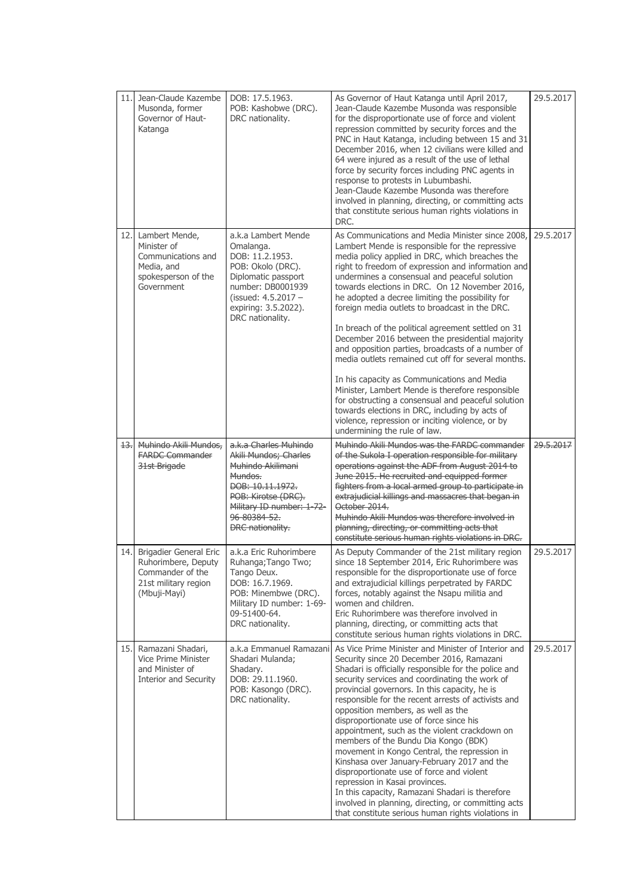| 11.1 | Jean-Claude Kazembe<br>Musonda, former<br>Governor of Haut-<br>Katanga                                    | DOB: 17.5.1963.<br>POB: Kashobwe (DRC).<br>DRC nationality.                                                                                                                                      | As Governor of Haut Katanga until April 2017,<br>Jean-Claude Kazembe Musonda was responsible<br>for the disproportionate use of force and violent<br>repression committed by security forces and the<br>PNC in Haut Katanga, including between 15 and 31<br>December 2016, when 12 civilians were killed and<br>64 were injured as a result of the use of lethal<br>force by security forces including PNC agents in<br>response to protests in Lubumbashi.<br>Jean-Claude Kazembe Musonda was therefore<br>involved in planning, directing, or committing acts<br>that constitute serious human rights violations in<br>DRC.                                                                                                                                                                                                                                                                                                            | 29.5.2017 |
|------|-----------------------------------------------------------------------------------------------------------|--------------------------------------------------------------------------------------------------------------------------------------------------------------------------------------------------|------------------------------------------------------------------------------------------------------------------------------------------------------------------------------------------------------------------------------------------------------------------------------------------------------------------------------------------------------------------------------------------------------------------------------------------------------------------------------------------------------------------------------------------------------------------------------------------------------------------------------------------------------------------------------------------------------------------------------------------------------------------------------------------------------------------------------------------------------------------------------------------------------------------------------------------|-----------|
| 12.1 | Lambert Mende,<br>Minister of<br>Communications and<br>Media, and<br>spokesperson of the<br>Government    | a.k.a Lambert Mende<br>Omalanga.<br>DOB: 11.2.1953.<br>POB: Okolo (DRC).<br>Diplomatic passport<br>number: DB0001939<br>(issued: $4.5.2017 -$<br>expiring: 3.5.2022).<br>DRC nationality.        | As Communications and Media Minister since 2008,<br>Lambert Mende is responsible for the repressive<br>media policy applied in DRC, which breaches the<br>right to freedom of expression and information and<br>undermines a consensual and peaceful solution<br>towards elections in DRC. On 12 November 2016,<br>he adopted a decree limiting the possibility for<br>foreign media outlets to broadcast in the DRC.<br>In breach of the political agreement settled on 31<br>December 2016 between the presidential majority<br>and opposition parties, broadcasts of a number of<br>media outlets remained cut off for several months.<br>In his capacity as Communications and Media<br>Minister, Lambert Mende is therefore responsible<br>for obstructing a consensual and peaceful solution<br>towards elections in DRC, including by acts of<br>violence, repression or inciting violence, or by<br>undermining the rule of law. | 29.5.2017 |
|      | 13. Muhindo Akili Mundos,<br><b>FARDC Commander</b><br>31st Brigade                                       | a.k.a Charles Muhindo<br>Akili Mundos; Charles<br>Muhindo Akilimani<br>Mundos.<br>DOB: 10.11.1972.<br>POB: Kirotse (DRC).<br>Military ID number: 1 72<br>96 80384 52.<br><b>DRC</b> nationality. | Muhindo Akili Mundos was the FARDC commander<br>of the Sukola I operation responsible for military<br>operations against the ADF from August 2014 to<br>June 2015. He recruited and equipped former<br>fighters from a local armed group to participate in<br>extrajudicial killings and massacres that began in<br>October 2014.<br>Muhindo Akili Mundos was therefore involved in<br>planning, directing, or committing acts that<br>constitute serious human rights violations in DRC.                                                                                                                                                                                                                                                                                                                                                                                                                                                | 29.5.2017 |
| 14.  | Brigadier General Eric<br>Ruhorimbere, Deputy<br>Commander of the<br>21st military region<br>(Mbuji-Mayi) | a.k.a Eric Ruhorimbere<br>Ruhanga; Tango Two;<br>Tango Deux.<br>DOB: 16.7.1969.<br>POB: Minembwe (DRC).<br>Military ID number: 1-69-<br>09-51400-64.<br>DRC nationality.                         | As Deputy Commander of the 21st military region<br>since 18 September 2014, Eric Ruhorimbere was<br>responsible for the disproportionate use of force<br>and extrajudicial killings perpetrated by FARDC<br>forces, notably against the Nsapu militia and<br>women and children.<br>Eric Ruhorimbere was therefore involved in<br>planning, directing, or committing acts that<br>constitute serious human rights violations in DRC.                                                                                                                                                                                                                                                                                                                                                                                                                                                                                                     | 29.5.2017 |
| 15.  | Ramazani Shadari,<br>Vice Prime Minister<br>and Minister of<br>Interior and Security                      | a.k.a Emmanuel Ramazani<br>Shadari Mulanda;<br>Shadary.<br>DOB: 29.11.1960.<br>POB: Kasongo (DRC).<br>DRC nationality.                                                                           | As Vice Prime Minister and Minister of Interior and<br>Security since 20 December 2016, Ramazani<br>Shadari is officially responsible for the police and<br>security services and coordinating the work of<br>provincial governors. In this capacity, he is<br>responsible for the recent arrests of activists and<br>opposition members, as well as the<br>disproportionate use of force since his<br>appointment, such as the violent crackdown on<br>members of the Bundu Dia Kongo (BDK)<br>movement in Kongo Central, the repression in<br>Kinshasa over January-February 2017 and the<br>disproportionate use of force and violent<br>repression in Kasai provinces.<br>In this capacity, Ramazani Shadari is therefore<br>involved in planning, directing, or committing acts<br>that constitute serious human rights violations in                                                                                               | 29.5.2017 |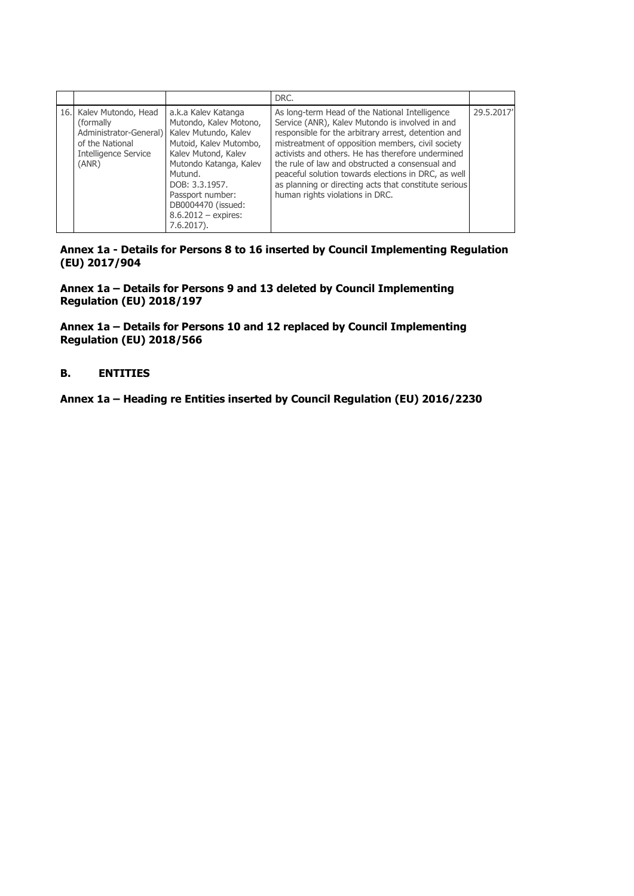|                                                                                                                                                 |                                                                                                                                                                                                                                           | DRC.                                                                                                                                                                                                                                                                                                                                                                                                                                                                     |           |
|-------------------------------------------------------------------------------------------------------------------------------------------------|-------------------------------------------------------------------------------------------------------------------------------------------------------------------------------------------------------------------------------------------|--------------------------------------------------------------------------------------------------------------------------------------------------------------------------------------------------------------------------------------------------------------------------------------------------------------------------------------------------------------------------------------------------------------------------------------------------------------------------|-----------|
| 16. Kalev Mutondo, Head<br>(formally)<br>Administrator-General) Kalev Mutundo, Kalev<br>of the National<br><b>Intelligence Service</b><br>(ANR) | a.k.a Kalev Katanga<br>Mutondo, Kalev Motono,<br>Mutoid, Kalev Mutombo,<br>Kalev Mutond, Kalev<br>Mutondo Katanga, Kalev<br>Mutund.<br>DOB: 3.3.1957.<br>Passport number:<br>DB0004470 (issued:<br>$8.6.2012 -$ expires:<br>$7.6.2017$ ). | As long-term Head of the National Intelligence<br>Service (ANR), Kalev Mutondo is involved in and<br>responsible for the arbitrary arrest, detention and<br>mistreatment of opposition members, civil society<br>activists and others. He has therefore undermined<br>the rule of law and obstructed a consensual and<br>peaceful solution towards elections in DRC, as well<br>as planning or directing acts that constitute serious<br>human rights violations in DRC. | 29.5.2017 |

**Annex 1a - Details for Persons 8 to 16 inserted by Council Implementing Regulation (EU) 2017/904**

**Annex 1a – Details for Persons 9 and 13 deleted by Council Implementing Regulation (EU) 2018/197**

**Annex 1a – Details for Persons 10 and 12 replaced by Council Implementing Regulation (EU) 2018/566**

### **B. ENTITIES**

**Annex 1a – Heading re Entities inserted by Council Regulation (EU) 2016/2230**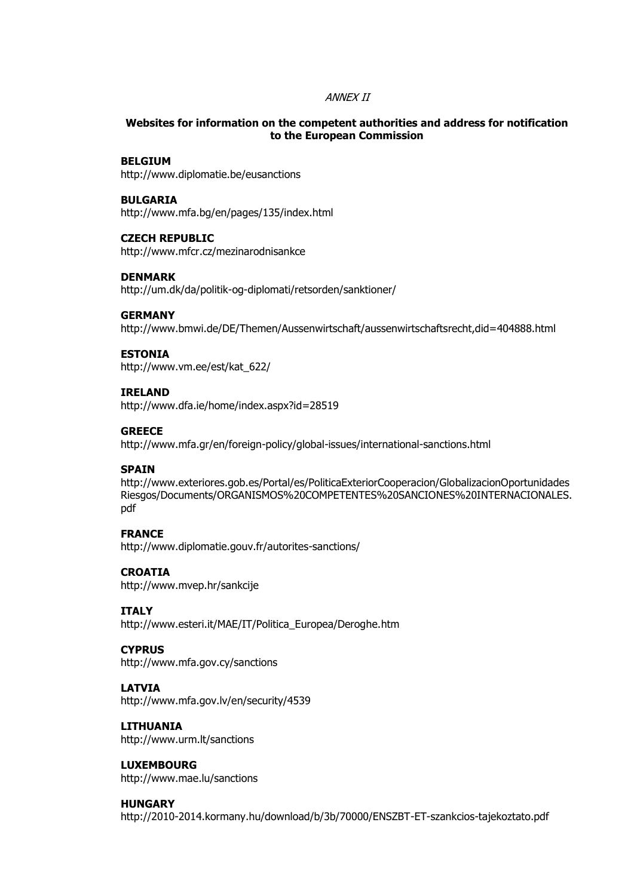#### ANNEX II

#### **Websites for information on the competent authorities and address for notification to the European Commission**

#### **BELGIUM**

http://www.diplomatie.be/eusanctions

#### **BULGARIA**

http://www.mfa.bg/en/pages/135/index.html

#### **CZECH REPUBLIC**

http://www.mfcr.cz/mezinarodnisankce

#### **DENMARK**

http://um.dk/da/politik-og-diplomati/retsorden/sanktioner/

#### **GERMANY**

http://www.bmwi.de/DE/Themen/Aussenwirtschaft/aussenwirtschaftsrecht,did=404888.html

#### **ESTONIA**

http://www.vm.ee/est/kat\_622/

#### **IRELAND**

http://www.dfa.ie/home/index.aspx?id=28519

#### **GREECE**

http://www.mfa.gr/en/foreign-policy/global-issues/international-sanctions.html

#### **SPAIN**

http://www.exteriores.gob.es/Portal/es/PoliticaExteriorCooperacion/GlobalizacionOportunidades Riesgos/Documents/ORGANISMOS%20COMPETENTES%20SANCIONES%20INTERNACIONALES. pdf

#### **FRANCE**

http://www.diplomatie.gouv.fr/autorites-sanctions/

#### **CROATIA**

http://www.mvep.hr/sankcije

#### **ITALY**

http://www.esteri.it/MAE/IT/Politica\_Europea/Deroghe.htm

#### **CYPRUS**

http://www.mfa.gov.cy/sanctions

#### **LATVIA**

http://www.mfa.gov.lv/en/security/4539

### **LITHUANIA**

http://www.urm.lt/sanctions

#### **LUXEMBOURG**

http://www.mae.lu/sanctions

#### **HUNGARY**

http://2010-2014.kormany.hu/download/b/3b/70000/ENSZBT-ET-szankcios-tajekoztato.pdf